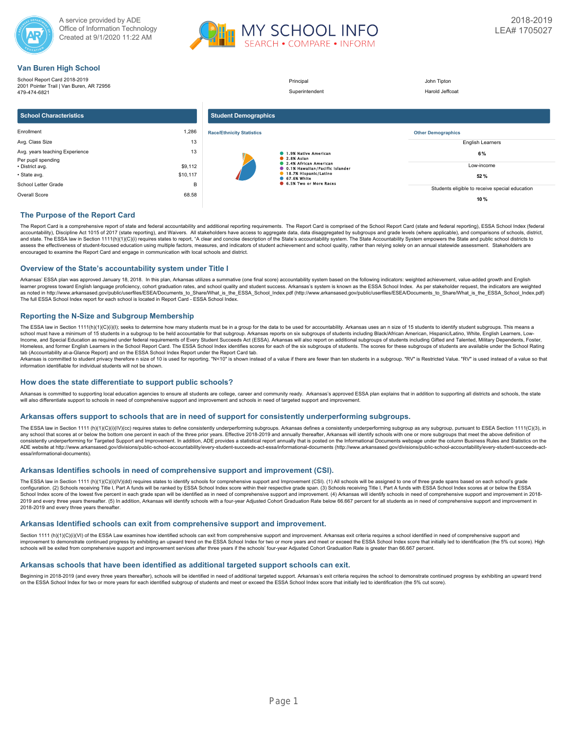



# **Van Buren High School**

| _______                                                                                                        |                                |                                  |                                                                                                                                                                        |                                                                           |
|----------------------------------------------------------------------------------------------------------------|--------------------------------|----------------------------------|------------------------------------------------------------------------------------------------------------------------------------------------------------------------|---------------------------------------------------------------------------|
| School Report Card 2018-2019<br>2001 Pointer Trail   Van Buren, AR 72956<br>479-474-6821                       |                                |                                  | Principal<br>Superintendent                                                                                                                                            | John Tipton<br>Harold Jeffcoat                                            |
| <b>School Characteristics</b>                                                                                  |                                | <b>Student Demographics</b>      |                                                                                                                                                                        |                                                                           |
| Enrollment                                                                                                     | 1,286                          | <b>Race/Ethnicity Statistics</b> |                                                                                                                                                                        | <b>Other Demographics</b>                                                 |
| Avg. Class Size                                                                                                | 13                             |                                  |                                                                                                                                                                        | <b>English Learners</b>                                                   |
| Avg. years teaching Experience<br>Per pupil spending<br>• District avg.<br>· State avg.<br>School Letter Grade | 13<br>\$9,112<br>\$10,117<br>B |                                  | 1.9% Native American<br>2.8% Aslan<br>2.4% African American<br><b>0.1% Hawallan/Pacific Islander</b><br>18.7% Hispanic/Latino<br>67.6% White<br>6.5% Two or More Races | 6%<br>Low-income<br>52%<br>Students eligible to receive special education |
| Overall Score                                                                                                  | 68.58                          |                                  |                                                                                                                                                                        | 10%                                                                       |

# **The Purpose of the Report Card**

The Report Card is a comprehensive report of state and federal accountability and additional reporting requirements. The Report Card is comprised of the School Report Card (state and federal reporting), ESSA School Index ( accountability), Discipline Act 1015 of 2017 (state reporting), and Waivers. All stakeholders have access to aggregate data, data disaggregated by subgroups and grade levels (where applicable), and comparisons of schools, and state. The ESSA law in Section 1111(h)(1)(C)(i) requires states to report, "A clear and concise description of the State's accountability system. The State Accountability System empowers the State and public school dis encouraged to examine the Report Card and engage in communication with local schools and district.

### **Overview of the State's accountability system under Title I**

Arkansas' ESSA plan was approved January 18, 2018. In this plan, Arkansas utilizes a summative (one final score) accountability system based on the following indicators: weighted achievement, value-added growth and English learner progress toward English language proficiency, cohort graduation rates, and school quality and student success. Arkansas's system is known as the ESSA School Index. As per stakeholder request, the indicators are wei as noted in http://www.arkansased.gov/public/userfiles/ESEA/Documents\_to\_Share/What\_is\_the\_ESSA\_School\_Index.pdf) (http://www.arkansased.gov/public/userfiles/ESEA/Documents\_to\_Share/What\_is\_the\_ESSA\_School\_Index.pdf) The full ESSA School Index report for each school is located in Report Card - ESSA School Index.

## **Reporting the N-Size and Subgroup Membership**

The ESSA law in Section 1111(h)(1)(C)(i)(l); seeks to determine how many students must be in a group for the data to be used for accountability. Arkansas uses an n size of 15 students to identify student subgroups. This me Income, and Special Education as required under federal requirements of Every Student Succeeds Act (ESSA). Arkansas will also report on additional subgroups of students including Gifted and Talented, Military Dependents, F Homeless, and former English Learners in the School Report Card. The ESSA School Index identifies scores for each of the six subgroups of students. The scores for these subgroups of students are available under the School tab (Accountability at-a-Glance Report) and on the ESSA School Index Report under the Report Card tab.

Arkansas is committed to student privacy therefore n size of 10 is used for reporting. "N<10" is shown instead of a value if there are fewer than ten students in a subgroup. "RV" is Restricted Value. "RV" is used instead

### **How does the state differentiate to support public schools?**

Arkansas is committed to supporting local education agencies to ensure all students are college, career and community ready. Arkansas's approved ESSA plan explains that in addition to supporting all districts and schools, will also differentiate support to schools in need of comprehensive support and improvement and schools in need of targeted support and improvement.

### **Arkansas offers support to schools that are in need of support for consistently underperforming subgroups.**

The ESSA law in Section 1111 (h)(1)(O)(i)(IV)(cc) requires states to define consistently underperforming subgroups. Arkansas defines a consistently underperforming subgroups as any subgroup, pursuant to ESEA Section 1111(C any school that scores at or below the bottom one percent in each of the three prior years. Effective 2018-2019 and annually thereafter. Arkansas will identify schools with one or more subgroups that meet the above definit consistently underperforming for Targeted Support and Improvement. In addition, ADE provides a statistical report annually that is posted on the Informational Documents webpage under the column Business Rules and Statistic ADE website at http://www.arkansased.gov/divisions/public-school-accountability/every-student-succeeds-act-essa/informational-documents (http://www.arkansased.gov/divisions/public-school-accountability/every-student-succee essa/informational-documents).

## **Arkansas Identifies schools in need of comprehensive support and improvement (CSI).**

The ESSA law in Section 1111 (h)(1)(C)(i)(IV)(dd) requires states to identify schools for comprehensive support and Improvement (CSI). (1) All schools will be assigned to one of three grade spans based on each school's gra School Index score of the lowest five percent in each grade span will be identified as in need of comprehensive support and improvement. (4) Arkansas will identify schools in need of comprehensive support and improvement 2019 and every three years thereafter. (5) In addition, Arkansas will identify schools with a four-year Adjusted Cohort Graduation Rate below 66,667 percent for all students as in need of comprehensive support and improvem 2018-2019 and every three years thereafter.

### **Arkansas Identified schools can exit from comprehensive support and improvement.**

Section 1111 (h)(1)(C)(i)(VI) of the ESSA Law examines how identified schools can exit from comprehensive support and improvement. Arkansas exit criteria requires a school identified in need of comprehensive support and improvement to demonstrate continued progress by exhibiting an upward trend on the ESSA School Index for two or more years and meet or exceed the ESSA School Index score that initially led to identification (the 5% cut sco schools will be exited from comprehensive support and improvement services after three years if the schools' four-year Adjusted Cohort Graduation Rate is greater than 66.667 percent.

## **Arkansas schools that have been identified as additional targeted support schools can exit.**

Beginning in 2018-2019 (and every three years thereafter), schools will be identified in need of additional targeted support. Arkansas's exit criteria requires the school to demonstrate continued progress by exhibiting an on the ESSA School Index for two or more years for each identified subgroup of students and meet or exceed the ESSA School Index score that initially led to identification (the 5% cut score).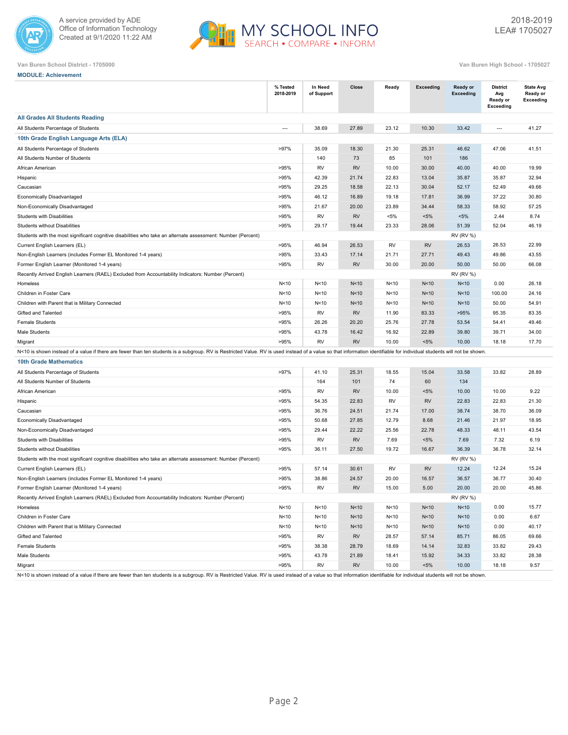



**Van Buren School District - 1705000 Van Buren High School - 1705027**

**MODULE: Achievement**

|                                                                                                                                                                                                                        | % Tested<br>2018-2019 | In Need<br>of Support | Close     | Ready     | <b>Exceeding</b> | Ready or<br><b>Exceeding</b> | <b>District</b><br>Avg<br>Ready or<br><b>Exceeding</b> | <b>State Avg</b><br>Ready or<br>Exceeding |
|------------------------------------------------------------------------------------------------------------------------------------------------------------------------------------------------------------------------|-----------------------|-----------------------|-----------|-----------|------------------|------------------------------|--------------------------------------------------------|-------------------------------------------|
| <b>All Grades All Students Reading</b>                                                                                                                                                                                 |                       |                       |           |           |                  |                              |                                                        |                                           |
| All Students Percentage of Students                                                                                                                                                                                    | $\overline{a}$        | 38.69                 | 27.89     | 23.12     | 10.30            | 33.42                        | $\overline{a}$                                         | 41.27                                     |
| 10th Grade English Language Arts (ELA)                                                                                                                                                                                 |                       |                       |           |           |                  |                              |                                                        |                                           |
| All Students Percentage of Students                                                                                                                                                                                    | >97%                  | 35.09                 | 18.30     | 21.30     | 25.31            | 46.62                        | 47.06                                                  | 41.51                                     |
| All Students Number of Students                                                                                                                                                                                        |                       | 140                   | 73        | 85        | 101              | 186                          |                                                        |                                           |
| African American                                                                                                                                                                                                       | >95%                  | <b>RV</b>             | <b>RV</b> | 10.00     | 30.00            | 40.00                        | 40.00                                                  | 19.99                                     |
| Hispanic                                                                                                                                                                                                               | >95%                  | 42.39                 | 21.74     | 22.83     | 13.04            | 35.87                        | 35.87                                                  | 32.94                                     |
| Caucasian                                                                                                                                                                                                              | >95%                  | 29.25                 | 18.58     | 22.13     | 30.04            | 52.17                        | 52.49                                                  | 49.66                                     |
| Economically Disadvantaged                                                                                                                                                                                             | >95%                  | 46.12                 | 16.89     | 19.18     | 17.81            | 36.99                        | 37.22                                                  | 30.80                                     |
| Non-Economically Disadvantaged                                                                                                                                                                                         | >95%                  | 21.67                 | 20.00     | 23.89     | 34.44            | 58.33                        | 58.92                                                  | 57.25                                     |
| Students with Disabilities                                                                                                                                                                                             | >95%                  | <b>RV</b>             | <b>RV</b> | $< 5\%$   | $< 5\%$          | $< 5\%$                      | 2.44                                                   | 8.74                                      |
| <b>Students without Disabilities</b>                                                                                                                                                                                   | >95%                  | 29.17                 | 19.44     | 23.33     | 28.06            | 51.39                        | 52.04                                                  | 46.19                                     |
| Students with the most significant cognitive disabilities who take an alternate assessment: Number (Percent)                                                                                                           |                       |                       |           |           |                  | <b>RV (RV %)</b>             |                                                        |                                           |
| Current English Learners (EL)                                                                                                                                                                                          | >95%                  | 46.94                 | 26.53     | <b>RV</b> | <b>RV</b>        | 26.53                        | 26.53                                                  | 22.99                                     |
| Non-English Learners (includes Former EL Monitored 1-4 years)                                                                                                                                                          | >95%                  | 33.43                 | 17.14     | 21.71     | 27.71            | 49.43                        | 49.86                                                  | 43.55                                     |
| Former English Learner (Monitored 1-4 years)                                                                                                                                                                           | >95%                  | <b>RV</b>             | <b>RV</b> | 30.00     | 20.00            | 50.00                        | 50.00                                                  | 66.08                                     |
| Recently Arrived English Learners (RAEL) Excluded from Accountability Indicators: Number (Percent)                                                                                                                     |                       |                       |           |           |                  | <b>RV (RV %)</b>             |                                                        |                                           |
| Homeless                                                                                                                                                                                                               | N<10                  | N < 10                | N<10      | N<10      | N<10             | N<10                         | 0.00                                                   | 26.18                                     |
| Children in Foster Care                                                                                                                                                                                                | N<10                  | N < 10                | N<10      | N<10      | N<10             | N<10                         | 100.00                                                 | 24.16                                     |
| Children with Parent that is Military Connected                                                                                                                                                                        | N<10                  | N < 10                | N<10      | N<10      | N<10             | N<10                         | 50.00                                                  | 54.91                                     |
| Gifted and Talented                                                                                                                                                                                                    | >95%                  | <b>RV</b>             | <b>RV</b> | 11.90     | 83.33            | >95%                         | 95.35                                                  | 83.35                                     |
| <b>Female Students</b>                                                                                                                                                                                                 | >95%                  | 26.26                 | 20.20     | 25.76     | 27.78            | 53.54                        | 54.41                                                  | 49.46                                     |
| Male Students                                                                                                                                                                                                          | >95%                  | 43.78                 | 16.42     | 16.92     | 22.89            | 39.80                        | 39.71                                                  | 34.00                                     |
| Migrant                                                                                                                                                                                                                | >95%                  | <b>RV</b>             | <b>RV</b> | 10.00     | $< 5\%$          | 10.00                        | 18.18                                                  | 17.70                                     |
| N<10 is shown instead of a value if there are fewer than ten students is a subgroup. RV is Restricted Value. RV is used instead of a value so that information identifiable for individual students will not be shown. |                       |                       |           |           |                  |                              |                                                        |                                           |
| <b>10th Grade Mathematics</b>                                                                                                                                                                                          |                       |                       |           |           |                  |                              |                                                        |                                           |
| All Students Percentage of Students                                                                                                                                                                                    | >97%                  | 41.10                 | 25.31     | 18.55     | 15.04            | 33.58                        | 33.82                                                  | 28.89                                     |
| All Students Number of Students                                                                                                                                                                                        |                       | 164                   | 101       | 74        | 60               | 134                          |                                                        |                                           |
| African American                                                                                                                                                                                                       | >95%                  | <b>RV</b>             | <b>RV</b> | 10.00     | $< 5\%$          | 10.00                        | 10.00                                                  | 9.22                                      |
| Hispanic                                                                                                                                                                                                               | >95%                  | 54.35                 | 22.83     | <b>RV</b> | <b>RV</b>        | 22.83                        | 22.83                                                  | 21.30                                     |
| Caucasian                                                                                                                                                                                                              | >95%                  | 36.76                 | 24.51     | 21.74     | 17.00            | 38.74                        | 38.70                                                  | 36.09                                     |
| Economically Disadvantaged                                                                                                                                                                                             | >95%                  | 50.68                 | 27.85     | 12.79     | 8.68             | 21.46                        | 21.97                                                  | 18.95                                     |
| Non-Economically Disadvantaged                                                                                                                                                                                         | >95%                  | 29.44                 | 22.22     | 25.56     | 22.78            | 48.33                        | 48.11                                                  | 43.54                                     |
| Students with Disabilities                                                                                                                                                                                             | >95%                  | RV                    | <b>RV</b> | 7.69      | $< 5\%$          | 7.69                         | 7.32                                                   | 6.19                                      |
| Students without Disabilities                                                                                                                                                                                          | >95%                  | 36.11                 | 27.50     | 19.72     | 16.67            | 36.39                        | 36.78                                                  | 32.14                                     |
| Students with the most significant cognitive disabilities who take an alternate assessment: Number (Percent)                                                                                                           |                       |                       |           |           |                  | <b>RV (RV %)</b>             |                                                        |                                           |
| Current English Learners (EL)                                                                                                                                                                                          | >95%                  | 57.14                 | 30.61     | <b>RV</b> | <b>RV</b>        | 12.24                        | 12.24                                                  | 15.24                                     |
| Non-English Learners (includes Former EL Monitored 1-4 years)                                                                                                                                                          | >95%                  | 38.86                 | 24.57     | 20.00     | 16.57            | 36.57                        | 36.77                                                  | 30.40                                     |
| Former English Learner (Monitored 1-4 years)                                                                                                                                                                           | >95%                  | <b>RV</b>             | <b>RV</b> | 15.00     | 5.00             | 20.00                        | 20.00                                                  | 45.86                                     |
| Recently Arrived English Learners (RAEL) Excluded from Accountability Indicators: Number (Percent)                                                                                                                     |                       |                       |           |           |                  | <b>RV (RV %)</b>             |                                                        |                                           |
| Homeless                                                                                                                                                                                                               | N<10                  | N<10                  | N<10      | N<10      | N<10             | N<10                         | 0.00                                                   | 15.77                                     |
| Children in Foster Care                                                                                                                                                                                                | N<10                  | N < 10                | N<10      | N<10      | N<10             | N<10                         | 0.00                                                   | 6.67                                      |
| Children with Parent that is Military Connected                                                                                                                                                                        | N<10                  | N < 10                | N<10      | N<10      | N<10             | N<10                         | 0.00                                                   | 40.17                                     |
| Gifted and Talented                                                                                                                                                                                                    | >95%                  | RV                    | <b>RV</b> | 28.57     | 57.14            | 85.71                        | 86.05                                                  | 69.66                                     |
| <b>Female Students</b>                                                                                                                                                                                                 | >95%                  | 38.38                 | 28.79     | 18.69     | 14.14            | 32.83                        | 33.82                                                  | 29.43                                     |
| <b>Male Students</b>                                                                                                                                                                                                   | >95%                  | 43.78                 | 21.89     | 18.41     | 15.92            | 34.33                        | 33.82                                                  | 28.38                                     |

N<10 is shown instead of a value if there are fewer than ten students is a subgroup. RV is Restricted Value. RV is used instead of a value so that information identifiable for individual students will not be shown.

Migrant >95% RV RV 10.00 <5% 10.00 18.18 9.57

Page 2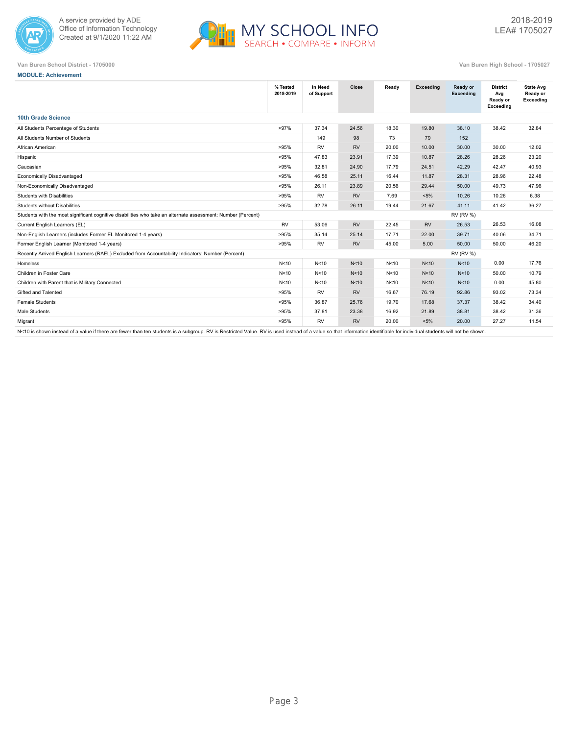



**MODULE: Achievement**

| Van Buren School District - 1705000 | Van Buren High School - 1705027 |
|-------------------------------------|---------------------------------|

|                                                                                                              | % Tested<br>2018-2019 | In Need<br>of Support | Close           | Ready | <b>Exceeding</b> | Ready or<br><b>Exceeding</b> | <b>District</b><br>Avg<br>Ready or<br>Exceeding | <b>State Avg</b><br>Ready or<br>Exceeding |
|--------------------------------------------------------------------------------------------------------------|-----------------------|-----------------------|-----------------|-------|------------------|------------------------------|-------------------------------------------------|-------------------------------------------|
| <b>10th Grade Science</b>                                                                                    |                       |                       |                 |       |                  |                              |                                                 |                                           |
| All Students Percentage of Students                                                                          | >97%                  | 37.34                 | 24.56           | 18.30 | 19.80            | 38.10                        | 38.42                                           | 32.84                                     |
| All Students Number of Students                                                                              |                       | 149                   | 98              | 73    | 79               | 152                          |                                                 |                                           |
| African American                                                                                             | >95%                  | <b>RV</b>             | <b>RV</b>       | 20.00 | 10.00            | 30.00                        | 30.00                                           | 12.02                                     |
| Hispanic                                                                                                     | >95%                  | 47.83                 | 23.91           | 17.39 | 10.87            | 28.26                        | 28.26                                           | 23.20                                     |
| Caucasian                                                                                                    | >95%                  | 32.81                 | 24.90           | 17.79 | 24.51            | 42.29                        | 42.47                                           | 40.93                                     |
| Economically Disadvantaged                                                                                   | >95%                  | 46.58                 | 25.11           | 16.44 | 11.87            | 28.31                        | 28.96                                           | 22.48                                     |
| Non-Economically Disadvantaged                                                                               | >95%                  | 26.11                 | 23.89           | 20.56 | 29.44            | 50.00                        | 49.73                                           | 47.96                                     |
| Students with Disabilities                                                                                   | >95%                  | <b>RV</b>             | <b>RV</b>       | 7.69  | $< 5\%$          | 10.26                        | 10.26                                           | 6.38                                      |
| Students without Disabilities                                                                                | >95%                  | 32.78                 | 26.11           | 19.44 | 21.67            | 41.11                        | 41.42                                           | 36.27                                     |
| Students with the most significant cognitive disabilities who take an alternate assessment: Number (Percent) |                       |                       |                 |       |                  | <b>RV (RV %)</b>             |                                                 |                                           |
| Current English Learners (EL)                                                                                | <b>RV</b>             | 53.06                 | <b>RV</b>       | 22.45 | <b>RV</b>        | 26.53                        | 26.53                                           | 16.08                                     |
| Non-English Learners (includes Former EL Monitored 1-4 years)                                                | >95%                  | 35.14                 | 25.14           | 17.71 | 22.00            | 39.71                        | 40.06                                           | 34.71                                     |
| Former English Learner (Monitored 1-4 years)                                                                 | >95%                  | <b>RV</b>             | <b>RV</b>       | 45.00 | 5.00             | 50.00                        | 50.00                                           | 46.20                                     |
| Recently Arrived English Learners (RAEL) Excluded from Accountability Indicators: Number (Percent)           |                       |                       |                 |       |                  | <b>RV (RV %)</b>             |                                                 |                                           |
| Homeless                                                                                                     | N<10                  | N<10                  | N <sub>10</sub> | N<10  | N<10             | N<10                         | 0.00                                            | 17.76                                     |
| Children in Foster Care                                                                                      | N<10                  | N <sub>10</sub>       | N <sub>10</sub> | N<10  | N<10             | N <sub>10</sub>              | 50.00                                           | 10.79                                     |
| Children with Parent that is Military Connected                                                              | N<10                  | N <sub>10</sub>       | N <sub>10</sub> | N<10  | N<10             | N <sub>10</sub>              | 0.00                                            | 45.80                                     |
| Gifted and Talented                                                                                          | >95%                  | <b>RV</b>             | <b>RV</b>       | 16.67 | 76.19            | 92.86                        | 93.02                                           | 73.34                                     |
| <b>Female Students</b>                                                                                       | >95%                  | 36.87                 | 25.76           | 19.70 | 17.68            | 37.37                        | 38.42                                           | 34.40                                     |
| Male Students                                                                                                | >95%                  | 37.81                 | 23.38           | 16.92 | 21.89            | 38.81                        | 38.42                                           | 31.36                                     |
| Migrant                                                                                                      | >95%                  | <b>RV</b>             | <b>RV</b>       | 20.00 | $< 5\%$          | 20.00                        | 27.27                                           | 11.54                                     |
|                                                                                                              |                       |                       |                 |       |                  |                              |                                                 |                                           |

N<10 is shown instead of a value if there are fewer than ten students is a subgroup. RV is Restricted Value. RV is used instead of a value so that information identifiable for individual students will not be shown.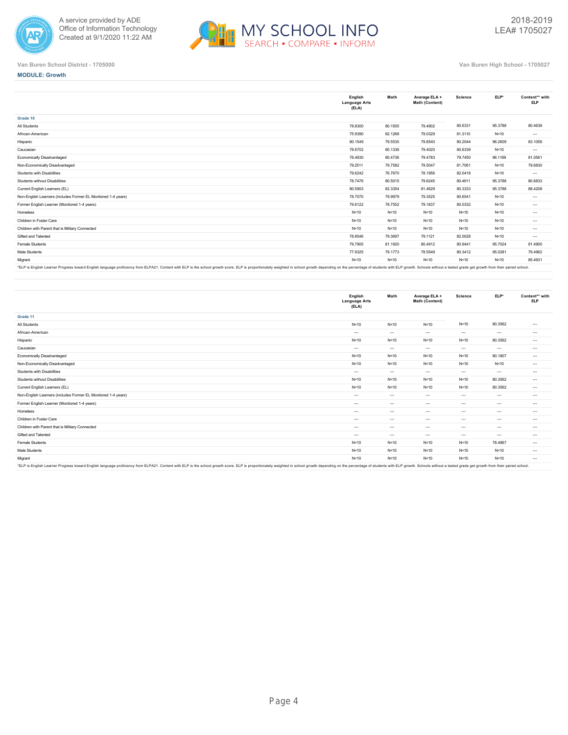



|                                                                                                                                                                                                                                | English<br><b>Language Arts</b><br>(ELA) | Math    | Average ELA +<br>Math (Content) | Science | ELP*    | Content** with<br><b>ELP</b> |
|--------------------------------------------------------------------------------------------------------------------------------------------------------------------------------------------------------------------------------|------------------------------------------|---------|---------------------------------|---------|---------|------------------------------|
| Grade 10                                                                                                                                                                                                                       |                                          |         |                                 |         |         |                              |
| All Students                                                                                                                                                                                                                   | 78,8300                                  | 80.1505 | 79.4902                         | 80.6331 | 95.3788 | 80.4638                      |
| African-American                                                                                                                                                                                                               | 75.9390                                  | 82.1268 | 79.0329                         | 81.3110 | N<10    | $\cdots$                     |
| Hispanic                                                                                                                                                                                                                       | 80.1549                                  | 79,5530 | 79.8540                         | 80.2044 | 96.2609 | 83.1058                      |
| Caucasian                                                                                                                                                                                                                      | 78.6702                                  | 80.1338 | 79.4020                         | 80.6339 | N<10    | $\cdots$                     |
| Economically Disadvantaged                                                                                                                                                                                                     | 78.4830                                  | 80.4736 | 79.4783                         | 79.7450 | 96.1169 | 81.0561                      |
| Non-Economically Disadvantaged                                                                                                                                                                                                 | 79.2511                                  | 79.7582 | 79.5047                         | 81.7061 | N<10    | 79.6830                      |
| Students with Disabilities                                                                                                                                                                                                     | 79.6242                                  | 76.7670 | 78.1956                         | 82.0418 | N<10    | $\cdots$                     |
| Students without Disabilities                                                                                                                                                                                                  | 78.7476                                  | 80.5015 | 79.6245                         | 80.4911 | 95.3788 | 80.6833                      |
| Current English Learners (EL)                                                                                                                                                                                                  | 80.5903                                  | 82.3354 | 81.4629                         | 80.3333 | 95.3788 | 88,4208                      |
| Non-English Learners (includes Former EL Monitored 1-4 years)                                                                                                                                                                  | 78.7070                                  | 79,9979 | 79.3525                         | 80.6541 | N<10    | $\cdots$                     |
| Former English Learner (Monitored 1-4 years)                                                                                                                                                                                   | 79.6122                                  | 78,7552 | 79.1837                         | 80.0332 | N<10    | $\cdots$                     |
| Homeless                                                                                                                                                                                                                       | N < 10                                   | N<10    | N<10                            | N<10    | N<10    | $\cdots$                     |
| Children in Foster Care                                                                                                                                                                                                        | N<10                                     | N<10    | N<10                            | N<10    | N<10    | $\cdots$                     |
| Children with Parent that is Military Connected                                                                                                                                                                                | N < 10                                   | N<10    | N<10                            | N<10    | N<10    | $\cdots$                     |
| Gifted and Talented                                                                                                                                                                                                            | 78.8546                                  | 79.3697 | 79.1121                         | 82.0028 | N<10    | $\cdots$                     |
| Female Students                                                                                                                                                                                                                | 79.7905                                  | 81.1920 | 80.4912                         | 80.9441 | 95.7024 | 81.4900                      |
| Male Students                                                                                                                                                                                                                  | 77.9325                                  | 79.1773 | 78.5549                         | 80.3412 | 95.0281 | 79.4962                      |
| Migrant                                                                                                                                                                                                                        | N < 10                                   | N<10    | N < 10                          | N<10    | N<10    | 85.4931                      |
| *ELP is English Learner Progress toward English language proficiency from ELPA21. Content with ELP is the school growth score. ELP is proportionately weighted in school growth depending on the percentage of students with E |                                          |         |                                 |         |         |                              |

**English Language Arts (ELA) Math Average ELA + Math (Content) Science ELP\* Content\*\* with ELP Grade 11** All Students N<10 N<10 N<10 N<10 80.3562 ---African-American --- --- --- --- --- --- Hispanic N<10 N<10 N<10 N<10 80.3562 ---Caucasian --- --- --- --- --- --- Economically Disadvantaged N<10 N<10 N<10 N<10 80.1807 --- Non-Economically Disadvantaged N<10 N<10 N<10 N<10 N<10 --- Students with Disabilities --- --- --- --- --- --- Students without Disabilities N<10 N<10 N<10 N<10 80.3562 --- Current English Learners (EL) N<10 80.3562 ---<br>Non-English Learners (includes Former EL Monitored 1-4 years) Non-English Learners (includes Former EL Monitored 1-4 years) --- --- --- --- --- --- Former English Learner (Monitored 1-4 years) --- --- --- --- --- --- Homeless --- --- --- --- --- --- Children in Foster Care --- --- --- --- --- --- Children with Parent that is Military Connected --- --- --- --- --- --- Gifted and Talented --- --- --- --- --- --- Female Students N<10 N<10 N<10 N<10 78.4867 --- Male Students N<10 N<10 N<10 N<10 N<10 ----Migrant N<10 N<10 N<10 N<10 N<10 ---

"ELP is English Learner Progress toward English language proficiency from ELPA21. Content with ELP is the school growth score. ELP is proportionately weighted in school growth depending on the percentage of students with E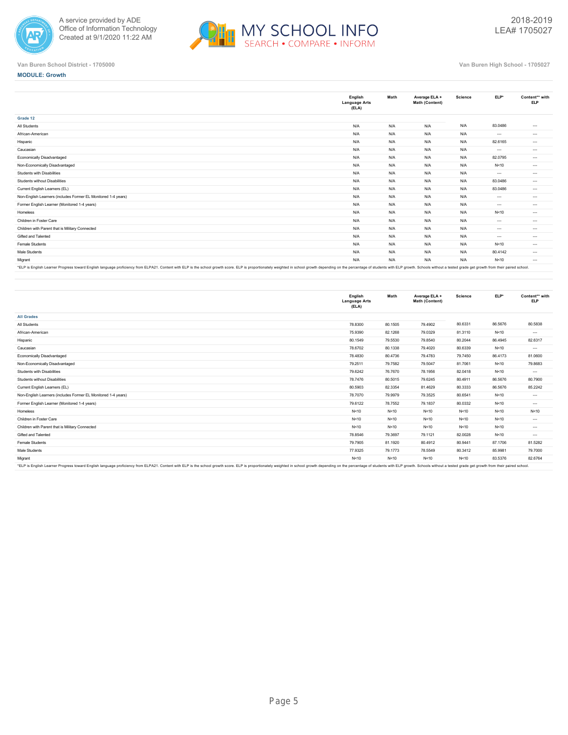



|                                                                                                                                                                                                                                | English<br><b>Language Arts</b><br>(ELA) | Math | Average ELA +<br>Math (Content) | Science | ELP*     | Content** with<br><b>ELP</b> |
|--------------------------------------------------------------------------------------------------------------------------------------------------------------------------------------------------------------------------------|------------------------------------------|------|---------------------------------|---------|----------|------------------------------|
| Grade 12                                                                                                                                                                                                                       |                                          |      |                                 |         |          |                              |
| All Students                                                                                                                                                                                                                   | N/A                                      | N/A  | N/A                             | N/A     | 83.0486  | $\cdots$                     |
| African-American                                                                                                                                                                                                               | N/A                                      | N/A  | N/A                             | N/A     | $---$    | $\cdots$                     |
| Hispanic                                                                                                                                                                                                                       | N/A                                      | N/A  | N/A                             | N/A     | 82.6165  | $\cdots$                     |
| Caucasian                                                                                                                                                                                                                      | N/A                                      | N/A  | N/A                             | N/A     | $\cdots$ | $\cdots$                     |
| Economically Disadvantaged                                                                                                                                                                                                     | N/A                                      | N/A  | N/A                             | N/A     | 82.0795  | $-1$                         |
| Non-Economically Disadvantaged                                                                                                                                                                                                 | N/A                                      | N/A  | N/A                             | N/A     | N<10     | $-1$                         |
| Students with Disabilities                                                                                                                                                                                                     | N/A                                      | N/A  | N/A                             | N/A     | $---$    | $\cdots$                     |
| Students without Disabilities                                                                                                                                                                                                  | N/A                                      | N/A  | N/A                             | N/A     | 83.0486  | $\cdots$                     |
| Current English Learners (EL)                                                                                                                                                                                                  | N/A                                      | N/A  | N/A                             | N/A     | 83.0486  | $\cdots$                     |
| Non-English Learners (includes Former EL Monitored 1-4 years)                                                                                                                                                                  | N/A                                      | N/A  | N/A                             | N/A     | $\cdots$ | $\cdots$                     |
| Former English Learner (Monitored 1-4 years)                                                                                                                                                                                   | N/A                                      | N/A  | N/A                             | N/A     | $---$    | $\cdots$                     |
| Homeless                                                                                                                                                                                                                       | N/A                                      | N/A  | N/A                             | N/A     | N<10     | $\cdots$                     |
| Children in Foster Care                                                                                                                                                                                                        | N/A                                      | N/A  | N/A                             | N/A     | $---$    | $\cdots$                     |
| Children with Parent that is Military Connected                                                                                                                                                                                | N/A                                      | N/A  | N/A                             | N/A     | $\cdots$ | $\cdots$                     |
| Gifted and Talented                                                                                                                                                                                                            | N/A                                      | N/A  | N/A                             | N/A     | $\cdots$ | $\cdots$                     |
| Female Students                                                                                                                                                                                                                | N/A                                      | N/A  | N/A                             | N/A     | N<10     | $\cdots$                     |
| Male Students                                                                                                                                                                                                                  | N/A                                      | N/A  | N/A                             | N/A     | 80.4142  | $\cdots$                     |
| Migrant                                                                                                                                                                                                                        | N/A                                      | N/A  | N/A                             | N/A     | N < 10   | $\cdots$                     |
| FRING POSITION CONTROLL POSITIONS ON THE COLOR PLANE ACTIVITIES PLANE ON THE RESIDENT PLANE ON THE RESIDENCE ON THE RESIDENCE ON THE PLANE OF A STREET AND A FOR THE PLANE OF A STREET OF THE RESIDENCE OF A STREET OF A STREE |                                          |      |                                 |         |          |                              |

"ELP is English Learner Progress toward English language proficiency from ELPA21. Content with ELP is the school growth score. ELP is proportionately weighted in school growth depending on the percentage of students with E

|                                                                                                                                                                                                                                | English<br><b>Language Arts</b><br>(ELA) | Math    | Average ELA +<br>Math (Content) | Science | ELP*    | Content** with<br><b>ELP</b> |
|--------------------------------------------------------------------------------------------------------------------------------------------------------------------------------------------------------------------------------|------------------------------------------|---------|---------------------------------|---------|---------|------------------------------|
| <b>All Grades</b>                                                                                                                                                                                                              |                                          |         |                                 |         |         |                              |
| All Students                                                                                                                                                                                                                   | 78.8300                                  | 80.1505 | 79.4902                         | 80.6331 | 86.5676 | 80.5838                      |
| African-American                                                                                                                                                                                                               | 75.9390                                  | 82.1268 | 79.0329                         | 81.3110 | N<10    | $\cdots$                     |
| Hispanic                                                                                                                                                                                                                       | 80.1549                                  | 79.5530 | 79.8540                         | 80.2044 | 86.4945 | 82.6317                      |
| Caucasian                                                                                                                                                                                                                      | 78.6702                                  | 80.1338 | 79.4020                         | 80.6339 | N<10    | $\cdots$                     |
| Economically Disadvantaged                                                                                                                                                                                                     | 78.4830                                  | 80.4736 | 79.4783                         | 79.7450 | 86.4173 | 81.0600                      |
| Non-Economically Disadvantaged                                                                                                                                                                                                 | 79.2511                                  | 79.7582 | 79.5047                         | 81.7061 | N < 10  | 79.8683                      |
| Students with Disabilities                                                                                                                                                                                                     | 79.6242                                  | 76.7670 | 78.1956                         | 82.0418 | N<10    | $\cdots$                     |
| Students without Disabilities                                                                                                                                                                                                  | 78.7476                                  | 80.5015 | 79.6245                         | 80.4911 | 86.5676 | 80.7900                      |
| Current English Learners (EL)                                                                                                                                                                                                  | 80.5903                                  | 82.3354 | 81.4629                         | 80.3333 | 86.5676 | 85.2242                      |
| Non-English Learners (includes Former EL Monitored 1-4 years)                                                                                                                                                                  | 78.7070                                  | 79.9979 | 79.3525                         | 80.6541 | N<10    | $\cdots$                     |
| Former English Learner (Monitored 1-4 years)                                                                                                                                                                                   | 79.6122                                  | 78.7552 | 79.1837                         | 80.0332 | N<10    | $\cdots$                     |
| Homeless                                                                                                                                                                                                                       | N < 10                                   | N < 10  | N<10                            | N < 10  | N<10    | N<10                         |
| Children in Foster Care                                                                                                                                                                                                        | N < 10                                   | N<10    | N<10                            | N < 10  | N<10    | $\cdots$                     |
| Children with Parent that is Military Connected                                                                                                                                                                                | N < 10                                   | N < 10  | N<10                            | N < 10  | N<10    | $\cdots$                     |
| Gifted and Talented                                                                                                                                                                                                            | 78.8546                                  | 79.3697 | 79.1121                         | 82.0028 | N<10    | $\cdots$                     |
| Female Students                                                                                                                                                                                                                | 79.7905                                  | 81.1920 | 80.4912                         | 80.9441 | 87.1706 | 81.5282                      |
| Male Students                                                                                                                                                                                                                  | 77,9325                                  | 79.1773 | 78.5549                         | 80.3412 | 85.9981 | 79,7000                      |
| Migrant                                                                                                                                                                                                                        | N < 10                                   | N<10    | N<10                            | N<10    | 83.5376 | 82.6764                      |
| *FLP is English Learner Progress toward English language proficiency from ELPA?1. Content with ELP is the school growth score. ELP is proportionately weighted in school growth depending on the perceptage of students with E |                                          |         |                                 |         |         |                              |

\*ELP is English Learner Progress toward English language proficiency from ELPA21. Content with ELP is the school growth score. ELP is proportionately weighted in school growth depending on the percentage of students with E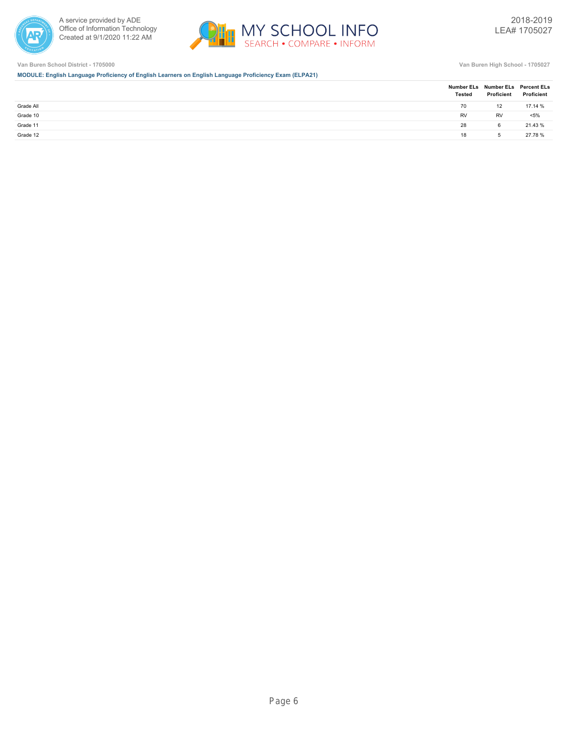



**MODULE: English Language Proficiency of English Learners on English Language Proficiency Exam (ELPA21)**

|           | <b>Tested</b> | Number ELs Number ELs Percent ELs<br>Proficient | Proficient |
|-----------|---------------|-------------------------------------------------|------------|
| Grade All | 70            | 12                                              | 17.14 %    |
| Grade 10  | RV            | <b>RV</b>                                       | $< 5\%$    |
| Grade 11  | 28            | 6                                               | 21.43 %    |
| Grade 12  | 18            | -5                                              | 27.78 %    |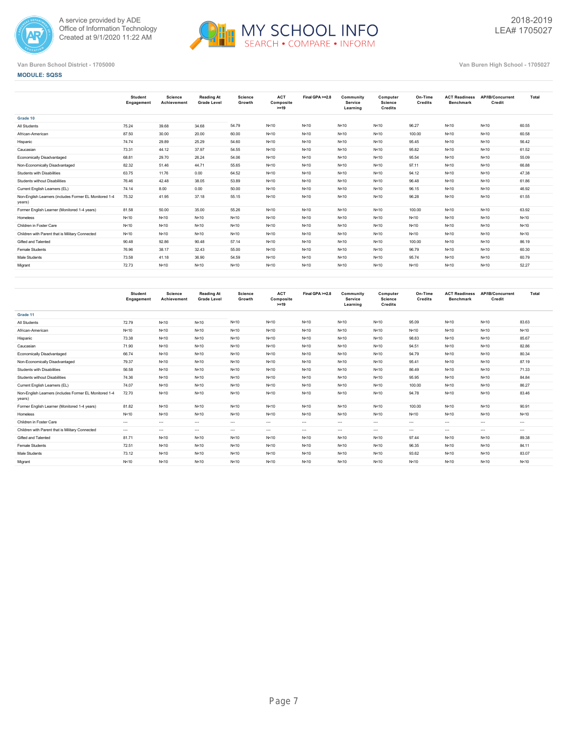



### **MODULE: SQSS**

|                                                                  | <b>Student</b><br>Engagement | Science<br>Achievement | Reading At<br><b>Grade Level</b> | Science<br>Growth | <b>ACT</b><br>Composite<br>$>=19$ | Final GPA >=2.8 | Community<br>Service<br>Learning | Computer<br>Science<br>Credits | On-Time<br>Credits | <b>ACT Readiness</b><br><b>Benchmark</b> | AP/IB/Concurrent<br>Credit | Total  |
|------------------------------------------------------------------|------------------------------|------------------------|----------------------------------|-------------------|-----------------------------------|-----------------|----------------------------------|--------------------------------|--------------------|------------------------------------------|----------------------------|--------|
| Grade 10                                                         |                              |                        |                                  |                   |                                   |                 |                                  |                                |                    |                                          |                            |        |
| All Students                                                     | 75.24                        | 39.68                  | 34.68                            | 54.79             | N < 10                            | N < 10          | N<10                             | N<10                           | 96.27              | N<10                                     | N<10                       | 60.55  |
| African-American                                                 | 87.50                        | 30.00                  | 20.00                            | 60.00             | N<10                              | N < 10          | N<10                             | N<10                           | 100.00             | N<10                                     | N<10                       | 60.58  |
| Hispanic                                                         | 74.74                        | 29.89                  | 25.29                            | 54.60             | N<10                              | N < 10          | N<10                             | N<10                           | 95.45              | N<10                                     | N<10                       | 56.42  |
| Caucasian                                                        | 73.31                        | 44.12                  | 37.97                            | 54.55             | N<10                              | N < 10          | N<10                             | N<10                           | 95.82              | N<10                                     | N<10                       | 61.52  |
| Economically Disadvantaged                                       | 68.81                        | 29.70                  | 26.24                            | 54.06             | N<10                              | N < 10          | N<10                             | N<10                           | 95.54              | N<10                                     | N<10                       | 55.09  |
| Non-Economically Disadvantaged                                   | 82.32                        | 51.46                  | 44.71                            | 55.65             | N<10                              | N < 10          | N<10                             | N<10                           | 97.11              | N<10                                     | N<10                       | 66.88  |
| Students with Disabilities                                       | 63.75                        | 11.76                  | 0.00                             | 64.52             | N<10                              | N < 10          | N<10                             | N<10                           | 94.12              | N<10                                     | N<10                       | 47.38  |
| Students without Disabilities                                    | 76.46                        | 42.48                  | 38.05                            | 53.89             | N<10                              | N < 10          | N<10                             | N<10                           | 96.48              | N<10                                     | N<10                       | 61.86  |
| Current English Learners (EL)                                    | 74.14                        | 8.00                   | 0.00                             | 50.00             | N<10                              | N < 10          | N<10                             | N<10                           | 96.15              | N<10                                     | N<10                       | 46.92  |
| Non-English Learners (includes Former EL Monitored 1-4<br>years) | 75.32                        | 41.95                  | 37.18                            | 55.15             | N<10                              | N < 10          | N<10                             | N<10                           | 96.28              | N<10                                     | N<10                       | 61.55  |
| Former English Learner (Monitored 1-4 years)                     | 81.58                        | 50.00                  | 35.00                            | 55.26             | N<10                              | N<10            | N<10                             | N<10                           | 100.00             | N<10                                     | N<10                       | 63.92  |
| Homeless                                                         | N<10                         | N<10                   | N<10                             | N<10              | N<10                              | N < 10          | N<10                             | N<10                           | N<10               | N<10                                     | N<10                       | N < 10 |
| Children in Foster Care                                          | N < 10                       | N<10                   | N<10                             | N<10              | N<10                              | N < 10          | N<10                             | N<10                           | N<10               | N<10                                     | N<10                       | N < 10 |
| Children with Parent that is Military Connected                  | N<10                         | N<10                   | N < 10                           | N<10              | N<10                              | N<10            | N<10                             | N<10                           | N<10               | N<10                                     | N<10                       | N < 10 |
| Gifted and Talented                                              | 90.48                        | 92.86                  | 90.48                            | 57.14             | N<10                              | N < 10          | N<10                             | N<10                           | 100.00             | N<10                                     | N<10                       | 86.19  |
| Female Students                                                  | 76.96                        | 38.17                  | 32.43                            | 55.00             | N<10                              | N < 10          | N<10                             | N<10                           | 96.79              | N<10                                     | N<10                       | 60.30  |
| Male Students                                                    | 73.58                        | 41.18                  | 36.90                            | 54.59             | N < 10                            | N < 10          | N<10                             | N<10                           | 95.74              | N<10                                     | N<10                       | 60.79  |
| Migrant                                                          | 72.73                        | N<10                   | N<10                             | N<10              | N < 10                            | N < 10          | N<10                             | N<10                           | N<10               | N<10                                     | N<10                       | 52.27  |
|                                                                  |                              |                        |                                  |                   |                                   |                 |                                  |                                |                    |                                          |                            |        |

|                                                                  | <b>Student</b><br>Engagement | Science<br>Achievement | Reading At<br><b>Grade Level</b> | Science<br>Growth | <b>ACT</b><br>Composite<br>$>=19$ | Final GPA >=2.8 | Community<br>Service<br>Learning | Computer<br><b>Science</b><br><b>Credits</b> | On-Time<br>Credits | <b>ACT Readiness</b><br>Benchmark | AP/IB/Concurrent<br>Credit | Total    |
|------------------------------------------------------------------|------------------------------|------------------------|----------------------------------|-------------------|-----------------------------------|-----------------|----------------------------------|----------------------------------------------|--------------------|-----------------------------------|----------------------------|----------|
| Grade 11                                                         |                              |                        |                                  |                   |                                   |                 |                                  |                                              |                    |                                   |                            |          |
| All Students                                                     | 72.79                        | N<10                   | N<10                             | N<10              | N<10                              | N < 10          | N<10                             | N<10                                         | 95.09              | N<10                              | N<10                       | 83.63    |
| African-American                                                 | N<10                         | N<10                   | N < 10                           | N<10              | N<10                              | N < 10          | N<10                             | N<10                                         | N<10               | N<10                              | N<10                       | N<10     |
| Hispanic                                                         | 73.38                        | N<10                   | N < 10                           | N<10              | N<10                              | N < 10          | N<10                             | N<10                                         | 98.63              | N < 10                            | N<10                       | 85.67    |
| Caucasian                                                        | 71.90                        | N<10                   | N < 10                           | N<10              | N<10                              | N < 10          | N < 10                           | N<10                                         | 94.51              | N<10                              | N<10                       | 82.86    |
| Economically Disadvantaged                                       | 66.74                        | N<10                   | N < 10                           | N<10              | N<10                              | N < 10          | N<10                             | N<10                                         | 94.79              | N<10                              | N<10                       | 80.34    |
| Non-Economically Disadvantaged                                   | 79.37                        | N<10                   | N<10                             | N<10              | N<10                              | N < 10          | N<10                             | N<10                                         | 95.41              | N < 10                            | N<10                       | 87.19    |
| Students with Disabilities                                       | 56.58                        | N<10                   | N < 10                           | N<10              | N<10                              | N<10            | N<10                             | N<10                                         | 86.49              | N<10                              | N<10                       | 71.33    |
| Students without Disabilities                                    | 74.36                        | N<10                   | N<10                             | N<10              | N<10                              | N < 10          | N<10                             | N<10                                         | 95.95              | N < 10                            | N<10                       | 84.84    |
| Current English Learners (EL)                                    | 74.07                        | N<10                   | N < 10                           | N<10              | N<10                              | N < 10          | N<10                             | N<10                                         | 100.00             | N < 10                            | N<10                       | 86.27    |
| Non-English Learners (includes Former EL Monitored 1-4<br>years) | 72.70                        | N<10                   | N < 10                           | N<10              | N<10                              | N<10            | N<10                             | N<10                                         | 94.78              | N<10                              | N<10                       | 83.46    |
| Former English Learner (Monitored 1-4 years)                     | 81.82                        | N<10                   | N<10                             | N<10              | N<10                              | N < 10          | N < 10                           | N<10                                         | 100.00             | N<10                              | N<10                       | 90.91    |
| Homeless                                                         | N<10                         | N<10                   | N < 10                           | N<10              | N<10                              | N<10            | N<10                             | N<10                                         | N<10               | N<10                              | N<10                       | N<10     |
| Children in Foster Care                                          | $\cdots$                     | $\cdots$               | $\sim$                           | $\cdots$          | $\cdots$                          | $---$           | $- - -$                          | $- - -$                                      | $\sim$             | $\cdots$                          | $\cdots$                   | $\cdots$ |
| Children with Parent that is Military Connected                  | $---$                        | $\cdots$               | $\sim$                           | $\cdots$          | $\cdots$                          | $---$           | $\cdots$                         | $\cdots$                                     | $\cdots$           | $\cdots$                          | $\cdots$                   | $\cdots$ |
| Gifted and Talented                                              | 81.71                        | N<10                   | N < 10                           | N<10              | N<10                              | N<10            | N<10                             | N<10                                         | 97.44              | N < 10                            | N < 10                     | 89.38    |
| Female Students                                                  | 72.51                        | N<10                   | N < 10                           | N<10              | N<10                              | N < 10          | N<10                             | N<10                                         | 96.35              | N<10                              | N<10                       | 84.11    |
| Male Students                                                    | 73.12                        | N<10                   | N < 10                           | N<10              | N<10                              | N < 10          | N < 10                           | N<10                                         | 93.62              | N < 10                            | N < 10                     | 83.07    |
| Migrant                                                          | N < 10                       | N<10                   | N < 10                           | N<10              | N<10                              | N < 10          | N<10                             | N<10                                         | N < 10             | N < 10                            | N < 10                     | N < 10   |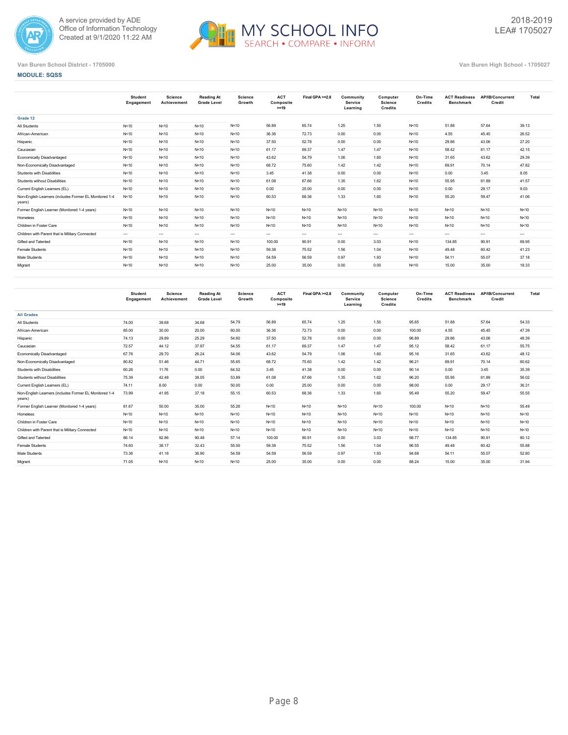



**MODULE: SQSS**

|                                                                  | Student<br>Engagement | Science<br>Achievement | <b>Reading At</b><br><b>Grade Level</b> | Science<br>Growth | <b>ACT</b><br>Composite<br>$>=19$ | Final GPA >=2.8 | Community<br>Service<br>Learning | Computer<br><b>Science</b><br>Credits | On-Time<br>Credits | <b>ACT Readiness</b><br><b>Benchmark</b> | AP/IB/Concurrent<br>Credit | Total    |
|------------------------------------------------------------------|-----------------------|------------------------|-----------------------------------------|-------------------|-----------------------------------|-----------------|----------------------------------|---------------------------------------|--------------------|------------------------------------------|----------------------------|----------|
| Grade 12                                                         |                       |                        |                                         |                   |                                   |                 |                                  |                                       |                    |                                          |                            |          |
| All Students                                                     | N<10                  | N < 10                 | N<10                                    | N<10              | 56.89                             | 65.74           | 1.25                             | 1.50                                  | N<10               | 51.88                                    | 57.64                      | 39.13    |
| African-American                                                 | N<10                  | N<10                   | N<10                                    | N<10              | 36.36                             | 72.73           | 0.00                             | 0.00                                  | N < 10             | 4.55                                     | 45.45                      | 26.52    |
| Hispanic                                                         | N<10                  | N < 10                 | N<10                                    | N<10              | 37.50                             | 52.78           | 0.00                             | 0.00                                  | N < 10             | 29.86                                    | 43.06                      | 27.20    |
| Caucasian                                                        | N<10                  | N < 10                 | N<10                                    | N<10              | 61.17                             | 69.37           | 1.47                             | 1.47                                  | N < 10             | 58.42                                    | 61.17                      | 42.15    |
| Economically Disadvantaged                                       | N<10                  | N < 10                 | N<10                                    | N<10              | 43.62                             | 54.79           | 1.06                             | 1.60                                  | N < 10             | 31.65                                    | 43.62                      | 29.39    |
| Non-Economically Disadvantaged                                   | N<10                  | N < 10                 | N<10                                    | N<10              | 68.72                             | 75.60           | 1.42                             | 1.42                                  | N<10               | 69.91                                    | 70.14                      | 47.82    |
| Students with Disabilities                                       | N<10                  | N<10                   | N<10                                    | N<10              | 3.45                              | 41.38           | 0.00                             | 0.00                                  | N<10               | 0.00                                     | 3.45                       | 8.05     |
| Students without Disabilities                                    | N<10                  | N < 10                 | N<10                                    | N<10              | 61.08                             | 67.66           | 1.35                             | 1.62                                  | N<10               | 55.95                                    | 61.89                      | 41.57    |
| Current English Learners (EL)                                    | N<10                  | N < 10                 | N<10                                    | N<10              | 0.00                              | 25.00           | 0.00                             | 0.00                                  | N<10               | 0.00                                     | 29.17                      | 9.03     |
| Non-English Learners (includes Former EL Monitored 1-4<br>years) | N<10                  | N < 10                 | N<10                                    | N<10              | 60.53                             | 68.36           | 1.33                             | 1.60                                  | N<10               | 55.20                                    | 59.47                      | 41.06    |
| Former English Learner (Monitored 1-4 years)                     | N<10                  | N < 10                 | N<10                                    | N<10              | N < 10                            | N<10            | N<10                             | N < 10                                | N < 10             | N<10                                     | N<10                       | N < 10   |
| Homeless                                                         | N<10                  | N<10                   | N<10                                    | N<10              | N<10                              | N<10            | N<10                             | N<10                                  | N<10               | N < 10                                   | N<10                       | N<10     |
| Children in Foster Care                                          | N<10                  | N < 10                 | N < 10                                  | N<10              | N < 10                            | N<10            | N<10                             | N < 10                                | N<10               | N < 10                                   | N<10                       | N<10     |
| Children with Parent that is Military Connected                  | $\cdots$              | $\cdots$               | $\cdots$                                | $\cdots$          | $\cdots$                          | $---$           | $\cdots$                         | $\cdots$                              | $\cdots$           | $\cdots$                                 | $\cdots$                   | $\cdots$ |
| Gifted and Talented                                              | N<10                  | N < 10                 | N<10                                    | N<10              | 100.00                            | 90.91           | 0.00                             | 3.03                                  | N < 10             | 134.85                                   | 90.91                      | 69.95    |
| Female Students                                                  | N<10                  | N<10                   | N<10                                    | N<10              | 59.38                             | 75.52           | 1.56                             | 1.04                                  | N<10               | 49.48                                    | 60.42                      | 41.23    |
| Male Students                                                    | N<10                  | N<10                   | N<10                                    | N<10              | 54.59                             | 56.59           | 0.97                             | 1.93                                  | N<10               | 54.11                                    | 55.07                      | 37.18    |
| Migrant                                                          | N<10                  | N < 10                 | N<10                                    | N<10              | 25.00                             | 35.00           | 0.00                             | 0.00                                  | N < 10             | 15.00                                    | 35.00                      | 18.33    |
|                                                                  |                       |                        |                                         |                   |                                   |                 |                                  |                                       |                    |                                          |                            |          |

|                                                                  | <b>Student</b><br>Engagement | Science<br>Achievement | Reading At<br><b>Grade Level</b> | <b>Science</b><br>Growth | <b>ACT</b><br>Composite<br>$>=19$ | Final GPA >=2.8 | Community<br>Service<br>Learning | Computer<br><b>Science</b><br><b>Credits</b> | On-Time<br><b>Credits</b> | <b>ACT Readiness</b><br><b>Benchmark</b> | AP/IB/Concurrent<br>Credit | Total  |
|------------------------------------------------------------------|------------------------------|------------------------|----------------------------------|--------------------------|-----------------------------------|-----------------|----------------------------------|----------------------------------------------|---------------------------|------------------------------------------|----------------------------|--------|
| <b>All Grades</b>                                                |                              |                        |                                  |                          |                                   |                 |                                  |                                              |                           |                                          |                            |        |
| All Students                                                     | 74.00                        | 39.68                  | 34.68                            | 54.79                    | 56.89                             | 65.74           | 1.25                             | 1.50                                         | 95.65                     | 51.88                                    | 57.64                      | 54.33  |
| African-American                                                 | 85.00                        | 30.00                  | 20.00                            | 60.00                    | 36.36                             | 72.73           | 0.00                             | 0.00                                         | 100.00                    | 4.55                                     | 45.45                      | 47.39  |
| Hispanic                                                         | 74.13                        | 29.89                  | 25.29                            | 54.60                    | 37.50                             | 52.78           | 0.00                             | 0.00                                         | 96.89                     | 29.86                                    | 43.06                      | 48.39  |
| Caucasian                                                        | 72.57                        | 44.12                  | 37.97                            | 54.55                    | 61.17                             | 69.37           | 1.47                             | 1.47                                         | 95.12                     | 58.42                                    | 61.17                      | 55.75  |
| Economically Disadvantaged                                       | 67.76                        | 29.70                  | 26.24                            | 54.06                    | 43.62                             | 54.79           | 1.06                             | 1.60                                         | 95.16                     | 31.65                                    | 43.62                      | 48.12  |
| Non-Economically Disadvantaged                                   | 80.82                        | 51.46                  | 44.71                            | 55.65                    | 68.72                             | 75.60           | 1.42                             | 1.42                                         | 96.21                     | 69.91                                    | 70.14                      | 60.62  |
| Students with Disabilities                                       | 60.26                        | 11.76                  | 0.00                             | 64.52                    | 3.45                              | 41.38           | 0.00                             | 0.00                                         | 90.14                     | 0.00                                     | 3.45                       | 35.39  |
| Students without Disabilities                                    | 75.39                        | 42.48                  | 38.05                            | 53.89                    | 61.08                             | 67.66           | 1.35                             | 1.62                                         | 96.20                     | 55.95                                    | 61.89                      | 56.02  |
| Current English Learners (EL)                                    | 74.11                        | 8.00                   | 0.00                             | 50.00                    | 0.00                              | 25.00           | 0.00                             | 0.00                                         | 98.00                     | 0.00                                     | 29.17                      | 36.31  |
| Non-English Learners (includes Former EL Monitored 1-4<br>years) | 73.99                        | 41.95                  | 37.18                            | 55.15                    | 60.53                             | 68.36           | 1.33                             | 1.60                                         | 95.49                     | 55.20                                    | 59.47                      | 55.55  |
| Former English Learner (Monitored 1-4 years)                     | 81.67                        | 50.00                  | 35.00                            | 55.26                    | N < 10                            | N<10            | N < 10                           | N<10                                         | 100.00                    | N < 10                                   | N < 10                     | 55.49  |
| Homeless                                                         | N<10                         | N<10                   | N < 10                           | N<10                     | N < 10                            | N<10            | N < 10                           | N<10                                         | N<10                      | N<10                                     | N < 10                     | N < 10 |
| Children in Foster Care                                          | N<10                         | N < 10                 | N<10                             | N<10                     | N < 10                            | N<10            | N < 10                           | N<10                                         | N<10                      | N<10                                     | N<10                       | N < 10 |
| Children with Parent that is Military Connected                  | N<10                         | N<10                   | N < 10                           | N<10                     | N<10                              | N<10            | N < 10                           | N<10                                         | N<10                      | N<10                                     | N < 10                     | N < 10 |
| Gifted and Talented                                              | 86.14                        | 92.86                  | 90.48                            | 57.14                    | 100.00                            | 90.91           | 0.00                             | 3.03                                         | 98.77                     | 134.85                                   | 90.91                      | 80.12  |
| Female Students                                                  | 74.60                        | 38.17                  | 32.43                            | 55.00                    | 59.38                             | 75.52           | 1.56                             | 1.04                                         | 96.55                     | 49.48                                    | 60.42                      | 55.88  |
| Male Students                                                    | 73.36                        | 41.18                  | 36.90                            | 54.59                    | 54.59                             | 56.59           | 0.97                             | 1.93                                         | 94.68                     | 54.11                                    | 55.07                      | 52.80  |
| Migrant                                                          | 71.05                        | N<10                   | N<10                             | N < 10                   | 25.00                             | 35.00           | 0.00                             | 0.00                                         | 88.24                     | 15.00                                    | 35.00                      | 31.94  |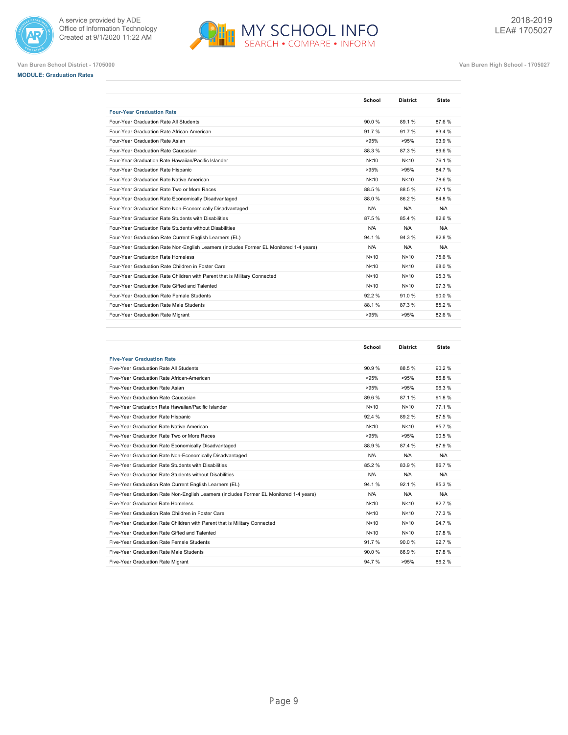



**MODULE: Graduation Rates**



|                                                                                         | School | <b>District</b> | <b>State</b> |
|-----------------------------------------------------------------------------------------|--------|-----------------|--------------|
| <b>Four-Year Graduation Rate</b>                                                        |        |                 |              |
| Four-Year Graduation Rate All Students                                                  | 90.0%  | 89.1%           | 87.6%        |
| Four-Year Graduation Rate African-American                                              | 91.7%  | 91.7%           | 83.4 %       |
| Four-Year Graduation Rate Asian                                                         | >95%   | >95%            | 93.9%        |
| Four-Year Graduation Rate Caucasian                                                     | 88.3%  | 87.3%           | 89.6%        |
| Four-Year Graduation Rate Hawaiian/Pacific Islander                                     | N<10   | N<10            | 76.1%        |
| Four-Year Graduation Rate Hispanic                                                      | >95%   | >95%            | 84.7%        |
| Four-Year Graduation Rate Native American                                               | N<10   | N<10            | 78.6%        |
| Four-Year Graduation Rate Two or More Races                                             | 88.5%  | 88.5%           | 87.1%        |
| Four-Year Graduation Rate Economically Disadvantaged                                    | 88.0%  | 86.2%           | 84.8%        |
| Four-Year Graduation Rate Non-Economically Disadvantaged                                | N/A    | N/A             | N/A          |
| Four-Year Graduation Rate Students with Disabilities                                    | 87.5%  | 85.4 %          | 82.6%        |
| Four-Year Graduation Rate Students without Disabilities                                 | N/A    | N/A             | N/A          |
| Four-Year Graduation Rate Current English Learners (EL)                                 | 94.1%  | 94.3%           | 82.8%        |
| Four-Year Graduation Rate Non-English Learners (includes Former EL Monitored 1-4 years) | N/A    | N/A             | N/A          |
| Four-Year Graduation Rate Homeless                                                      | N < 10 | N<10            | 75.6%        |
| Four-Year Graduation Rate Children in Foster Care                                       | N<10   | N<10            | 68.0%        |
| Four-Year Graduation Rate Children with Parent that is Military Connected               | N < 10 | N<10            | 95.3%        |
| Four-Year Graduation Rate Gifted and Talented                                           | N<10   | N<10            | 97.3%        |
| Four-Year Graduation Rate Female Students                                               | 92.2%  | 91.0%           | 90.0%        |
| Four-Year Graduation Rate Male Students                                                 | 88.1%  | 87.3%           | 85.2%        |
| Four-Year Graduation Rate Migrant                                                       | >95%   | >95%            | 82.6%        |

|                                                                                         | School | <b>District</b> | <b>State</b> |
|-----------------------------------------------------------------------------------------|--------|-----------------|--------------|
| <b>Five-Year Graduation Rate</b>                                                        |        |                 |              |
| Five-Year Graduation Rate All Students                                                  | 90.9%  | 88.5%           | 90.2%        |
| Five-Year Graduation Rate African-American                                              | >95%   | >95%            | 86.8%        |
| Five-Year Graduation Rate Asian                                                         | >95%   | >95%            | 96.3%        |
| Five-Year Graduation Rate Caucasian                                                     | 89.6%  | 87.1%           | 91.8%        |
| Five-Year Graduation Rate Hawaiian/Pacific Islander                                     | N<10   | N<10            | 77.1%        |
| Five-Year Graduation Rate Hispanic                                                      | 92.4%  | 89.2%           | 87.5%        |
| Five-Year Graduation Rate Native American                                               | N<10   | N<10            | 85.7%        |
| Five-Year Graduation Rate Two or More Races                                             | >95%   | >95%            | 90.5%        |
| Five-Year Graduation Rate Economically Disadvantaged                                    | 88.9%  | 87.4 %          | 87.9%        |
| Five-Year Graduation Rate Non-Economically Disadvantaged                                | N/A    | N/A             | N/A          |
| Five-Year Graduation Rate Students with Disabilities                                    | 85.2%  | 83.9%           | 86.7%        |
| Five-Year Graduation Rate Students without Disabilities                                 | N/A    | N/A             | N/A          |
| Five-Year Graduation Rate Current English Learners (EL)                                 | 94.1%  | 92.1%           | 85.3%        |
| Five-Year Graduation Rate Non-English Learners (includes Former EL Monitored 1-4 years) | N/A    | N/A             | N/A          |
| Five-Year Graduation Rate Homeless                                                      | N<10   | N<10            | 82.7%        |
| Five-Year Graduation Rate Children in Foster Care                                       | N<10   | N<10            | 77.3%        |
| Five-Year Graduation Rate Children with Parent that is Military Connected               | N < 10 | N<10            | 94.7%        |
| Five-Year Graduation Rate Gifted and Talented                                           | N<10   | N<10            | 97.8%        |
| Five-Year Graduation Rate Female Students                                               | 91.7%  | 90.0%           | 92.7%        |
| Five-Year Graduation Rate Male Students                                                 | 90.0%  | 86.9%           | 87.8%        |
| Five-Year Graduation Rate Migrant                                                       | 94.7%  | >95%            | 86.2%        |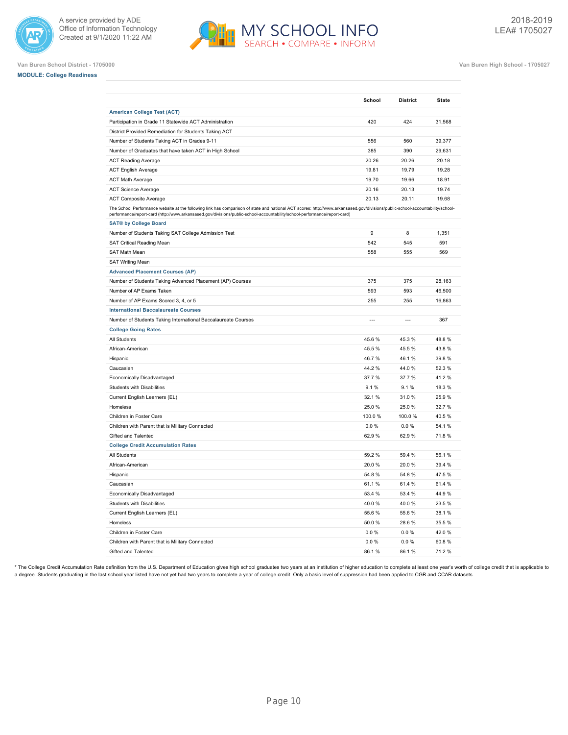



**Van Buren School District - 1705000 Van Buren High School - 1705027**

|  | <b>MODULE: College Readiness</b> |
|--|----------------------------------|
|  |                                  |

|                                                                                                                                                                                                                                                                                                             | School         | <b>District</b> | <b>State</b> |
|-------------------------------------------------------------------------------------------------------------------------------------------------------------------------------------------------------------------------------------------------------------------------------------------------------------|----------------|-----------------|--------------|
| <b>American College Test (ACT)</b>                                                                                                                                                                                                                                                                          |                |                 |              |
| Participation in Grade 11 Statewide ACT Administration                                                                                                                                                                                                                                                      | 420            | 424             | 31,568       |
| District Provided Remediation for Students Taking ACT                                                                                                                                                                                                                                                       |                |                 |              |
| Number of Students Taking ACT in Grades 9-11                                                                                                                                                                                                                                                                | 556            | 560             | 39,377       |
| Number of Graduates that have taken ACT in High School                                                                                                                                                                                                                                                      | 385            | 390             | 29,631       |
| <b>ACT Reading Average</b>                                                                                                                                                                                                                                                                                  | 20.26          | 20.26           | 20.18        |
| <b>ACT English Average</b>                                                                                                                                                                                                                                                                                  | 19.81          | 19.79           | 19.28        |
| <b>ACT Math Average</b>                                                                                                                                                                                                                                                                                     | 19.70          | 19.66           | 18.91        |
| <b>ACT Science Average</b>                                                                                                                                                                                                                                                                                  | 20.16          | 20.13           | 19.74        |
| <b>ACT Composite Average</b>                                                                                                                                                                                                                                                                                | 20.13          | 20.11           | 19.68        |
| The School Performance website at the following link has comparison of state and national ACT scores: http://www.arkansased.gov/divisions/public-school-accountability/school-<br>performance/report-card (http://www.arkansased.gov/divisions/public-school-accountability/school-performance/report-card) |                |                 |              |
| <b>SAT® by College Board</b>                                                                                                                                                                                                                                                                                |                |                 |              |
| Number of Students Taking SAT College Admission Test                                                                                                                                                                                                                                                        | 9              | 8               | 1,351        |
| SAT Critical Reading Mean                                                                                                                                                                                                                                                                                   | 542            | 545             | 591          |
| SAT Math Mean                                                                                                                                                                                                                                                                                               | 558            | 555             | 569          |
| <b>SAT Writing Mean</b>                                                                                                                                                                                                                                                                                     |                |                 |              |
| <b>Advanced Placement Courses (AP)</b>                                                                                                                                                                                                                                                                      |                |                 |              |
| Number of Students Taking Advanced Placement (AP) Courses                                                                                                                                                                                                                                                   | 375            | 375             | 28,163       |
| Number of AP Exams Taken                                                                                                                                                                                                                                                                                    | 593            | 593             | 46,500       |
| Number of AP Exams Scored 3, 4, or 5                                                                                                                                                                                                                                                                        | 255            | 255             | 16,863       |
| <b>International Baccalaureate Courses</b>                                                                                                                                                                                                                                                                  |                |                 |              |
| Number of Students Taking International Baccalaureate Courses                                                                                                                                                                                                                                               | $\overline{a}$ | $\overline{a}$  | 367          |
| <b>College Going Rates</b>                                                                                                                                                                                                                                                                                  |                |                 |              |
| All Students                                                                                                                                                                                                                                                                                                | 45.6%          | 45.3%           | 48.8%        |
| African-American                                                                                                                                                                                                                                                                                            | 45.5 %         | 45.5 %          | 43.8%        |
| Hispanic                                                                                                                                                                                                                                                                                                    | 46.7%          | 46.1%           | 39.8%        |
| Caucasian                                                                                                                                                                                                                                                                                                   | 44.2%          | 44.0%           | 52.3%        |
| Economically Disadvantaged                                                                                                                                                                                                                                                                                  | 37.7 %         | 37.7 %          | 41.2%        |
| <b>Students with Disabilities</b>                                                                                                                                                                                                                                                                           | 9.1%           | 9.1%            | 18.3%        |
| Current English Learners (EL)                                                                                                                                                                                                                                                                               | 32.1 %         | 31.0%           | 25.9%        |
| Homeless                                                                                                                                                                                                                                                                                                    | 25.0%          | 25.0%           | 32.7%        |
| Children in Foster Care                                                                                                                                                                                                                                                                                     | 100.0%         | 100.0%          | 40.5%        |
| Children with Parent that is Military Connected                                                                                                                                                                                                                                                             | 0.0%           | 0.0%            | 54.1%        |
| Gifted and Talented                                                                                                                                                                                                                                                                                         | 62.9%          | 62.9%           | 71.8%        |
| <b>College Credit Accumulation Rates</b>                                                                                                                                                                                                                                                                    |                |                 |              |
| All Students                                                                                                                                                                                                                                                                                                | 59.2%          | 59.4 %          | 56.1%        |
| African-American                                                                                                                                                                                                                                                                                            | 20.0%          | 20.0%           | 39.4 %       |
| Hispanic                                                                                                                                                                                                                                                                                                    | 54.8%          | 54.8%           | 47.5%        |
| Caucasian                                                                                                                                                                                                                                                                                                   | 61.1%          | 61.4 %          | 61.4%        |
| Economically Disadvantaged                                                                                                                                                                                                                                                                                  | 53.4 %         | 53.4 %          | 44.9%        |
| Students with Disabilities                                                                                                                                                                                                                                                                                  | 40.0%          | 40.0%           | 23.5%        |
| Current English Learners (EL)                                                                                                                                                                                                                                                                               | 55.6 %         | 55.6 %          | 38.1%        |
| Homeless                                                                                                                                                                                                                                                                                                    | 50.0%          | 28.6%           | 35.5%        |
| Children in Foster Care                                                                                                                                                                                                                                                                                     | 0.0%           | 0.0%            | 42.0%        |
| Children with Parent that is Military Connected                                                                                                                                                                                                                                                             | 0.0%           | 0.0%            | 60.8%        |
| Gifted and Talented                                                                                                                                                                                                                                                                                         | 86.1%          | 86.1%           | 71.2%        |

\* The College Credit Accumulation Rate definition from the U.S. Department of Education gives high school graduates two years at an institution of higher education to complete at least one year's worth of college credit th a degree. Students graduating in the last school year listed have not yet had two years to complete a year of college credit. Only a basic level of suppression had been applied to CGR and CCAR datasets.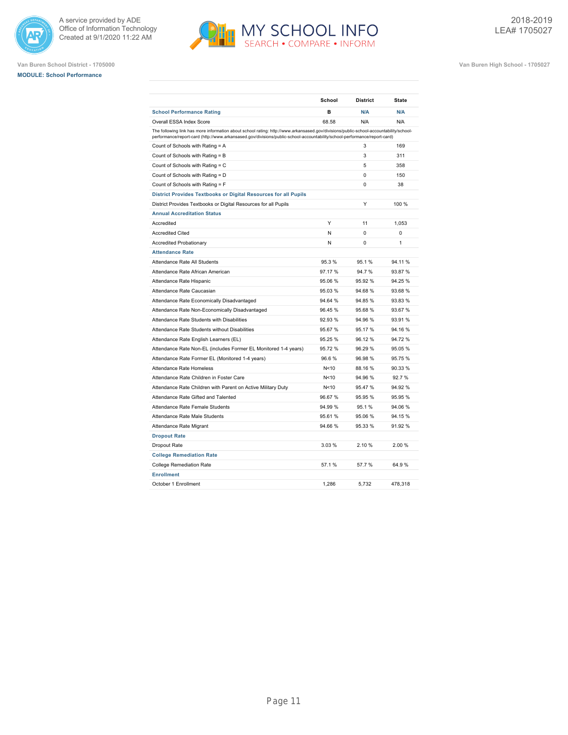





|                                                                                                                                                                                                                                                                    | School  | <b>District</b> | <b>State</b> |
|--------------------------------------------------------------------------------------------------------------------------------------------------------------------------------------------------------------------------------------------------------------------|---------|-----------------|--------------|
| <b>School Performance Rating</b>                                                                                                                                                                                                                                   | в       | N/A             | N/A          |
| Overall ESSA Index Score                                                                                                                                                                                                                                           | 68.58   | N/A             | N/A          |
| The following link has more information about school rating: http://www.arkansased.gov/divisions/public-school-accountability/school-<br>performance/report-card (http://www.arkansased.gov/divisions/public-school-accountability/school-performance/report-card) |         |                 |              |
| Count of Schools with Rating = A                                                                                                                                                                                                                                   |         | 3               | 169          |
| Count of Schools with Rating = B                                                                                                                                                                                                                                   |         | 3               | 311          |
| Count of Schools with Rating = C                                                                                                                                                                                                                                   |         | 5               | 358          |
| Count of Schools with Rating = D                                                                                                                                                                                                                                   |         | 0               | 150          |
| Count of Schools with Rating = F                                                                                                                                                                                                                                   |         | $\Omega$        | 38           |
| District Provides Textbooks or Digital Resources for all Pupils                                                                                                                                                                                                    |         |                 |              |
| District Provides Textbooks or Digital Resources for all Pupils                                                                                                                                                                                                    |         | Υ               | 100 %        |
| <b>Annual Accreditation Status</b>                                                                                                                                                                                                                                 |         |                 |              |
| Accredited                                                                                                                                                                                                                                                         | Υ       | 11              | 1,053        |
| <b>Accredited Cited</b>                                                                                                                                                                                                                                            | N       | 0               | 0            |
| <b>Accredited Probationary</b>                                                                                                                                                                                                                                     | N       | 0               | 1            |
| <b>Attendance Rate</b>                                                                                                                                                                                                                                             |         |                 |              |
| Attendance Rate All Students                                                                                                                                                                                                                                       | 95.3%   | 95.1%           | 94.11%       |
| Attendance Rate African American                                                                                                                                                                                                                                   | 97.17%  | 94.7%           | 93.87%       |
| Attendance Rate Hispanic                                                                                                                                                                                                                                           | 95.06 % | 95.92%          | 94.25 %      |
| Attendance Rate Caucasian                                                                                                                                                                                                                                          | 95.03%  | 94.68%          | 93.68 %      |
| Attendance Rate Economically Disadvantaged                                                                                                                                                                                                                         | 94.64 % | 94.85%          | 93.83 %      |
| Attendance Rate Non-Economically Disadvantaged                                                                                                                                                                                                                     | 96.45%  | 95.68%          | 93.67%       |
| Attendance Rate Students with Disabilities                                                                                                                                                                                                                         | 92.93%  | 94.96%          | 93.91 %      |
| Attendance Rate Students without Disabilities                                                                                                                                                                                                                      | 95.67%  | 95.17%          | 94.16%       |
| Attendance Rate English Learners (EL)                                                                                                                                                                                                                              | 95.25 % | 96.12%          | 94.72%       |
| Attendance Rate Non-EL (includes Former EL Monitored 1-4 years)                                                                                                                                                                                                    | 95.72%  | 96.29%          | 95.05 %      |
| Attendance Rate Former EL (Monitored 1-4 years)                                                                                                                                                                                                                    | 96.6%   | 96.98%          | 95.75%       |
| Attendance Rate Homeless                                                                                                                                                                                                                                           | N<10    | 88.16%          | 90.33 %      |
| Attendance Rate Children in Foster Care                                                                                                                                                                                                                            | N<10    | 94.96%          | 92.7%        |
| Attendance Rate Children with Parent on Active Military Duty                                                                                                                                                                                                       | N<10    | 95.47%          | 94.92 %      |
| Attendance Rate Gifted and Talented                                                                                                                                                                                                                                | 96.67%  | 95.95%          | 95.95 %      |
| Attendance Rate Female Students                                                                                                                                                                                                                                    | 94.99%  | 95.1%           | 94.06%       |
| Attendance Rate Male Students                                                                                                                                                                                                                                      | 95.61%  | 95.06%          | 94.15%       |
| Attendance Rate Migrant                                                                                                                                                                                                                                            | 94.66 % | 95.33 %         | 91.92 %      |
| <b>Dropout Rate</b>                                                                                                                                                                                                                                                |         |                 |              |
| Dropout Rate                                                                                                                                                                                                                                                       | 3.03%   | 2.10 %          | 2.00%        |
| <b>College Remediation Rate</b>                                                                                                                                                                                                                                    |         |                 |              |
| <b>College Remediation Rate</b>                                                                                                                                                                                                                                    | 57.1%   | 57.7%           | 64.9%        |
| <b>Enrollment</b>                                                                                                                                                                                                                                                  |         |                 |              |
| October 1 Enrollment                                                                                                                                                                                                                                               | 1,286   | 5,732           | 478,318      |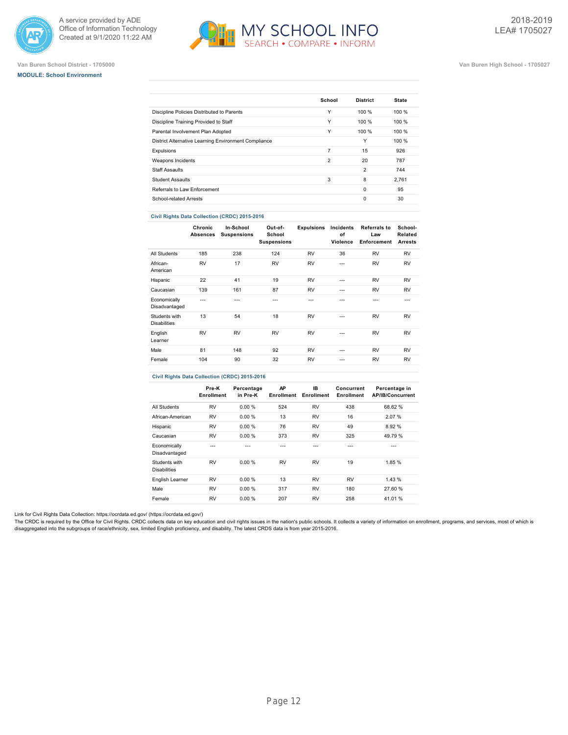

# **Van Buren School District - 1705000 Van Buren High School - 1705027**



2018-2019 LEA# 1705027

**MODULE: School Environment**

|                                                      | School         | <b>District</b> | <b>State</b> |
|------------------------------------------------------|----------------|-----------------|--------------|
| Discipline Policies Distributed to Parents           | Υ              | 100%            | 100%         |
| Discipline Training Provided to Staff                | Υ              | 100%            | 100%         |
| Parental Involvement Plan Adopted                    | Υ              | 100 %           | 100 %        |
| District Alternative Learning Environment Compliance |                | Υ               | 100 %        |
| Expulsions                                           | 7              | 15              | 926          |
| Weapons Incidents                                    | $\overline{2}$ | 20              | 787          |
| <b>Staff Assaults</b>                                |                | $\overline{2}$  | 744          |
| <b>Student Assaults</b>                              | 3              | 8               | 2.761        |
| Referrals to Law Enforcement                         |                | $\Omega$        | 95           |
| School-related Arrests                               |                | $\Omega$        | 30           |

### **Civil Rights Data Collection (CRDC) 2015-2016**

|                                      | Chronic<br>Absences | In-School<br><b>Suspensions</b> | Out-of-<br>School<br><b>Suspensions</b> | <b>Expulsions</b> | Incidents<br>of<br>Violence | <b>Referrals to</b><br>Law<br>Enforcement | School-<br>Related<br><b>Arrests</b> |
|--------------------------------------|---------------------|---------------------------------|-----------------------------------------|-------------------|-----------------------------|-------------------------------------------|--------------------------------------|
| All Students                         | 185                 | 238                             | 124                                     | <b>RV</b>         | 36                          | <b>RV</b>                                 | <b>RV</b>                            |
| African-<br>American                 | <b>RV</b>           | 17                              | <b>RV</b>                               | <b>RV</b>         | $- - -$                     | <b>RV</b>                                 | <b>RV</b>                            |
| Hispanic                             | 22                  | 41                              | 19                                      | <b>RV</b>         | $- - -$                     | <b>RV</b>                                 | <b>RV</b>                            |
| Caucasian                            | 139                 | 161                             | 87                                      | <b>RV</b>         | $- - -$                     | <b>RV</b>                                 | <b>RV</b>                            |
| Economically<br>Disadvantaged        | ---                 | ---                             | $- - -$                                 | ---               | ---                         | ---                                       | $- - -$                              |
| Students with<br><b>Disabilities</b> | 13                  | 54                              | 18                                      | <b>RV</b>         | $- - -$                     | <b>RV</b>                                 | <b>RV</b>                            |
| English<br>Learner                   | <b>RV</b>           | <b>RV</b>                       | <b>RV</b>                               | <b>RV</b>         | $- - -$                     | <b>RV</b>                                 | <b>RV</b>                            |
| Male                                 | 81                  | 148                             | 92                                      | <b>RV</b>         | $- - -$                     | <b>RV</b>                                 | <b>RV</b>                            |
| Female                               | 104                 | 90                              | 32                                      | <b>RV</b>         | $- - -$                     | <b>RV</b>                                 | <b>RV</b>                            |
|                                      |                     |                                 |                                         |                   |                             |                                           |                                      |

# **Civil Rights Data Collection (CRDC) 2015-2016**

|                                      | Pre-K<br>Enrollment | Percentage<br>in Pre-K | AΡ<br><b>Enrollment</b> | IB<br>Enrollment | Concurrent<br>Enrollment | Percentage in<br><b>AP/IB/Concurrent</b> |
|--------------------------------------|---------------------|------------------------|-------------------------|------------------|--------------------------|------------------------------------------|
| All Students                         | <b>RV</b>           | 0.00%                  | 524                     | <b>RV</b>        | 438                      | 68.62%                                   |
| African-American                     | <b>RV</b>           | 0.00%                  | 13                      | <b>RV</b>        | 16                       | 2.07%                                    |
| Hispanic                             | <b>RV</b>           | 0.00%                  | 76                      | <b>RV</b>        | 49                       | 8.92 %                                   |
| Caucasian                            | <b>RV</b>           | 0.00%                  | 373                     | <b>RV</b>        | 325                      | 49.79%                                   |
| Economically<br>Disadvantaged        | ---                 |                        | ---                     | ---              | ---                      | ---                                      |
| Students with<br><b>Disabilities</b> | <b>RV</b>           | 0.00 %                 | <b>RV</b>               | <b>RV</b>        | 19                       | 1.85 %                                   |
| English Learner                      | <b>RV</b>           | 0.00 %                 | 13                      | <b>RV</b>        | <b>RV</b>                | 1.43%                                    |
| Male                                 | <b>RV</b>           | 0.00%                  | 317                     | <b>RV</b>        | 180                      | 27.60 %                                  |
| Female                               | <b>RV</b>           | 0.00%                  | 207                     | RV               | 258                      | 41.01 %                                  |

Link for Civil Rights Data Collection: [https://ocrdata.ed.gov/ \(https://ocrdata.ed.gov/\)](https://ocrdata.ed.gov/)

The CRDC is required by the Office for Civil Rights. CRDC collects data on key education and civil rights issues in the nation's public schools. It collects a variety of information on enrollment, programs, and services, m disaggregated into the subgroups of race/ethnicity, sex, limited English proficiency, and disability. The latest CRDS data is from year 2015-2016.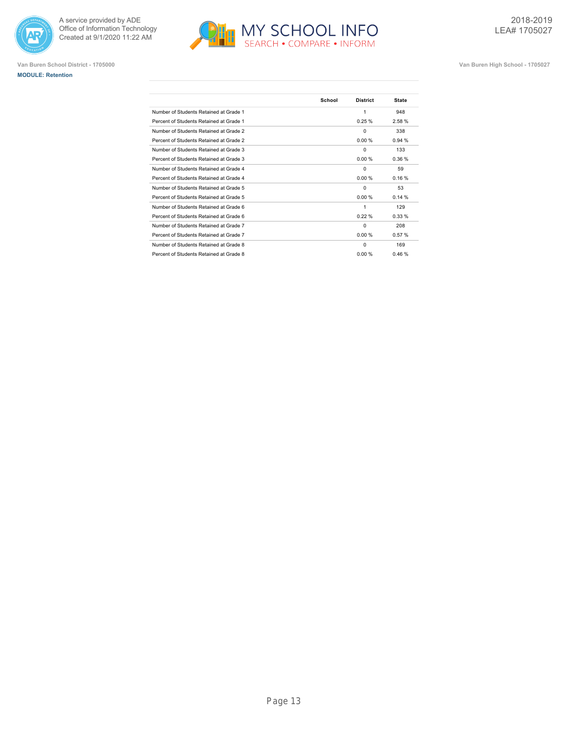





|                                         | School | <b>District</b> | <b>State</b> |
|-----------------------------------------|--------|-----------------|--------------|
| Number of Students Retained at Grade 1  |        | 1               | 948          |
| Percent of Students Retained at Grade 1 |        | 0.25%           | 2.58%        |
| Number of Students Retained at Grade 2  |        | $\Omega$        | 338          |
| Percent of Students Retained at Grade 2 |        | 0.00%           | 0.94%        |
| Number of Students Retained at Grade 3  |        | $\mathbf 0$     | 133          |
| Percent of Students Retained at Grade 3 |        | 0.00%           | 0.36%        |
| Number of Students Retained at Grade 4  |        | $\Omega$        | 59           |
| Percent of Students Retained at Grade 4 |        | 0.00%           | 0.16%        |
| Number of Students Retained at Grade 5  |        | $\Omega$        | 53           |
| Percent of Students Retained at Grade 5 |        | 0.00%           | 0.14%        |
| Number of Students Retained at Grade 6  |        | 1               | 129          |
| Percent of Students Retained at Grade 6 |        | 0.22%           | 0.33%        |
| Number of Students Retained at Grade 7  |        | $\Omega$        | 208          |
| Percent of Students Retained at Grade 7 |        | 0.00%           | 0.57%        |
| Number of Students Retained at Grade 8  |        | $\Omega$        | 169          |
| Percent of Students Retained at Grade 8 |        | 0.00%           | 0.46%        |
|                                         |        |                 |              |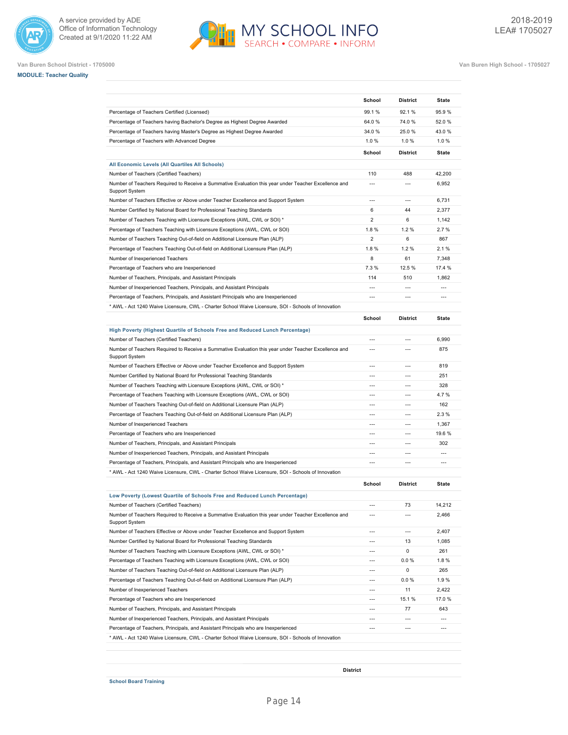







**Van Buren School District - 1705000 Van Buren High School - 1705027**

|                                                                                                                                                              | School                | <b>District</b> | <b>State</b>                               |
|--------------------------------------------------------------------------------------------------------------------------------------------------------------|-----------------------|-----------------|--------------------------------------------|
| Percentage of Teachers Certified (Licensed)                                                                                                                  | 99.1%                 | 92.1%           | 95.9%                                      |
| Percentage of Teachers having Bachelor's Degree as Highest Degree Awarded                                                                                    | 64.0%                 | 74.0%           | 52.0%                                      |
| Percentage of Teachers having Master's Degree as Highest Degree Awarded                                                                                      | 34.0 %                | 25.0%           | 43.0%                                      |
| Percentage of Teachers with Advanced Degree                                                                                                                  | 1.0%                  | 1.0%            | 1.0%                                       |
|                                                                                                                                                              | School                | <b>District</b> | <b>State</b>                               |
| All Economic Levels (All Quartiles All Schools)                                                                                                              |                       |                 |                                            |
| Number of Teachers (Certified Teachers)                                                                                                                      | 110                   | 488             | 42,200                                     |
| Number of Teachers Required to Receive a Summative Evaluation this year under Teacher Excellence and<br>Support System                                       | $\overline{a}$        | $\overline{a}$  | 6,952                                      |
| Number of Teachers Effective or Above under Teacher Excellence and Support System                                                                            | $\overline{a}$        | $\overline{a}$  | 6,731                                      |
| Number Certified by National Board for Professional Teaching Standards                                                                                       | 6                     | 44              | 2,377                                      |
| Number of Teachers Teaching with Licensure Exceptions (AWL, CWL or SOI) *                                                                                    | $\overline{2}$        | 6               | 1,142                                      |
| Percentage of Teachers Teaching with Licensure Exceptions (AWL, CWL or SOI)                                                                                  | 1.8%                  | 1.2%            | 2.7%                                       |
| Number of Teachers Teaching Out-of-field on Additional Licensure Plan (ALP)                                                                                  | $\overline{2}$        | 6               | 867                                        |
| Percentage of Teachers Teaching Out-of-field on Additional Licensure Plan (ALP)                                                                              | 1.8%                  | 1.2%            | 2.1%                                       |
| Number of Inexperienced Teachers                                                                                                                             | 8                     | 61              | 7,348                                      |
| Percentage of Teachers who are Inexperienced                                                                                                                 | 7.3%                  | 12.5 %          | 17.4 %                                     |
| Number of Teachers, Principals, and Assistant Principals                                                                                                     | 114                   | 510             | 1,862                                      |
| Number of Inexperienced Teachers, Principals, and Assistant Principals                                                                                       |                       | $\overline{a}$  | $\overline{a}$                             |
| Percentage of Teachers, Principals, and Assistant Principals who are Inexperienced                                                                           | $\overline{a}$        | $\overline{a}$  | $\overline{a}$                             |
| * AWL - Act 1240 Waive Licensure, CWL - Charter School Waive Licensure, SOI - Schools of Innovation                                                          |                       |                 |                                            |
|                                                                                                                                                              | School                | <b>District</b> | <b>State</b>                               |
| High Poverty (Highest Quartile of Schools Free and Reduced Lunch Percentage)                                                                                 |                       |                 |                                            |
| Number of Teachers (Certified Teachers)                                                                                                                      | $\overline{a}$        | $---$           | 6,990                                      |
| Number of Teachers Required to Receive a Summative Evaluation this year under Teacher Excellence and<br>Support System                                       | $\overline{a}$        | $\overline{a}$  | 875                                        |
| Number of Teachers Effective or Above under Teacher Excellence and Support System                                                                            | ---                   | $\overline{a}$  | 819                                        |
| Number Certified by National Board for Professional Teaching Standards                                                                                       | $\overline{a}$        | $\overline{a}$  | 251                                        |
| Number of Teachers Teaching with Licensure Exceptions (AWL, CWL or SOI) *                                                                                    | $\overline{a}$        | $\overline{a}$  | 328                                        |
| Percentage of Teachers Teaching with Licensure Exceptions (AWL, CWL or SOI)                                                                                  | $\overline{a}$        | $---$           | 4.7%                                       |
| Number of Teachers Teaching Out-of-field on Additional Licensure Plan (ALP)                                                                                  | $---$                 | $---$           | 162                                        |
| Percentage of Teachers Teaching Out-of-field on Additional Licensure Plan (ALP)                                                                              | $---$                 | $---$           | 2.3%                                       |
| Number of Inexperienced Teachers                                                                                                                             | $\overline{a}$        | $---$           | 1,367                                      |
| Percentage of Teachers who are Inexperienced                                                                                                                 | $\overline{a}$        | $\overline{a}$  | 19.6 %                                     |
| Number of Teachers, Principals, and Assistant Principals                                                                                                     |                       | $\overline{a}$  | 302                                        |
| Number of Inexperienced Teachers, Principals, and Assistant Principals                                                                                       | $\overline{a}$        | $\overline{a}$  | $\overline{a}$                             |
| Percentage of Teachers, Principals, and Assistant Principals who are Inexperienced                                                                           | $\overline{a}$        | $\overline{a}$  | $\overline{a}$                             |
| * AWL - Act 1240 Waive Licensure, CWL - Charter School Waive Licensure, SOI - Schools of Innovation                                                          |                       |                 |                                            |
|                                                                                                                                                              | School                | <b>District</b> | <b>State</b>                               |
| Low Poverty (Lowest Quartile of Schools Free and Reduced Lunch Percentage)                                                                                   |                       |                 |                                            |
| Number of Teachers (Certified Teachers)                                                                                                                      | ---                   | 73              | 14,212                                     |
| Number of Teachers Required to Receive a Summative Evaluation this year under Teacher Excellence and<br>Support System                                       | $\overline{a}$        | ---             | 2,466                                      |
| Number of Teachers Effective or Above under Teacher Excellence and Support System                                                                            | $\overline{a}$        | $\overline{a}$  | 2,407                                      |
| Number Certified by National Board for Professional Teaching Standards                                                                                       | ---                   | 13              | 1,085                                      |
| Number of Teachers Teaching with Licensure Exceptions (AWL, CWL or SOI) *                                                                                    | $\overline{a}$        | 0               | 261                                        |
| Percentage of Teachers Teaching with Licensure Exceptions (AWL, CWL or SOI)                                                                                  | $---$                 | 0.0 %           | 1.8%                                       |
| Number of Teachers Teaching Out-of-field on Additional Licensure Plan (ALP)                                                                                  | $---$                 | 0               | 265                                        |
| Percentage of Teachers Teaching Out-of-field on Additional Licensure Plan (ALP)                                                                              | $\overline{a}$        | 0.0 %           | 1.9%                                       |
|                                                                                                                                                              | ---                   | 11              | 2,422                                      |
|                                                                                                                                                              | $\overline{a}$        | 15.1 %          | 17.0%                                      |
|                                                                                                                                                              |                       |                 |                                            |
| Number of Inexperienced Teachers<br>Percentage of Teachers who are Inexperienced<br>Number of Teachers, Principals, and Assistant Principals                 | $\overline{a}$        | 77              | 643                                        |
| Number of Inexperienced Teachers, Principals, and Assistant Principals<br>Percentage of Teachers, Principals, and Assistant Principals who are Inexperienced | $\overline{a}$<br>--- | ---<br>---      | $\overline{a}$<br>$\overline{\phantom{a}}$ |

**School Board Training**

**District**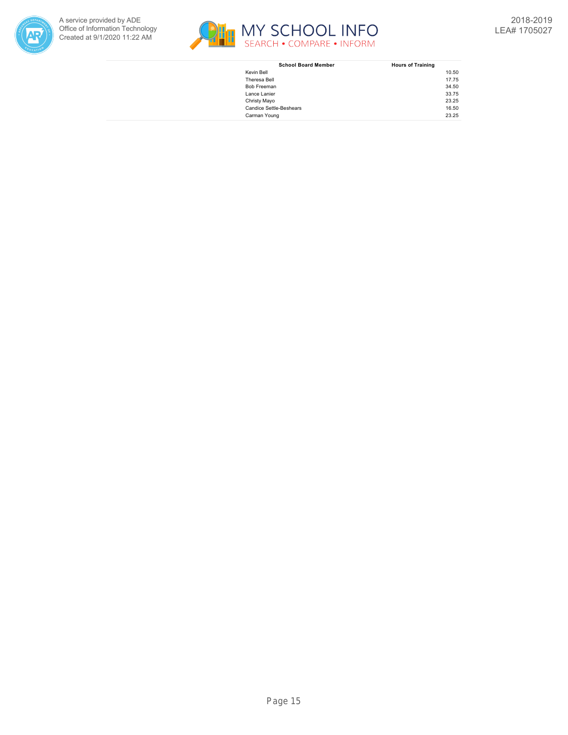



| <b>School Board Member</b>     | <b>Hours of Training</b> |
|--------------------------------|--------------------------|
| Kevin Bell                     | 10.50                    |
| Theresa Bell                   | 17.75                    |
| Bob Freeman                    | 34.50                    |
| Lance Lanier                   | 33.75                    |
| Christy Mayo                   | 23.25                    |
| <b>Candice Settle-Beshears</b> | 16.50                    |
| Carman Young                   | 23.25                    |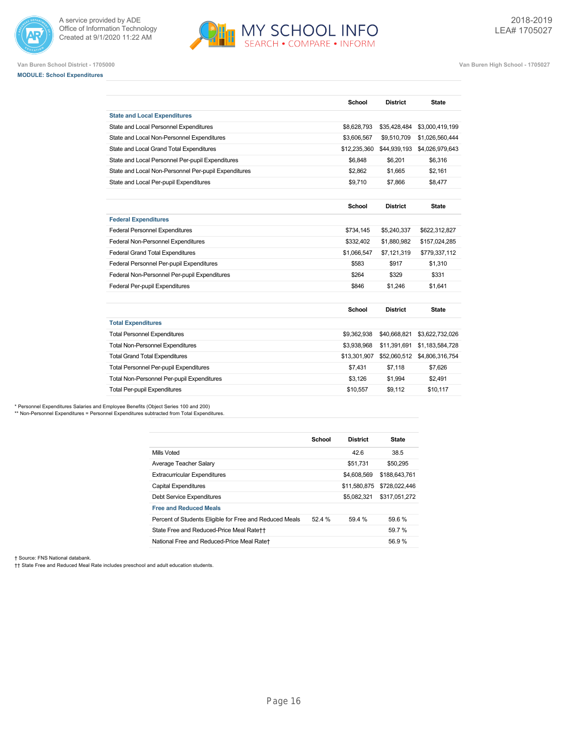



**Van Buren School District - 1705000 Van Buren High School - 1705027**

**School District State**

# **MODULE: School Expenditures**

| <b>State and Local Expenditures</b>                  |              |                 |                 |
|------------------------------------------------------|--------------|-----------------|-----------------|
| State and Local Personnel Expenditures               | \$8,628,793  | \$35,428,484    | \$3,000,419,199 |
| State and Local Non-Personnel Expenditures           | \$3,606,567  | \$9,510,709     | \$1,026,560,444 |
| State and Local Grand Total Expenditures             | \$12,235,360 | \$44,939,193    | \$4,026,979,643 |
| State and Local Personnel Per-pupil Expenditures     | \$6,848      | \$6,201         | \$6,316         |
| State and Local Non-Personnel Per-pupil Expenditures | \$2,862      | \$1,665         | \$2,161         |
| State and Local Per-pupil Expenditures               | \$9.710      | \$7,866         | \$8,477         |
|                                                      | School       | <b>District</b> | <b>State</b>    |
| <b>Federal Expenditures</b>                          |              |                 |                 |
| <b>Federal Personnel Expenditures</b>                | \$734,145    | \$5,240,337     | \$622,312,827   |
| Federal Non-Personnel Expenditures                   | \$332,402    | \$1,880,982     | \$157,024,285   |
| <b>Federal Grand Total Expenditures</b>              | \$1,066,547  | \$7,121,319     | \$779,337,112   |
| Federal Personnel Per-pupil Expenditures             | \$583        | \$917           | \$1,310         |
| Federal Non-Personnel Per-pupil Expenditures         | \$264        | \$329           | \$331           |
| Federal Per-pupil Expenditures                       | \$846        | \$1,246         | \$1,641         |
|                                                      | School       | <b>District</b> | <b>State</b>    |
| <b>Total Expenditures</b>                            |              |                 |                 |
| <b>Total Personnel Expenditures</b>                  | \$9,362,938  | \$40,668,821    | \$3,622,732,026 |
| <b>Total Non-Personnel Expenditures</b>              | \$3,938,968  | \$11,391,691    | \$1,183,584,728 |
| <b>Total Grand Total Expenditures</b>                | \$13,301,907 | \$52,060,512    | \$4,806,316,754 |
| <b>Total Personnel Per-pupil Expenditures</b>        | \$7,431      | \$7,118         | \$7,626         |
| Total Non-Personnel Per-pupil Expenditures           | \$3,126      | \$1,994         | \$2,491         |
| <b>Total Per-pupil Expenditures</b>                  | \$10.557     | \$9,112         | \$10.117        |

\* Personnel Expenditures Salaries and Employee Benefits (Object Series 100 and 200)

\*\* Non-Personnel Expenditures = Personnel Expenditures subtracted from Total Expenditures.

|                                                         | School | <b>District</b> | <b>State</b>  |
|---------------------------------------------------------|--------|-----------------|---------------|
| Mills Voted                                             |        | 42.6            | 38.5          |
|                                                         |        |                 |               |
| Average Teacher Salary                                  |        | \$51.731        | \$50,295      |
| <b>Extracurricular Expenditures</b>                     |        | \$4,608,569     | \$188,643,761 |
| Capital Expenditures                                    |        | \$11.580.875    | \$728,022,446 |
| Debt Service Expenditures                               |        | \$5,082,321     | \$317.051.272 |
| <b>Free and Reduced Meals</b>                           |        |                 |               |
| Percent of Students Eligible for Free and Reduced Meals | 52.4 % | 59.4 %          | 59.6 %        |
| State Free and Reduced-Price Meal Rate++                |        |                 | 59.7 %        |
| National Free and Reduced-Price Meal Rate+              |        |                 | 56.9%         |

† Source: FNS National databank.

†† State Free and Reduced Meal Rate includes preschool and adult education students.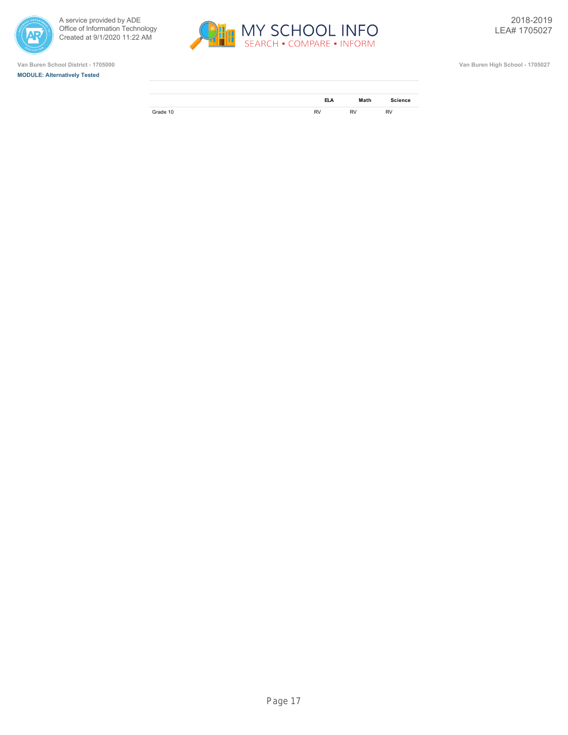







|          | <b>ELA</b> | Math      | <b>Science</b> |
|----------|------------|-----------|----------------|
| Grade 10 | <b>RV</b>  | <b>RV</b> | <b>RV</b>      |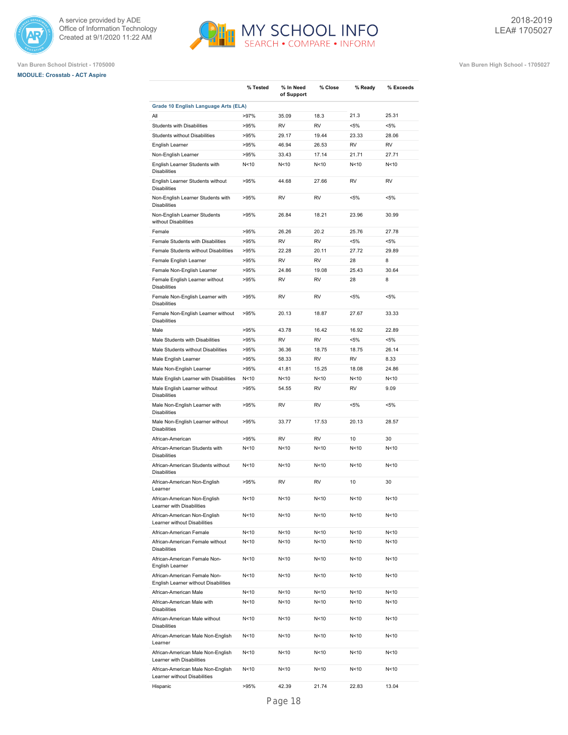





|                                                                      | % Tested        | % In Need<br>of Support | % Close         | % Ready         | % Exceeds |
|----------------------------------------------------------------------|-----------------|-------------------------|-----------------|-----------------|-----------|
| Grade 10 English Language Arts (ELA)                                 |                 |                         |                 |                 |           |
| All                                                                  | >97%            | 35.09                   | 18.3            | 21.3            | 25.31     |
| <b>Students with Disabilities</b>                                    | >95%            | <b>RV</b>               | <b>RV</b>       | $< 5\%$         | $< 5\%$   |
| <b>Students without Disabilities</b>                                 | >95%            | 29.17                   | 19.44           | 23.33           | 28.06     |
| English Learner                                                      | >95%            | 46.94                   | 26.53           | <b>RV</b>       | <b>RV</b> |
| Non-English Learner                                                  | >95%            | 33.43                   | 17.14           | 21.71           | 27.71     |
| English Learner Students with<br><b>Disabilities</b>                 | N<10            | N<10                    | N<10            | N<10            | N<10      |
| English Learner Students without<br><b>Disabilities</b>              | >95%            | 44.68                   | 27.66           | <b>RV</b>       | <b>RV</b> |
| Non-English Learner Students with<br><b>Disabilities</b>             | >95%            | RV                      | <b>RV</b>       | <5%             | $< 5\%$   |
| Non-English Learner Students<br>without Disabilities                 | >95%            | 26.84                   | 18.21           | 23.96           | 30.99     |
| Female                                                               | >95%            | 26.26                   | 20.2            | 25.76           | 27.78     |
| Female Students with Disabilities                                    | >95%            | <b>RV</b>               | <b>RV</b>       | $< 5\%$         | $< 5\%$   |
| Female Students without Disabilities                                 | >95%            | 22.28                   | 20.11           | 27.72           | 29.89     |
| Female English Learner                                               | >95%            | <b>RV</b>               | <b>RV</b>       | 28              | 8         |
| Female Non-English Learner                                           | >95%            | 24.86                   | 19.08           | 25.43           | 30.64     |
| Female English Learner without<br><b>Disabilities</b>                | >95%            | <b>RV</b>               | RV              | 28              | 8         |
| Female Non-English Learner with<br><b>Disabilities</b>               | >95%            | RV                      | RV              | $< 5\%$         | $< 5\%$   |
| Female Non-English Learner without<br><b>Disabilities</b>            | >95%            | 20.13                   | 18.87           | 27.67           | 33.33     |
| Male                                                                 | >95%            | 43.78                   | 16.42           | 16.92           | 22.89     |
| Male Students with Disabilities                                      | >95%            | <b>RV</b>               | <b>RV</b>       | $< 5\%$         | $< 5\%$   |
| Male Students without Disabilities                                   | >95%            | 36.36                   | 18.75           | 18.75           | 26.14     |
| Male English Learner                                                 | >95%            | 58.33                   | <b>RV</b>       | <b>RV</b>       | 8.33      |
| Male Non-English Learner                                             | >95%            | 41.81                   | 15.25           | 18.08           | 24.86     |
| Male English Learner with Disabilities                               | N<10            | N<10                    | N <sub>10</sub> | N <sub>10</sub> | N<10      |
| Male English Learner without<br><b>Disabilities</b>                  | >95%            | 54.55                   | <b>RV</b>       | RV              | 9.09      |
| Male Non-English Learner with<br><b>Disabilities</b>                 | >95%            | <b>RV</b>               | <b>RV</b>       | $< 5\%$         | $< 5\%$   |
| Male Non-English Learner without<br><b>Disabilities</b>              | >95%            | 33.77                   | 17.53           | 20.13           | 28.57     |
| African-American                                                     | >95%            | <b>RV</b>               | <b>RV</b>       | 10              | 30        |
| African-American Students with<br><b>Disabilities</b>                | N<10            | N<10                    | N<10            | N<10            | N<10      |
| African-American Students without<br><b>Disabilities</b>             | N<10            | N < 10                  | N<10            | N <sub>10</sub> | N<10      |
| African-American Non-English<br>Learner                              | >95%            | RV                      | RV              | 10              | 30        |
| African-American Non-English<br>Learner with Disabilities            | N<10            | N<10                    | N<10            | N<10            | N<10      |
| African-American Non-English<br>Learner without Disabilities         | N<10            | N<10                    | N<10            | N<10            | N<10      |
| African-American Female                                              | N<10            | N<10                    | N<10            | N<10            | N<10      |
| African-American Female without<br><b>Disabilities</b>               | N<10            | N<10                    | N<10            | N<10            | N<10      |
| African-American Female Non-<br>English Learner                      | N<10            | N<10                    | N<10            | N<10            | N<10      |
| African-American Female Non-<br>English Learner without Disabilities | N<10            | N<10                    | N<10            | N<10            | N<10      |
| African-American Male                                                | N<10            | N<10                    | N<10            | N<10            | N<10      |
| African-American Male with<br><b>Disabilities</b>                    | N<10            | N<10                    | N <sub>10</sub> | N<10            | N<10      |
| African-American Male without<br><b>Disabilities</b>                 | N<10            | N<10                    | N<10            | N<10            | N<10      |
| African-American Male Non-English<br>Learner                         | N<10            | N<10                    | N<10            | N<10            | N<10      |
| African-American Male Non-English<br>Learner with Disabilities       | N<10            | N<10                    | N<10            | N<10            | N<10      |
| African-American Male Non-English<br>Learner without Disabilities    | N <sub>10</sub> | N <sub>10</sub>         | N<10            | N<10            | N<10      |
| Hispanic                                                             | >95%            | 42.39                   | 21.74           | 22.83           | 13.04     |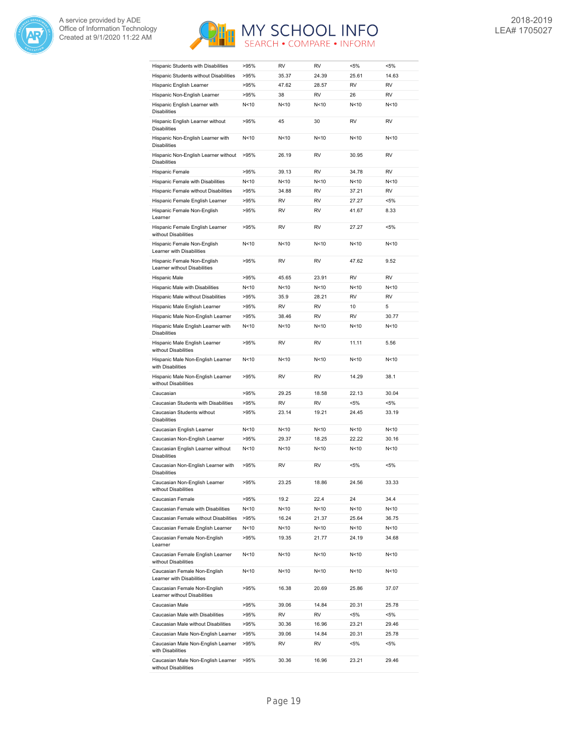



| Hispanic Students with Disabilities                         | >95% | RV        | <b>RV</b>       | $< 5\%$         | $< 5\%$   |
|-------------------------------------------------------------|------|-----------|-----------------|-----------------|-----------|
| Hispanic Students without Disabilities                      | >95% | 35.37     | 24.39           | 25.61           | 14.63     |
| Hispanic English Learner                                    | >95% | 47.62     | 28.57           | RV              | <b>RV</b> |
| Hispanic Non-English Learner                                | >95% | 38        | <b>RV</b>       | 26              | <b>RV</b> |
| Hispanic English Learner with<br><b>Disabilities</b>        | N<10 | N<10      | N<10            | N<10            | N<10      |
| Hispanic English Learner without<br><b>Disabilities</b>     | >95% | 45        | 30              | RV              | <b>RV</b> |
| Hispanic Non-English Learner with<br><b>Disabilities</b>    | N<10 | N<10      | N<10            | N <sub>10</sub> | N<10      |
| Hispanic Non-English Learner without<br><b>Disabilities</b> | >95% | 26.19     | <b>RV</b>       | 30.95           | <b>RV</b> |
| Hispanic Female                                             | >95% | 39.13     | <b>RV</b>       | 34.78           | <b>RV</b> |
| Hispanic Female with Disabilities                           | N<10 | N<10      | N <sub>10</sub> | N <sub>10</sub> | N<10      |
| Hispanic Female without Disabilities                        | >95% | 34.88     | <b>RV</b>       | 37.21           | <b>RV</b> |
| Hispanic Female English Learner                             | >95% | RV        | <b>RV</b>       | 27.27           | $< 5\%$   |
| Hispanic Female Non-English                                 | >95% | <b>RV</b> | <b>RV</b>       | 41.67           | 8.33      |
| Learner                                                     |      |           |                 |                 |           |
| Hispanic Female English Learner<br>without Disabilities     | >95% | <b>RV</b> | RV              | 27.27           | <5%       |
| Hispanic Female Non-English<br>Learner with Disabilities    | N<10 | N<10      | N<10            | N <sub>10</sub> | N<10      |
| Hispanic Female Non-English<br>Learner without Disabilities | >95% | <b>RV</b> | <b>RV</b>       | 47.62           | 9.52      |
| Hispanic Male                                               | >95% | 45.65     | 23.91           | <b>RV</b>       | <b>RV</b> |
| Hispanic Male with Disabilities                             | N<10 | N<10      | N <sub>10</sub> | N <sub>10</sub> | N<10      |
| Hispanic Male without Disabilities                          | >95% | 35.9      | 28.21           | <b>RV</b>       | <b>RV</b> |
| Hispanic Male English Learner                               | >95% | <b>RV</b> | <b>RV</b>       | 10              | 5         |
| Hispanic Male Non-English Learner                           | >95% | 38.46     | <b>RV</b>       | RV              | 30.77     |
| Hispanic Male English Learner with<br><b>Disabilities</b>   | N<10 | N<10      | N<10            | N<10            | N<10      |
| Hispanic Male English Learner<br>without Disabilities       | >95% | RV        | RV              | 11.11           | 5.56      |
| Hispanic Male Non-English Learner<br>with Disabilities      | N<10 | N<10      | N<10            | N <sub>10</sub> | N<10      |
| Hispanic Male Non-English Learner<br>without Disabilities   | >95% | <b>RV</b> | <b>RV</b>       | 14.29           | 38.1      |
| Caucasian                                                   | >95% | 29.25     | 18.58           | 22.13           | 30.04     |
| Caucasian Students with Disabilities                        | >95% | <b>RV</b> | <b>RV</b>       | $< 5\%$         | $< 5\%$   |
| Caucasian Students without<br><b>Disabilities</b>           | >95% | 23.14     | 19.21           | 24.45           | 33.19     |
| Caucasian English Learner                                   | N<10 | N<10      | N <sub>10</sub> | N <sub>10</sub> | N<10      |
| Caucasian Non-English Learner                               | >95% | 29.37     | 18.25           | 22.22           | 30.16     |
| Caucasian English Learner without<br><b>Disabilities</b>    | N<10 | N<10      | N <sub>10</sub> | N <sub>10</sub> | N<10      |
| Caucasian Non-English Learner with<br>Disabilities          | >95% | <b>RV</b> | <b>RV</b>       | $< 5\%$         | $< 5\%$   |
| Caucasian Non-English Learner<br>without Disabilities       | >95% | 23.25     | 18.86           | 24.56           | 33.33     |
| Caucasian Female                                            | >95% | 19.2      | 22.4            | 24              | 34.4      |
| Caucasian Female with Disabilities                          | N<10 | N<10      | N<10            | N<10            | N<10      |
| Caucasian Female without Disabilities                       | >95% | 16.24     | 21.37           | 25.64           | 36.75     |
| Caucasian Female English Learner                            | N<10 | N<10      | N<10            | N<10            | N<10      |
| Caucasian Female Non-English                                | >95% | 19.35     | 21.77           | 24.19           | 34.68     |
| Learner<br>Caucasian Female English Learner                 | N<10 | N<10      | N <sub>10</sub> | N <sub>10</sub> | N<10      |
| without Disabilities<br>Caucasian Female Non-English        | N<10 | N<10      | N<10            | N <sub>10</sub> | N<10      |
| Learner with Disabilities<br>Caucasian Female Non-English   | >95% | 16.38     | 20.69           | 25.86           | 37.07     |
| Learner without Disabilities                                |      |           |                 |                 |           |
| Caucasian Male                                              | >95% | 39.06     | 14.84           | 20.31           | 25.78     |
| Caucasian Male with Disabilities                            | >95% | RV        | RV              | <5%             | <5%       |
| Caucasian Male without Disabilities                         | >95% | 30.36     | 16.96           | 23.21           | 29.46     |
| Caucasian Male Non-English Learner                          | >95% | 39.06     | 14.84           | 20.31           | 25.78     |
| Caucasian Male Non-English Learner<br>with Disabilities     | >95% | RV        | RV              | <5%             | $< 5\%$   |
| Caucasian Male Non-English Learner<br>without Disabilities  | >95% | 30.36     | 16.96           | 23.21           | 29.46     |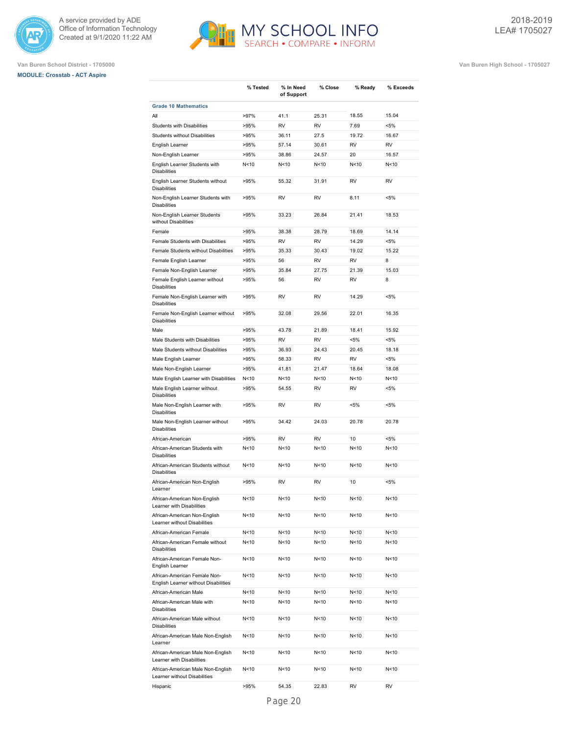





|                                                                      | % Tested        | % In Need<br>of Support | % Close         | % Ready         | % Exceeds |
|----------------------------------------------------------------------|-----------------|-------------------------|-----------------|-----------------|-----------|
| <b>Grade 10 Mathematics</b>                                          |                 |                         |                 |                 |           |
| All                                                                  | >97%            | 41.1                    | 25.31           | 18.55           | 15.04     |
| <b>Students with Disabilities</b>                                    | >95%            | <b>RV</b>               | <b>RV</b>       | 7.69            | $< 5\%$   |
| <b>Students without Disabilities</b>                                 | >95%            | 36.11                   | 27.5            | 19.72           | 16.67     |
| English Learner                                                      | >95%            | 57.14                   | 30.61           | <b>RV</b>       | <b>RV</b> |
| Non-English Learner                                                  | >95%            | 38.86                   | 24.57           | 20              | 16.57     |
| English Learner Students with<br><b>Disabilities</b>                 | N <sub>10</sub> | N<10                    | N<10            | N<10            | N<10      |
| English Learner Students without<br><b>Disabilities</b>              | >95%            | 55.32                   | 31.91           | <b>RV</b>       | <b>RV</b> |
| Non-English Learner Students with<br><b>Disabilities</b>             | >95%            | <b>RV</b>               | <b>RV</b>       | 8.11            | $< 5\%$   |
| Non-English Learner Students<br>without Disabilities                 | >95%            | 33.23                   | 26.84           | 21.41           | 18.53     |
| Female                                                               | >95%            | 38.38                   | 28.79           | 18.69           | 14.14     |
| Female Students with Disabilities                                    | >95%            | <b>RV</b>               | <b>RV</b>       | 14.29           | $< 5\%$   |
| Female Students without Disabilities                                 | >95%            | 35.33                   | 30.43           | 19.02           | 15.22     |
| Female English Learner                                               | >95%            | 56                      | <b>RV</b>       | <b>RV</b>       | 8         |
| Female Non-English Learner                                           | >95%            | 35.84                   | 27.75           | 21.39           | 15.03     |
| Female English Learner without<br><b>Disabilities</b>                | >95%            | 56                      | <b>RV</b>       | <b>RV</b>       | 8         |
| Female Non-English Learner with<br><b>Disabilities</b>               | >95%            | <b>RV</b>               | <b>RV</b>       | 14.29           | <5%       |
| Female Non-English Learner without<br><b>Disabilities</b>            | >95%            | 32.08                   | 29.56           | 22.01           | 16.35     |
| Male                                                                 | >95%            | 43.78                   | 21.89           | 18.41           | 15.92     |
| Male Students with Disabilities                                      | >95%            | <b>RV</b>               | <b>RV</b>       | $< 5\%$         | $< 5\%$   |
| Male Students without Disabilities                                   | >95%            | 36.93                   | 24.43           | 20.45           | 18.18     |
| Male English Learner                                                 | >95%            | 58.33                   | <b>RV</b>       | <b>RV</b>       | $< 5\%$   |
| Male Non-English Learner                                             | >95%            | 41.81                   | 21.47           | 18.64           | 18.08     |
| Male English Learner with Disabilities                               | N <sub>10</sub> | N<10                    | N <sub>10</sub> | N <sub>10</sub> | N<10      |
| Male English Learner without<br><b>Disabilities</b>                  | >95%            | 54.55                   | <b>RV</b>       | <b>RV</b>       | $< 5\%$   |
| Male Non-English Learner with<br><b>Disabilities</b>                 | >95%            | <b>RV</b>               | <b>RV</b>       | $< 5\%$         | $< 5\%$   |
| Male Non-English Learner without<br><b>Disabilities</b>              | >95%            | 34.42                   | 24.03           | 20.78           | 20.78     |
| African-American                                                     | >95%            | <b>RV</b>               | <b>RV</b>       | 10              | $< 5\%$   |
| African-American Students with<br><b>Disabilities</b>                | N <sub>10</sub> | N<10                    | N<10            | N <sub>10</sub> | N<10      |
| African-American Students without<br><b>Disabilities</b>             | N<10            | N<10                    | N<10            | N<10            | N<10      |
| African-American Non-English<br>Learner                              | >95%            | <b>RV</b>               | <b>RV</b>       | 10              | $< 5\%$   |
| African-American Non-English<br>Learner with Disabilities            | N<10            | N<10                    | N<10            | N<10            | N < 10    |
| African-American Non-English<br>Learner without Disabilities         | N<10            | N<10                    | N<10            | N<10            | N<10      |
| African-American Female                                              | N<10            | N<10                    | N<10            | N<10            | N<10      |
| African-American Female without<br><b>Disabilities</b>               | N<10            | N<10                    | N<10            | N<10            | N<10      |
| African-American Female Non-<br>English Learner                      | N<10            | N<10                    | N<10            | N<10            | N<10      |
| African-American Female Non-<br>English Learner without Disabilities | N<10            | N <sub>10</sub>         | N<10            | N<10            | N<10      |
| African-American Male                                                | N<10            | N<10                    | N<10            | N<10            | N<10      |
| African-American Male with<br><b>Disabilities</b>                    | N<10            | N<10                    | N<10            | N <sub>10</sub> | N<10      |
| African-American Male without<br><b>Disabilities</b>                 | N<10            | N<10                    | N<10            | N<10            | N<10      |
| African-American Male Non-English<br>Learner                         | N<10            | N<10                    | N<10            | N<10            | N<10      |
| African-American Male Non-English<br>Learner with Disabilities       | N<10            | N<10                    | N<10            | N<10            | N<10      |
| African-American Male Non-English<br>Learner without Disabilities    | N<10            | N<10                    | N<10            | N<10            | N<10      |

MY SCHOOL INFO

Hispanic >95% 54.35 22.83 RV RV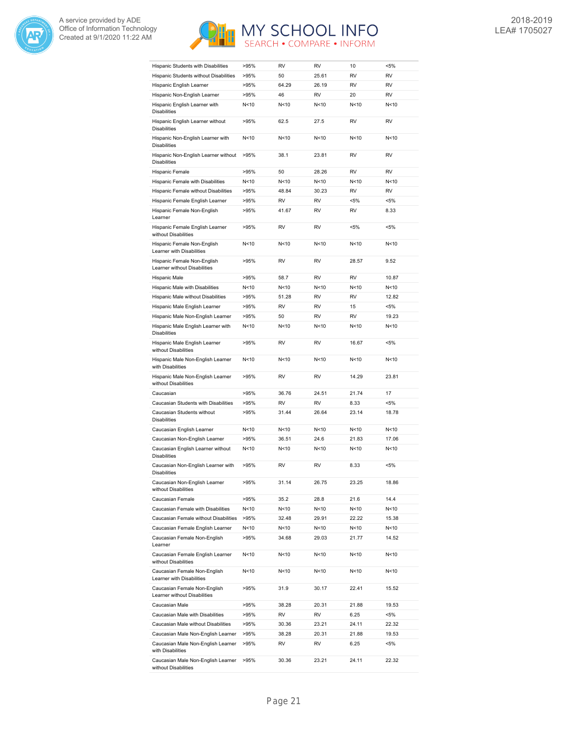



| Hispanic Students with Disabilities                          | >95%            | <b>RV</b> | <b>RV</b> | 10              | $< 5\%$   |
|--------------------------------------------------------------|-----------------|-----------|-----------|-----------------|-----------|
| Hispanic Students without Disabilities                       | >95%            | 50        | 25.61     | RV              | RV        |
| Hispanic English Learner                                     | >95%            | 64.29     | 26.19     | <b>RV</b>       | <b>RV</b> |
| Hispanic Non-English Learner                                 | >95%            | 46        | <b>RV</b> | 20              | <b>RV</b> |
| Hispanic English Learner with<br><b>Disabilities</b>         | N<10            | N<10      | N < 10    | N <sub>10</sub> | N<10      |
| Hispanic English Learner without<br><b>Disabilities</b>      | >95%            | 62.5      | 27.5      | RV              | <b>RV</b> |
| Hispanic Non-English Learner with<br><b>Disabilities</b>     | N <sub>10</sub> | N<10      | N<10      | N < 10          | N<10      |
| Hispanic Non-English Learner without<br><b>Disabilities</b>  | >95%            | 38.1      | 23.81     | RV              | <b>RV</b> |
| Hispanic Female                                              | >95%            | 50        | 28.26     | <b>RV</b>       | <b>RV</b> |
| Hispanic Female with Disabilities                            | N<10            | N<10      | N<10      | N < 10          | N<10      |
| Hispanic Female without Disabilities                         | >95%            | 48.84     | 30.23     | <b>RV</b>       | <b>RV</b> |
| Hispanic Female English Learner                              | >95%            | RV        | RV        | $< 5\%$         | $< 5\%$   |
| Hispanic Female Non-English<br>Learner                       | >95%            | 41.67     | RV        | RV              | 8.33      |
| Hispanic Female English Learner<br>without Disabilities      | >95%            | <b>RV</b> | <b>RV</b> | <5%             | $< 5\%$   |
| Hispanic Female Non-English<br>Learner with Disabilities     | N<10            | N<10      | N < 10    | N<10            | N<10      |
| Hispanic Female Non-English<br>Learner without Disabilities  | >95%            | <b>RV</b> | <b>RV</b> | 28.57           | 9.52      |
| Hispanic Male                                                | >95%            | 58.7      | <b>RV</b> | RV              | 10.87     |
| Hispanic Male with Disabilities                              | N<10            | N<10      | N<10      | N<10            | N<10      |
| Hispanic Male without Disabilities                           | >95%            | 51.28     | <b>RV</b> | RV              | 12.82     |
| Hispanic Male English Learner                                | >95%            | <b>RV</b> | <b>RV</b> | 15              | $< 5\%$   |
| Hispanic Male Non-English Learner                            | >95%            | 50        | <b>RV</b> | <b>RV</b>       | 19.23     |
| Hispanic Male English Learner with<br><b>Disabilities</b>    | N<10            | N<10      | N < 10    | N<10            | N<10      |
| Hispanic Male English Learner<br>without Disabilities        | >95%            | RV        | RV        | 16.67           | $< 5\%$   |
| Hispanic Male Non-English Learner<br>with Disabilities       | N<10            | N < 10    | N < 10    | N < 10          | N<10      |
|                                                              |                 |           |           |                 |           |
| Hispanic Male Non-English Learner<br>without Disabilities    | >95%            | <b>RV</b> | <b>RV</b> | 14.29           | 23.81     |
| Caucasian                                                    | >95%            | 36.76     | 24.51     | 21.74           | 17        |
| Caucasian Students with Disabilities                         | >95%            | <b>RV</b> | <b>RV</b> | 8.33            | $< 5\%$   |
| Caucasian Students without<br><b>Disabilities</b>            | >95%            | 31.44     | 26.64     | 23.14           | 18.78     |
| Caucasian English Learner                                    | N<10            | N < 10    | N < 10    | N < 10          | N<10      |
| Caucasian Non-English Learner                                | >95%            | 36.51     | 24.6      | 21.83           | 17.06     |
| Caucasian English Learner without<br><b>Disabilities</b>     | N <sub>10</sub> | N<10      | N < 10    | N<10            | N<10      |
| Caucasian Non-English Learner with<br>Disabilities           | >95%            | RV        | <b>RV</b> | 8.33            | <5%       |
| Caucasian Non-English Learner<br>without Disabilities        | >95%            | 31.14     | 26.75     | 23.25           | 18.86     |
| Caucasian Female                                             | >95%            | 35.2      | 28.8      | 21.6            | 14.4      |
| Caucasian Female with Disabilities                           | N<10            | N<10      | N<10      | N<10            | N<10      |
| Caucasian Female without Disabilities                        | >95%            | 32.48     | 29.91     | 22.22           | 15.38     |
| Caucasian Female English Learner                             | N<10            | N<10      | N<10      | N<10            | N<10      |
| Caucasian Female Non-English<br>Learner                      | >95%            | 34.68     | 29.03     | 21.77           | 14.52     |
| Caucasian Female English Learner<br>without Disabilities     | N<10            | N<10      | N<10      | N<10            | N<10      |
| Caucasian Female Non-English<br>Learner with Disabilities    | N<10            | N<10      | N<10      | N <sub>10</sub> | N<10      |
| Caucasian Female Non-English<br>Learner without Disabilities | >95%            | 31.9      | 30.17     | 22.41           | 15.52     |
| Caucasian Male                                               | >95%            | 38.28     | 20.31     | 21.88           | 19.53     |
| Caucasian Male with Disabilities                             | >95%            | RV        | RV        | 6.25            | $< 5\%$   |
| Caucasian Male without Disabilities                          | >95%            | 30.36     | 23.21     | 24.11           | 22.32     |
| Caucasian Male Non-English Learner                           | >95%            | 38.28     | 20.31     | 21.88           | 19.53     |
| Caucasian Male Non-English Learner<br>with Disabilities      | >95%            | RV        | RV        | 6.25            | <5%       |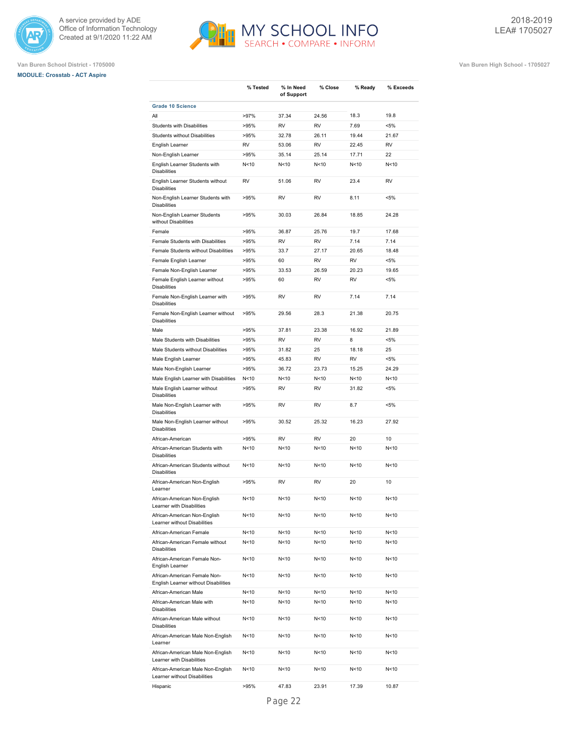





|                                                                      | % Tested        | % In Need<br>of Support | % Close   | % Ready         | % Exceeds |
|----------------------------------------------------------------------|-----------------|-------------------------|-----------|-----------------|-----------|
| <b>Grade 10 Science</b>                                              |                 |                         |           |                 |           |
| All                                                                  | >97%            | 37.34                   | 24.56     | 18.3            | 19.8      |
| <b>Students with Disabilities</b>                                    | >95%            | <b>RV</b>               | <b>RV</b> | 7.69            | $< 5\%$   |
| <b>Students without Disabilities</b>                                 | >95%            | 32.78                   | 26.11     | 19.44           | 21.67     |
| English Learner                                                      | <b>RV</b>       | 53.06                   | <b>RV</b> | 22.45           | <b>RV</b> |
| Non-English Learner                                                  | >95%            | 35.14                   | 25.14     | 17.71           | 22        |
| English Learner Students with<br><b>Disabilities</b>                 | N < 10          | N < 10                  | N < 10    | N<10            | N<10      |
| English Learner Students without<br><b>Disabilities</b>              | <b>RV</b>       | 51.06                   | <b>RV</b> | 23.4            | <b>RV</b> |
| Non-English Learner Students with<br><b>Disabilities</b>             | >95%            | <b>RV</b>               | RV        | 8.11            | $< 5\%$   |
| Non-English Learner Students<br>without Disabilities                 | >95%            | 30.03                   | 26.84     | 18.85           | 24.28     |
| Female                                                               | >95%            | 36.87                   | 25.76     | 19.7            | 17.68     |
| Female Students with Disabilities                                    | >95%            | <b>RV</b>               | <b>RV</b> | 7.14            | 7.14      |
| Female Students without Disabilities                                 | >95%            | 33.7                    | 27.17     | 20.65           | 18.48     |
| Female English Learner                                               | >95%            | 60                      | <b>RV</b> | <b>RV</b>       | $< 5\%$   |
| Female Non-English Learner                                           | >95%            | 33.53                   | 26.59     | 20.23           | 19.65     |
| Female English Learner without<br><b>Disabilities</b>                | >95%            | 60                      | <b>RV</b> | <b>RV</b>       | $< 5\%$   |
| Female Non-English Learner with<br><b>Disabilities</b>               | >95%            | <b>RV</b>               | RV        | 7.14            | 7.14      |
| Female Non-English Learner without<br><b>Disabilities</b>            | >95%            | 29.56                   | 28.3      | 21.38           | 20.75     |
| Male                                                                 | >95%            | 37.81                   | 23.38     | 16.92           | 21.89     |
| Male Students with Disabilities                                      | >95%            | <b>RV</b>               | <b>RV</b> | 8               | $< 5\%$   |
| Male Students without Disabilities                                   | >95%            | 31.82                   | 25        | 18.18           | 25        |
| Male English Learner                                                 | >95%            | 45.83                   | <b>RV</b> | <b>RV</b>       | $< 5\%$   |
| Male Non-English Learner                                             | >95%            | 36.72                   | 23.73     | 15.25           | 24.29     |
| Male English Learner with Disabilities                               | N < 10          | N<10                    | N<10      | N<10            | N<10      |
| Male English Learner without<br><b>Disabilities</b>                  | >95%            | <b>RV</b>               | <b>RV</b> | 31.82           | $< 5\%$   |
| Male Non-English Learner with<br><b>Disabilities</b>                 | >95%            | <b>RV</b>               | <b>RV</b> | 8.7             | $< 5\%$   |
| Male Non-English Learner without<br><b>Disabilities</b>              | >95%            | 30.52                   | 25.32     | 16.23           | 27.92     |
| African-American                                                     | >95%            | <b>RV</b>               | <b>RV</b> | 20              | 10        |
| African-American Students with<br><b>Disabilities</b>                | N<10            | N < 10                  | N<10      | N <sub>10</sub> | N<10      |
| African-American Students without<br><b>Disabilities</b>             | N < 10          | N < 10                  | N<10      | N <sub>10</sub> | N<10      |
| African-American Non-English<br>Learner                              | >95%            | <b>RV</b>               | <b>RV</b> | 20              | 10        |
| African-American Non-English<br>Learner with Disabilities            | N<10            | N<10                    | N<10      | N<10            | N<10      |
| African-American Non-English<br>Learner without Disabilities         | N<10            | N<10                    | N<10      | N<10            | N<10      |
| African-American Female                                              | N<10            | N<10                    | N<10      | N<10            | N<10      |
| African-American Female without<br><b>Disabilities</b>               | N <sub>10</sub> | N<10                    | N<10      | N<10            | N<10      |
| African-American Female Non-<br>English Learner                      | N<10            | N<10                    | N<10      | N<10            | N<10      |
| African-American Female Non-<br>English Learner without Disabilities | N<10            | N<10                    | N<10      | N<10            | N<10      |
| African-American Male                                                | N <sub>10</sub> | N<10                    | N<10      | N<10            | N<10      |
| African-American Male with<br><b>Disabilities</b>                    | N<10            | N<10                    | N<10      | N<10            | N<10      |
| African-American Male without<br><b>Disabilities</b>                 | N<10            | N<10                    | N<10      | N <sub>10</sub> | N<10      |
| African-American Male Non-English<br>Learner                         | N<10            | N<10                    | N<10      | N<10            | N<10      |
| African-American Male Non-English<br>Learner with Disabilities       | N<10            | N<10                    | N<10      | N<10            | N<10      |
| African-American Male Non-English<br>Learner without Disabilities    | N<10            | N <sub>10</sub>         | N<10      | N<10            | N<10      |
| Hispanic                                                             | >95%            | 47.83                   | 23.91     | 17.39           | 10.87     |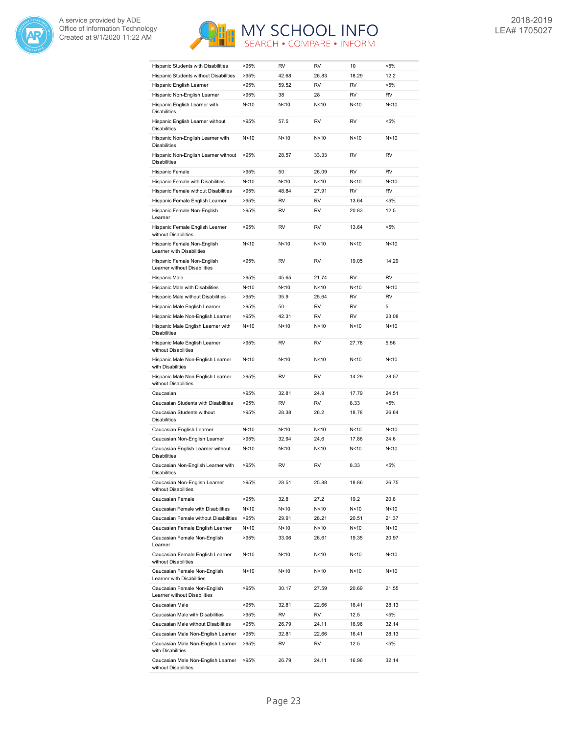



| Hispanic Students with Disabilities                                          | >95%            | RV          | <b>RV</b> | 10              | $< 5\%$   |
|------------------------------------------------------------------------------|-----------------|-------------|-----------|-----------------|-----------|
| Hispanic Students without Disabilities                                       | >95%            | 42.68       | 26.83     | 18.29           | 12.2      |
| Hispanic English Learner                                                     | >95%            | 59.52       | <b>RV</b> | <b>RV</b>       | $< 5\%$   |
| Hispanic Non-English Learner                                                 | >95%            | 38          | 28        | <b>RV</b>       | RV        |
| Hispanic English Learner with<br><b>Disabilities</b>                         | N<10            | N<10        | N<10      | N<10            | N<10      |
| Hispanic English Learner without<br><b>Disabilities</b>                      | >95%            | 57.5        | RV        | RV              | $< 5\%$   |
| Hispanic Non-English Learner with<br><b>Disabilities</b>                     | N<10            | N < 10      | N < 10    | N < 10          | N<10      |
| Hispanic Non-English Learner without<br><b>Disabilities</b>                  | >95%            | 28.57       | 33.33     | RV              | <b>RV</b> |
| Hispanic Female                                                              | >95%            | 50          | 26.09     | RV              | <b>RV</b> |
| Hispanic Female with Disabilities                                            | N<10            | N<10        | N<10      | N < 10          | N<10      |
| Hispanic Female without Disabilities                                         | >95%            | 48.84       | 27.91     | <b>RV</b>       | <b>RV</b> |
| Hispanic Female English Learner                                              | >95%            | RV          | RV        | 13.64           | $< 5\%$   |
| Hispanic Female Non-English<br>Learner                                       | >95%            | RV          | RV        | 20.83           | 12.5      |
| Hispanic Female English Learner<br>without Disabilities                      | >95%            | <b>RV</b>   | <b>RV</b> | 13.64           | $< 5\%$   |
| Hispanic Female Non-English<br>Learner with Disabilities                     | N<10            | N < 10      | N<10      | N < 10          | N<10      |
| Hispanic Female Non-English<br>Learner without Disabilities                  | >95%            | RV          | <b>RV</b> | 19.05           | 14.29     |
| Hispanic Male                                                                | >95%            | 45.65       | 21.74     | RV              | <b>RV</b> |
| Hispanic Male with Disabilities                                              | N<10            | N < 10      | N<10      | N<10            | N<10      |
| Hispanic Male without Disabilities                                           | >95%            | 35.9        | 25.64     | RV              | <b>RV</b> |
|                                                                              |                 |             | <b>RV</b> | RV              | 5         |
| Hispanic Male English Learner                                                | >95%            | 50<br>42.31 | <b>RV</b> | <b>RV</b>       | 23.08     |
| Hispanic Male Non-English Learner<br>Hispanic Male English Learner with      | >95%<br>N<10    | N<10        | N<10      | N<10            | N<10      |
| <b>Disabilities</b><br>Hispanic Male English Learner<br>without Disabilities | >95%            | RV          | RV        | 27.78           | 5.56      |
| Hispanic Male Non-English Learner<br>with Disabilities                       | N<10            | N < 10      | N < 10    | N < 10          | N<10      |
| Hispanic Male Non-English Learner<br>without Disabilities                    | >95%            | RV          | <b>RV</b> | 14.29           | 28.57     |
| Caucasian                                                                    | >95%            | 32.81       | 24.9      | 17.79           | 24.51     |
| Caucasian Students with Disabilities                                         | >95%            | RV          | <b>RV</b> | 8.33            | $< 5\%$   |
| Caucasian Students without                                                   | >95%            | 28.38       | 26.2      | 18.78           | 26.64     |
| <b>Disabilities</b>                                                          |                 |             |           |                 |           |
| Caucasian English Learner                                                    | N<10            | N < 10      | N < 10    | N < 10          | N<10      |
| Caucasian Non-English Learner                                                | >95%            | 32.94       | 24.6      | 17.86           | 24.6      |
| Caucasian English Learner without<br><b>Disabilities</b>                     | N <sub>10</sub> | N<10        | N < 10    | N<10            | N<10      |
| Caucasian Non-English Learner with<br>Disabilities                           | >95%            | RV          | <b>RV</b> | 8.33            | <5%       |
| Caucasian Non-English Learner<br>without Disabilities                        | >95%            | 28.51       | 25.88     | 18.86           | 26.75     |
| Caucasian Female                                                             | >95%            | 32.8        | 27.2      | 19.2            | 20.8      |
| Caucasian Female with Disabilities                                           | N<10            | N<10        | N<10      | N<10            | N<10      |
| Caucasian Female without Disabilities                                        | >95%            | 29.91       | 28.21     | 20.51           | 21.37     |
| Caucasian Female English Learner                                             | N<10            | N<10        | N<10      | N<10            | N<10      |
| Caucasian Female Non-English<br>Learner                                      | >95%            | 33.06       | 26.61     | 19.35           | 20.97     |
| Caucasian Female English Learner<br>without Disabilities                     | N<10            | N<10        | N<10      | N<10            | N<10      |
| Caucasian Female Non-English<br>Learner with Disabilities                    | N<10            | N<10        | N<10      | N <sub>10</sub> | N<10      |
| Caucasian Female Non-English<br>Learner without Disabilities                 | >95%            | 30.17       | 27.59     | 20.69           | 21.55     |
| Caucasian Male                                                               | >95%            | 32.81       | 22.66     | 16.41           | 28.13     |
| Caucasian Male with Disabilities                                             | >95%            | RV          | RV        | 12.5            | $< 5\%$   |
| Caucasian Male without Disabilities                                          | >95%            | 26.79       | 24.11     | 16.96           | 32.14     |
| Caucasian Male Non-English Learner                                           | >95%            | 32.81       | 22.66     | 16.41           | 28.13     |
| Caucasian Male Non-English Learner<br>with Disabilities                      | >95%            | RV          | RV        | 12.5            | <5%       |
| Caucasian Male Non-English Learner<br>without Disabilities                   | >95%            | 26.79       | 24.11     | 16.96           | 32.14     |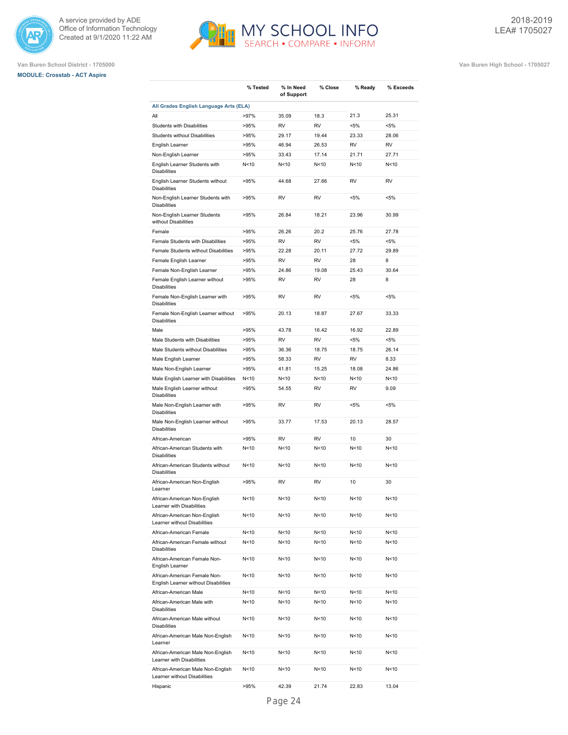





|                                                                      | % Tested        | % In Need<br>of Support | % Close   | % Ready         | % Exceeds |
|----------------------------------------------------------------------|-----------------|-------------------------|-----------|-----------------|-----------|
| All Grades English Language Arts (ELA)                               |                 |                         |           |                 |           |
| All                                                                  | >97%            | 35.09                   | 18.3      | 21.3            | 25.31     |
| <b>Students with Disabilities</b>                                    | >95%            | <b>RV</b>               | <b>RV</b> | $< 5\%$         | $< 5\%$   |
| <b>Students without Disabilities</b>                                 | >95%            | 29.17                   | 19.44     | 23.33           | 28.06     |
| English Learner                                                      | >95%            | 46.94                   | 26.53     | <b>RV</b>       | <b>RV</b> |
| Non-English Learner                                                  | >95%            | 33.43                   | 17.14     | 21.71           | 27.71     |
| English Learner Students with<br><b>Disabilities</b>                 | N < 10          | N<10                    | N < 10    | N <sub>10</sub> | N<10      |
| English Learner Students without<br><b>Disabilities</b>              | >95%            | 44.68                   | 27.66     | <b>RV</b>       | <b>RV</b> |
| Non-English Learner Students with<br><b>Disabilities</b>             | >95%            | <b>RV</b>               | <b>RV</b> | $< 5\%$         | <5%       |
| Non-English Learner Students<br>without Disabilities                 | >95%            | 26.84                   | 18.21     | 23.96           | 30.99     |
| Female                                                               | >95%            | 26.26                   | 20.2      | 25.76           | 27.78     |
| Female Students with Disabilities                                    | >95%            | <b>RV</b>               | <b>RV</b> | $< 5\%$         | $< 5\%$   |
| Female Students without Disabilities                                 | >95%            | 22.28                   | 20.11     | 27.72           | 29.89     |
| Female English Learner                                               | >95%            | <b>RV</b>               | <b>RV</b> | 28              | 8         |
| Female Non-English Learner                                           | >95%            | 24.86                   | 19.08     | 25.43           | 30.64     |
| Female English Learner without<br><b>Disabilities</b>                | >95%            | <b>RV</b>               | <b>RV</b> | 28              | 8         |
| Female Non-English Learner with<br><b>Disabilities</b>               | >95%            | RV                      | <b>RV</b> | $< 5\%$         | <5%       |
| Female Non-English Learner without<br><b>Disabilities</b>            | >95%            | 20.13                   | 18.87     | 27.67           | 33.33     |
| Male                                                                 | >95%            | 43.78                   | 16.42     | 16.92           | 22.89     |
| Male Students with Disabilities                                      | >95%            | <b>RV</b>               | <b>RV</b> | $< 5\%$         | $< 5\%$   |
| Male Students without Disabilities                                   | >95%            | 36.36                   | 18.75     | 18.75           | 26.14     |
| Male English Learner                                                 | >95%            | 58.33                   | <b>RV</b> | <b>RV</b>       | 8.33      |
| Male Non-English Learner                                             | >95%            | 41.81                   | 15.25     | 18.08           | 24.86     |
| Male English Learner with Disabilities                               | N<10            | N<10                    | N<10      | N<10            | N<10      |
| Male English Learner without<br><b>Disabilities</b>                  | >95%            | 54.55                   | <b>RV</b> | <b>RV</b>       | 9.09      |
| Male Non-English Learner with<br><b>Disabilities</b>                 | >95%            | <b>RV</b>               | <b>RV</b> | $< 5\%$         | $< 5\%$   |
| Male Non-English Learner without<br><b>Disabilities</b>              | >95%            | 33.77                   | 17.53     | 20.13           | 28.57     |
| African-American                                                     | >95%            | <b>RV</b>               | <b>RV</b> | 10              | 30        |
| African-American Students with<br><b>Disabilities</b>                | N<10            | N<10                    | N < 10    | N <sub>10</sub> | N<10      |
| African-American Students without<br><b>Disabilities</b>             | N <sub>10</sub> | N<10                    | N<10      | N<10            | N<10      |
| African-American Non-English<br>Learner                              | >95%            | <b>RV</b>               | <b>RV</b> | 10              | 30        |
| African-American Non-English<br>Learner with Disabilities            | N<10            | N<10                    | N<10      | N<10            | N<10      |
| African-American Non-English<br>Learner without Disabilities         | N<10            | N<10                    | N<10      | N<10            | N<10      |
| African-American Female                                              | N<10            | N<10                    | N<10      | N<10            | N<10      |
| African-American Female without<br><b>Disabilities</b>               | N<10            | N<10                    | N<10      | N<10            | N<10      |
| African-American Female Non-<br>English Learner                      | N<10            | N<10                    | N<10      | N<10            | N<10      |
| African-American Female Non-<br>English Learner without Disabilities | N<10            | N<10                    | N<10      | N<10            | N<10      |
| African-American Male                                                | N<10            | N<10                    | N<10      | N<10            | N<10      |
| African-American Male with<br><b>Disabilities</b>                    | N<10            | N<10                    | N<10      | N<10            | N<10      |
| African-American Male without<br><b>Disabilities</b>                 | N <sub>10</sub> | N <sub>10</sub>         | N<10      | N <sub>10</sub> | N<10      |
| African-American Male Non-English<br>Learner                         | N <sub>10</sub> | N <sub>10</sub>         | N<10      | N<10            | N<10      |
| African-American Male Non-English<br>Learner with Disabilities       | N <sub>10</sub> | N <sub>10</sub>         | N<10      | N<10            | N<10      |
| African-American Male Non-English<br>Learner without Disabilities    | N<10            | N<10                    | N<10      | N<10            | N<10      |
| Hispanic                                                             | >95%            | 42.39                   | 21.74     | 22.83           | 13.04     |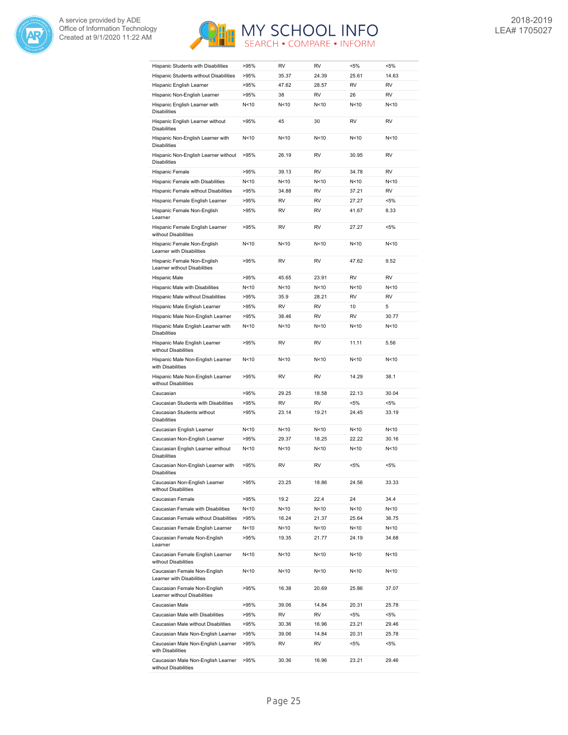



| Hispanic Students with Disabilities                          | >95% | RV        | <b>RV</b>       | $< 5\%$         | $< 5\%$   |
|--------------------------------------------------------------|------|-----------|-----------------|-----------------|-----------|
| Hispanic Students without Disabilities                       | >95% | 35.37     | 24.39           | 25.61           | 14.63     |
| Hispanic English Learner                                     | >95% | 47.62     | 28.57           | RV              | <b>RV</b> |
| Hispanic Non-English Learner                                 | >95% | 38        | <b>RV</b>       | 26              | <b>RV</b> |
| Hispanic English Learner with<br><b>Disabilities</b>         | N<10 | N<10      | N<10            | N<10            | N<10      |
| Hispanic English Learner without<br><b>Disabilities</b>      | >95% | 45        | 30              | RV              | <b>RV</b> |
| Hispanic Non-English Learner with<br><b>Disabilities</b>     | N<10 | N<10      | N<10            | N <sub>10</sub> | N<10      |
| Hispanic Non-English Learner without<br><b>Disabilities</b>  | >95% | 26.19     | <b>RV</b>       | 30.95           | <b>RV</b> |
| Hispanic Female                                              | >95% | 39.13     | <b>RV</b>       | 34.78           | <b>RV</b> |
| Hispanic Female with Disabilities                            | N<10 | N<10      | N <sub>10</sub> | N <sub>10</sub> | N<10      |
| Hispanic Female without Disabilities                         | >95% | 34.88     | <b>RV</b>       | 37.21           | <b>RV</b> |
| Hispanic Female English Learner                              | >95% | RV        | <b>RV</b>       | 27.27           | $< 5\%$   |
| Hispanic Female Non-English<br>Learner                       | >95% | RV        | <b>RV</b>       | 41.67           | 8.33      |
| Hispanic Female English Learner<br>without Disabilities      | >95% | RV        | RV              | 27.27           | <5%       |
| Hispanic Female Non-English<br>Learner with Disabilities     | N<10 | N<10      | N <sub>10</sub> | N <sub>10</sub> | N<10      |
| Hispanic Female Non-English<br>Learner without Disabilities  | >95% | <b>RV</b> | <b>RV</b>       | 47.62           | 9.52      |
| Hispanic Male                                                | >95% | 45.65     | 23.91           | <b>RV</b>       | <b>RV</b> |
| Hispanic Male with Disabilities                              | N<10 | N<10      | N <sub>10</sub> | N <sub>10</sub> | N<10      |
| Hispanic Male without Disabilities                           | >95% | 35.9      | 28.21           | <b>RV</b>       | <b>RV</b> |
| Hispanic Male English Learner                                | >95% | <b>RV</b> | <b>RV</b>       | 10              | 5         |
| Hispanic Male Non-English Learner                            | >95% | 38.46     | <b>RV</b>       | RV              | 30.77     |
| Hispanic Male English Learner with<br><b>Disabilities</b>    | N<10 | N<10      | N<10            | N<10            | N<10      |
| Hispanic Male English Learner<br>without Disabilities        | >95% | RV        | RV              | 11.11           | 5.56      |
| Hispanic Male Non-English Learner<br>with Disabilities       | N<10 | N<10      | N<10            | N <sub>10</sub> | N<10      |
| Hispanic Male Non-English Learner<br>without Disabilities    | >95% | <b>RV</b> | <b>RV</b>       | 14.29           | 38.1      |
| Caucasian                                                    | >95% | 29.25     | 18.58           | 22.13           | 30.04     |
| Caucasian Students with Disabilities                         | >95% | <b>RV</b> | <b>RV</b>       | $< 5\%$         | $< 5\%$   |
| Caucasian Students without<br><b>Disabilities</b>            | >95% | 23.14     | 19.21           | 24.45           | 33.19     |
| Caucasian English Learner                                    | N<10 | N<10      | N <sub>10</sub> | N <sub>10</sub> | N<10      |
| Caucasian Non-English Learner                                | >95% | 29.37     | 18.25           | 22.22           | 30.16     |
| Caucasian English Learner without<br><b>Disabilities</b>     | N<10 | N<10      | N <sub>10</sub> | N <sub>10</sub> | N<10      |
| Caucasian Non-English Learner with<br>Disabilities           | >95% | <b>RV</b> | <b>RV</b>       | $< 5\%$         | $< 5\%$   |
| Caucasian Non-English Learner<br>without Disabilities        | >95% | 23.25     | 18.86           | 24.56           | 33.33     |
| Caucasian Female                                             | >95% | 19.2      | 22.4            | 24              | 34.4      |
| Caucasian Female with Disabilities                           | N<10 | N<10      | N<10            | N<10            | N<10      |
| Caucasian Female without Disabilities                        | >95% | 16.24     | 21.37           | 25.64           | 36.75     |
| Caucasian Female English Learner                             | N<10 | N<10      | N<10            | N<10            | N<10      |
| Caucasian Female Non-English<br>Learner                      | >95% | 19.35     | 21.77           | 24.19           | 34.68     |
| Caucasian Female English Learner<br>without Disabilities     | N<10 | N<10      | N<10            | N <sub>10</sub> | N<10      |
| Caucasian Female Non-English<br>Learner with Disabilities    | N<10 | N<10      | N<10            | N <sub>10</sub> | N<10      |
| Caucasian Female Non-English<br>Learner without Disabilities | >95% | 16.38     | 20.69           | 25.86           | 37.07     |
| Caucasian Male                                               | >95% | 39.06     | 14.84           | 20.31           | 25.78     |
| Caucasian Male with Disabilities                             | >95% | RV        | RV              | $< 5\%$         | <5%       |
| Caucasian Male without Disabilities                          | >95% | 30.36     | 16.96           | 23.21           | 29.46     |
| Caucasian Male Non-English Learner                           | >95% | 39.06     | 14.84           | 20.31           | 25.78     |
| Caucasian Male Non-English Learner<br>with Disabilities      | >95% | RV        | RV              | <5%             | $< 5\%$   |
| Caucasian Male Non-English Learner<br>without Disabilities   | >95% | 30.36     | 16.96           | 23.21           | 29.46     |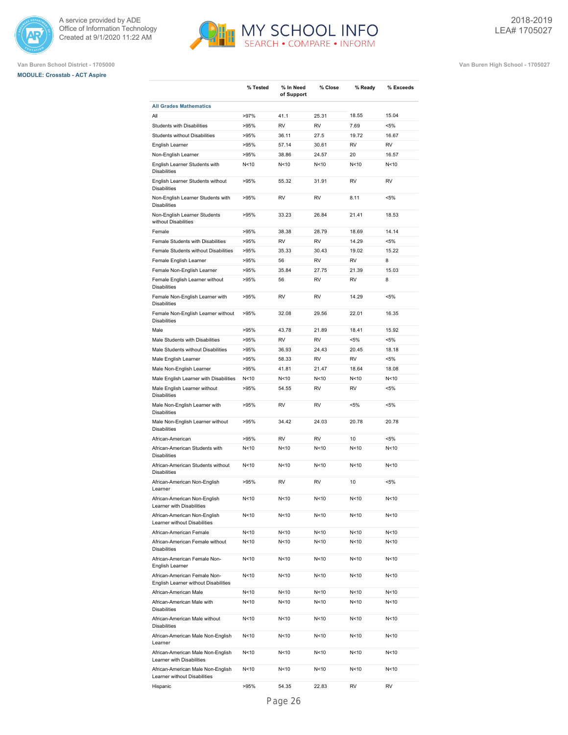

# **MODULE: Crosstab - ACT Aspire**





|                                                                      | % Tested        | % In Need<br>of Support | % Close         | % Ready         | % Exceeds |
|----------------------------------------------------------------------|-----------------|-------------------------|-----------------|-----------------|-----------|
| <b>All Grades Mathematics</b>                                        |                 |                         |                 |                 |           |
| All                                                                  | >97%            | 41.1                    | 25.31           | 18.55           | 15.04     |
| <b>Students with Disabilities</b>                                    | >95%            | <b>RV</b>               | <b>RV</b>       | 7.69            | $< 5\%$   |
| <b>Students without Disabilities</b>                                 | >95%            | 36.11                   | 27.5            | 19.72           | 16.67     |
| English Learner                                                      | >95%            | 57.14                   | 30.61           | <b>RV</b>       | <b>RV</b> |
| Non-English Learner                                                  | >95%            | 38.86                   | 24.57           | 20              | 16.57     |
| English Learner Students with<br><b>Disabilities</b>                 | N<10            | N<10                    | N < 10          | N < 10          | N<10      |
| English Learner Students without<br><b>Disabilities</b>              | >95%            | 55.32                   | 31.91           | <b>RV</b>       | <b>RV</b> |
| Non-English Learner Students with<br><b>Disabilities</b>             | >95%            | <b>RV</b>               | <b>RV</b>       | 8.11            | $< 5\%$   |
| Non-English Learner Students<br>without Disabilities                 | >95%            | 33.23                   | 26.84           | 21.41           | 18.53     |
| Female                                                               | >95%            | 38.38                   | 28.79           | 18.69           | 14.14     |
| Female Students with Disabilities                                    | >95%            | <b>RV</b>               | <b>RV</b>       | 14.29           | $< 5\%$   |
| Female Students without Disabilities                                 | >95%            | 35.33                   | 30.43           | 19.02           | 15.22     |
| Female English Learner                                               | >95%            | 56                      | <b>RV</b>       | <b>RV</b>       | 8         |
| Female Non-English Learner                                           | >95%            | 35.84                   | 27.75           | 21.39           | 15.03     |
|                                                                      |                 |                         | <b>RV</b>       | <b>RV</b>       | 8         |
| Female English Learner without<br><b>Disabilities</b>                | >95%            | 56                      |                 |                 |           |
| Female Non-English Learner with<br><b>Disabilities</b>               | >95%            | <b>RV</b>               | <b>RV</b>       | 14.29           | $< 5\%$   |
| Female Non-English Learner without<br><b>Disabilities</b>            | >95%            | 32.08                   | 29.56           | 22.01           | 16.35     |
| Male                                                                 | >95%            | 43.78                   | 21.89           | 18.41           | 15.92     |
| Male Students with Disabilities                                      | >95%            | <b>RV</b>               | <b>RV</b>       | $< 5\%$         | $< 5\%$   |
| Male Students without Disabilities                                   | >95%            | 36.93                   | 24.43           | 20.45           | 18.18     |
| Male English Learner                                                 | >95%            | 58.33                   | <b>RV</b>       | <b>RV</b>       | $< 5\%$   |
| Male Non-English Learner                                             | >95%            | 41.81                   | 21.47           | 18.64           | 18.08     |
| Male English Learner with Disabilities                               | N<10            | N<10                    | N <sub>10</sub> | N <sub>10</sub> | N<10      |
| Male English Learner without<br><b>Disabilities</b>                  | >95%            | 54.55                   | <b>RV</b>       | <b>RV</b>       | $< 5\%$   |
| Male Non-English Learner with<br><b>Disabilities</b>                 | >95%            | <b>RV</b>               | <b>RV</b>       | $< 5\%$         | $< 5\%$   |
| Male Non-English Learner without<br><b>Disabilities</b>              | >95%            | 34.42                   | 24.03           | 20.78           | 20.78     |
| African-American                                                     | >95%            | <b>RV</b>               | <b>RV</b>       | 10              | $< 5\%$   |
| African-American Students with<br><b>Disabilities</b>                | N<10            | N<10                    | N < 10          | N<10            | N<10      |
| African-American Students without<br><b>Disabilities</b>             | N<10            | N <sub>10</sub>         | N <sub>10</sub> | N <sub>10</sub> | N<10      |
| African-American Non-English<br>Learner                              | >95%            | <b>RV</b>               | <b>RV</b>       | 10              | $< 5\%$   |
| African-American Non-English<br>Learner with Disabilities            | N<10            | N<10                    | N<10            | N<10            | N<10      |
| African-American Non-English<br>Learner without Disabilities         | N <sub>10</sub> | N<10                    | N<10            | N<10            | N<10      |
| African-American Female                                              | N <sub>10</sub> | N <sub>10</sub>         | N<10            | N <sub>10</sub> | N<10      |
| African-American Female without<br><b>Disabilities</b>               | N<10            | N<10                    | N<10            | N<10            | N<10      |
| African-American Female Non-<br>English Learner                      | N<10            | N<10                    | N<10            | N <sub>10</sub> | N<10      |
| African-American Female Non-<br>English Learner without Disabilities | N<10            | N<10                    | N<10            | N<10            | N<10      |
| African-American Male                                                | N<10            | N<10                    | N<10            | N<10            | N<10      |
| African-American Male with<br><b>Disabilities</b>                    | N <sub>10</sub> | N <sub>10</sub>         | N <sub>10</sub> | N <sub>10</sub> | N<10      |
| African-American Male without<br><b>Disabilities</b>                 | N <sub>10</sub> | N<10                    | N<10            | N<10            | N<10      |
| African-American Male Non-English<br>Learner                         | N <sub>10</sub> | N<10                    | N<10            | N<10            | N<10      |
| African-American Male Non-English<br>Learner with Disabilities       | N<10            | N<10                    | N<10            | N<10            | N<10      |
| African-American Male Non-English<br>Learner without Disabilities    | N<10            | N<10                    | N<10            | N < 10          | N<10      |
| Hispanic                                                             | >95%            | 54.35                   | 22.83           | RV              | RV        |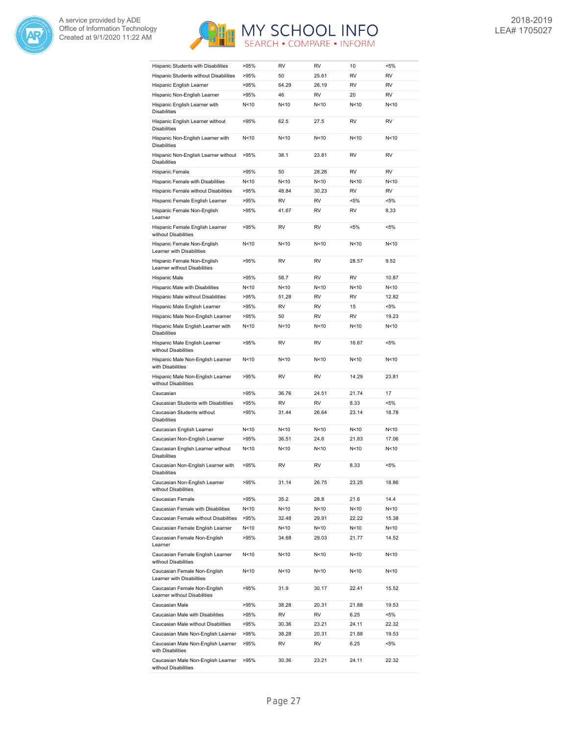



| Hispanic Students with Disabilities                                                           | >95%         | <b>RV</b>   | RV                     | 10              | $< 5\%$          |
|-----------------------------------------------------------------------------------------------|--------------|-------------|------------------------|-----------------|------------------|
| Hispanic Students without Disabilities                                                        | >95%         | 50          | 25.61                  | RV              | <b>RV</b>        |
| Hispanic English Learner                                                                      | >95%         | 64.29       | 26.19                  | <b>RV</b>       | <b>RV</b>        |
| Hispanic Non-English Learner                                                                  | >95%         | 46          | <b>RV</b>              | 20              | <b>RV</b>        |
| Hispanic English Learner with<br><b>Disabilities</b>                                          | N<10         | N<10        | N <sub>10</sub>        | N <sub>10</sub> | N<10             |
| Hispanic English Learner without<br><b>Disabilities</b>                                       | >95%         | 62.5        | 27.5                   | <b>RV</b>       | <b>RV</b>        |
| Hispanic Non-English Learner with<br><b>Disabilities</b>                                      | N<10         | N<10        | N <sub>10</sub>        | N <sub>10</sub> | N<10             |
| Hispanic Non-English Learner without<br><b>Disabilities</b>                                   | >95%         | 38.1        | 23.81                  | RV              | <b>RV</b>        |
| Hispanic Female                                                                               | >95%         | 50          | 28.26                  | RV              | <b>RV</b>        |
| Hispanic Female with Disabilities                                                             | N<10         | N<10        | N<10                   | N <sub>10</sub> | N<10             |
| Hispanic Female without Disabilities                                                          | >95%         | 48.84       | 30.23                  | <b>RV</b>       | <b>RV</b>        |
| Hispanic Female English Learner                                                               | >95%         | <b>RV</b>   | <b>RV</b>              | $< 5\%$         | $< 5\%$          |
| Hispanic Female Non-English<br>Learner                                                        | >95%         | 41.67       | <b>RV</b>              | <b>RV</b>       | 8.33             |
| Hispanic Female English Learner                                                               | >95%         | <b>RV</b>   | <b>RV</b>              | $< 5\%$         | $< 5\%$          |
| without Disabilities<br>Hispanic Female Non-English                                           | N<10         | N<10        | N < 10                 | N<10            | N<10             |
| Learner with Disabilities<br>Hispanic Female Non-English                                      | >95%         | <b>RV</b>   | RV                     | 28.57           | 9.52             |
| Learner without Disabilities                                                                  |              |             |                        |                 |                  |
| Hispanic Male                                                                                 | >95%         | 58.7        | <b>RV</b>              | RV              | 10.87            |
| Hispanic Male with Disabilities                                                               | N<10         | N<10        | N<10                   | N<10            | N<10             |
| Hispanic Male without Disabilities                                                            | >95%         | 51.28       | <b>RV</b>              | <b>RV</b>       | 12.82            |
| Hispanic Male English Learner                                                                 | >95%         | RV          | <b>RV</b><br><b>RV</b> | 15<br><b>RV</b> | $< 5\%$          |
| Hispanic Male Non-English Learner<br>Hispanic Male English Learner with                       | >95%<br>N<10 | 50<br>N<10  | N<10                   | N<10            | 19.23<br>N<10    |
| <b>Disabilities</b><br>Hispanic Male English Learner                                          | >95%         | <b>RV</b>   | <b>RV</b>              | 16.67           | $< 5\%$          |
| without Disabilities<br>Hispanic Male Non-English Learner                                     | N<10         | N<10        | N<10                   | N<10            | N<10             |
| with Disabilities<br>Hispanic Male Non-English Learner                                        | >95%         | RV          | RV                     | 14.29           | 23.81            |
| without Disabilities                                                                          | >95%         | 36.76       | 24.51                  | 21.74           | 17               |
| Caucasian                                                                                     |              |             |                        |                 |                  |
| Caucasian Students with Disabilities                                                          | >95%         | <b>RV</b>   | <b>RV</b>              | 8.33<br>23.14   | $< 5\%$          |
| Caucasian Students without<br><b>Disabilities</b>                                             | >95%         | 31.44       | 26.64                  |                 | 18.78            |
|                                                                                               |              |             |                        |                 |                  |
| Caucasian English Learner                                                                     | N<10         | N<10        | N<10                   | N <sub>10</sub> | N<10             |
| Caucasian Non-English Learner                                                                 | >95%         | 36.51       | 24.6                   | 21.83           | 17.06            |
| Caucasian English Learner without<br><b>Disabilities</b>                                      | N<10         | N<10        | N<10                   | N<10            | N<10             |
| Caucasian Non-English Learner with<br><b>Disabilities</b>                                     | >95%         | <b>RV</b>   | RV                     | 8.33            | $< 5\%$          |
| Caucasian Non-English Learner<br>without Disabilities                                         | >95%         | 31.14       | 26.75                  | 23.25           | 18.86            |
| Caucasian Female                                                                              | >95%         | 35.2        | 28.8                   | 21.6            | 14.4             |
| Caucasian Female with Disabilities                                                            | N<10         | N<10        | N<10                   | N<10            | N<10             |
| Caucasian Female without Disabilities                                                         | >95%         | 32.48       | 29.91                  | 22.22           | 15.38            |
| Caucasian Female English Learner                                                              | N<10         | N<10        | N<10                   | N<10            | N<10             |
| Caucasian Female Non-English<br>Learner                                                       | >95%         | 34.68       | 29.03                  | 21.77           | 14.52            |
| Caucasian Female English Learner<br>without Disabilities                                      | N<10         | N<10        | N<10                   | N<10            | N<10             |
| Caucasian Female Non-English<br>Learner with Disabilities                                     | N<10         | N<10        | N<10                   | N<10            | N<10             |
| Caucasian Female Non-English                                                                  | >95%         | 31.9        | 30.17                  | 22.41           | 15.52            |
| Learner without Disabilities                                                                  |              |             |                        |                 |                  |
| Caucasian Male                                                                                | >95%         | 38.28<br>RV | 20.31<br>RV            | 21.88           | 19.53<br><5%     |
| Caucasian Male with Disabilities                                                              | >95%         |             |                        | 6.25            |                  |
| Caucasian Male without Disabilities                                                           | >95%         | 30.36       | 23.21                  | 24.11           | 22.32            |
| Caucasian Male Non-English Learner<br>Caucasian Male Non-English Learner<br>with Disabilities | >95%<br>>95% | 38.28<br>RV | 20.31<br>RV            | 21.88<br>6.25   | 19.53<br>$< 5\%$ |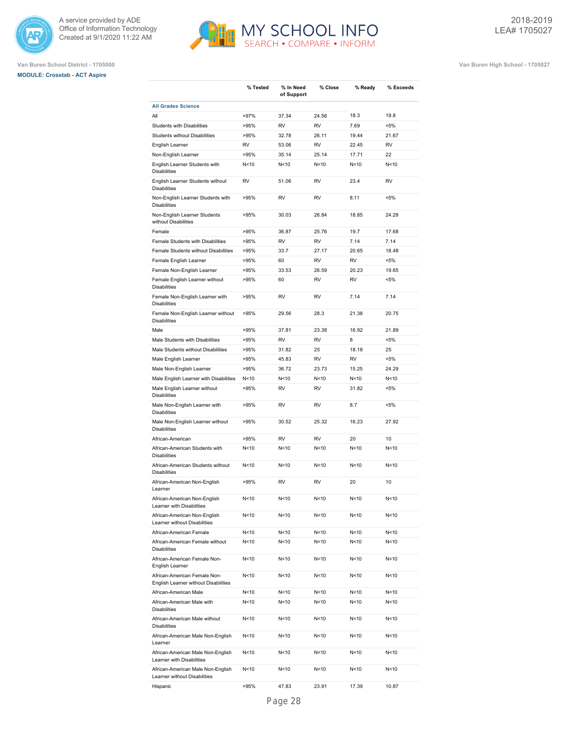





**Van Buren School District - 1705000 Van Buren High School - 1705027**

| <b>All Grades Science</b><br>18.3<br>19.8<br>All<br>>97%<br>37.34<br>24.56<br><b>RV</b><br><b>RV</b><br>7.69<br>$< 5\%$<br><b>Students with Disabilities</b><br>>95%<br>Students without Disabilities<br>>95%<br>32.78<br>26.11<br>19.44<br>21.67<br><b>RV</b><br>53.06<br><b>RV</b><br>22.45<br><b>RV</b><br>English Learner<br>Non-English Learner<br>>95%<br>35.14<br>25.14<br>17.71<br>22<br>English Learner Students with<br>N <sub>10</sub><br>N<10<br>N < 10<br>N <sub>10</sub><br>N<10<br><b>Disabilities</b><br>English Learner Students without<br><b>RV</b><br>51.06<br><b>RV</b><br>23.4<br><b>RV</b><br><b>Disabilities</b><br>Non-English Learner Students with<br>>95%<br><b>RV</b><br><b>RV</b><br>8.11<br>$< 5\%$<br><b>Disabilities</b><br>Non-English Learner Students<br>>95%<br>30.03<br>26.84<br>18.85<br>24.28<br>without Disabilities<br>36.87<br>25.76<br>19.7<br>17.68<br>Female<br>>95%<br>Female Students with Disabilities<br><b>RV</b><br><b>RV</b><br>7.14<br>7.14<br>>95%<br>Female Students without Disabilities<br>>95%<br>33.7<br>27.17<br>20.65<br>18.48<br>>95%<br>60<br><b>RV</b><br><b>RV</b><br>$< 5\%$<br>Female English Learner<br>Female Non-English Learner<br>>95%<br>33.53<br>26.59<br>20.23<br>19.65<br>Female English Learner without<br>>95%<br>60<br><b>RV</b><br><b>RV</b><br>$< 5\%$<br><b>Disabilities</b><br>Female Non-English Learner with<br>>95%<br><b>RV</b><br><b>RV</b><br>7.14<br>7.14<br><b>Disabilities</b><br>Female Non-English Learner without<br>>95%<br>29.56<br>28.3<br>21.38<br>20.75<br><b>Disabilities</b><br>Male<br>>95%<br>37.81<br>23.38<br>16.92<br>21.89<br>Male Students with Disabilities<br>>95%<br><b>RV</b><br><b>RV</b><br>8<br>$< 5\%$<br>Male Students without Disabilities<br>>95%<br>31.82<br>25<br>18.18<br>25<br>Male English Learner<br>>95%<br>45.83<br><b>RV</b><br><b>RV</b><br>$< 5\%$<br>>95%<br>36.72<br>23.73<br>15.25<br>24.29<br>Male Non-English Learner<br>Male English Learner with Disabilities<br>N < 10<br>N<10<br>N<10<br>N <sub>10</sub><br>N<10<br>Male English Learner without<br><b>RV</b><br><b>RV</b><br>31.82<br>$< 5\%$<br>>95%<br><b>Disabilities</b><br>Male Non-English Learner with<br>>95%<br><b>RV</b><br><b>RV</b><br>8.7<br>$< 5\%$<br><b>Disabilities</b><br>Male Non-English Learner without<br>>95%<br>30.52<br>25.32<br>16.23<br>27.92<br><b>Disabilities</b><br>African-American<br>>95%<br><b>RV</b><br><b>RV</b><br>20<br>10<br>African-American Students with<br>N<10<br>N<10<br>N<10<br>N <sub>10</sub><br>N<10<br><b>Disabilities</b><br>N<10<br>African-American Students without<br>N<10<br>N<10<br>N<10<br>N<10<br><b>Disabilities</b><br>10<br>African-American Non-English<br>>95%<br><b>RV</b><br><b>RV</b><br>20<br>Learner<br>African-American Non-English<br>N < 10<br>N<10<br>N <sub>10</sub><br>N<10<br>N<10<br>Learner with Disabilities<br>African-American Non-English<br>N<10<br>N<10<br>N<10<br>N<10<br>N<10<br>Learner without Disabilities<br>N<10<br>N<10<br>N<10<br>N<10<br>African-American Female<br>N<10<br>African-American Female without<br>N<10<br>N<10<br>N<10<br>N<10<br>N<10<br><b>Disabilities</b><br>African-American Female Non-<br>N<10<br>N<10<br>N<10<br>N<10<br>N<10<br>English Learner<br>African-American Female Non-<br>N <sub>10</sub><br>N<10<br>N<10<br>N<10<br>N<10<br>English Learner without Disabilities<br>African-American Male<br>N <sub>10</sub><br>N<10<br>N<10<br>N<10<br>N<10<br>African-American Male with<br>N<10<br>N<10<br>N<10<br>N<10<br>N<10<br><b>Disabilities</b><br>African-American Male without<br>N<10<br>N<10<br>N<10<br>N < 10<br>N<10<br><b>Disabilities</b><br>African-American Male Non-English<br>N<10<br>N<10<br>N<10<br>N<10<br>N<10<br>Learner<br>African-American Male Non-English<br>N < 10<br>N<10<br>N<10<br>N < 10<br>N<10<br>Learner with Disabilities<br>African-American Male Non-English<br>N<10<br>N<10<br>N<10<br>N<10<br>N<10<br>Learner without Disabilities | % Tested | % In Need<br>of Support | % Close | % Ready | % Exceeds |
|---------------------------------------------------------------------------------------------------------------------------------------------------------------------------------------------------------------------------------------------------------------------------------------------------------------------------------------------------------------------------------------------------------------------------------------------------------------------------------------------------------------------------------------------------------------------------------------------------------------------------------------------------------------------------------------------------------------------------------------------------------------------------------------------------------------------------------------------------------------------------------------------------------------------------------------------------------------------------------------------------------------------------------------------------------------------------------------------------------------------------------------------------------------------------------------------------------------------------------------------------------------------------------------------------------------------------------------------------------------------------------------------------------------------------------------------------------------------------------------------------------------------------------------------------------------------------------------------------------------------------------------------------------------------------------------------------------------------------------------------------------------------------------------------------------------------------------------------------------------------------------------------------------------------------------------------------------------------------------------------------------------------------------------------------------------------------------------------------------------------------------------------------------------------------------------------------------------------------------------------------------------------------------------------------------------------------------------------------------------------------------------------------------------------------------------------------------------------------------------------------------------------------------------------------------------------------------------------------------------------------------------------------------------------------------------------------------------------------------------------------------------------------------------------------------------------------------------------------------------------------------------------------------------------------------------------------------------------------------------------------------------------------------------------------------------------------------------------------------------------------------------------------------------------------------------------------------------------------------------------------------------------------------------------------------------------------------------------------------------------------------------------------------------------------------------------------------------------------------------------------------------------------------------------------------------------------------------------------------------------------------------------------------------------------------------------------------------------------------------------------------------------------------------------------------------------------------------------------------------------------------------------------------------------------------------------------------------------------------------------|----------|-------------------------|---------|---------|-----------|
|                                                                                                                                                                                                                                                                                                                                                                                                                                                                                                                                                                                                                                                                                                                                                                                                                                                                                                                                                                                                                                                                                                                                                                                                                                                                                                                                                                                                                                                                                                                                                                                                                                                                                                                                                                                                                                                                                                                                                                                                                                                                                                                                                                                                                                                                                                                                                                                                                                                                                                                                                                                                                                                                                                                                                                                                                                                                                                                                                                                                                                                                                                                                                                                                                                                                                                                                                                                                                                                                                                                                                                                                                                                                                                                                                                                                                                                                                                                                                                                             |          |                         |         |         |           |
|                                                                                                                                                                                                                                                                                                                                                                                                                                                                                                                                                                                                                                                                                                                                                                                                                                                                                                                                                                                                                                                                                                                                                                                                                                                                                                                                                                                                                                                                                                                                                                                                                                                                                                                                                                                                                                                                                                                                                                                                                                                                                                                                                                                                                                                                                                                                                                                                                                                                                                                                                                                                                                                                                                                                                                                                                                                                                                                                                                                                                                                                                                                                                                                                                                                                                                                                                                                                                                                                                                                                                                                                                                                                                                                                                                                                                                                                                                                                                                                             |          |                         |         |         |           |
|                                                                                                                                                                                                                                                                                                                                                                                                                                                                                                                                                                                                                                                                                                                                                                                                                                                                                                                                                                                                                                                                                                                                                                                                                                                                                                                                                                                                                                                                                                                                                                                                                                                                                                                                                                                                                                                                                                                                                                                                                                                                                                                                                                                                                                                                                                                                                                                                                                                                                                                                                                                                                                                                                                                                                                                                                                                                                                                                                                                                                                                                                                                                                                                                                                                                                                                                                                                                                                                                                                                                                                                                                                                                                                                                                                                                                                                                                                                                                                                             |          |                         |         |         |           |
|                                                                                                                                                                                                                                                                                                                                                                                                                                                                                                                                                                                                                                                                                                                                                                                                                                                                                                                                                                                                                                                                                                                                                                                                                                                                                                                                                                                                                                                                                                                                                                                                                                                                                                                                                                                                                                                                                                                                                                                                                                                                                                                                                                                                                                                                                                                                                                                                                                                                                                                                                                                                                                                                                                                                                                                                                                                                                                                                                                                                                                                                                                                                                                                                                                                                                                                                                                                                                                                                                                                                                                                                                                                                                                                                                                                                                                                                                                                                                                                             |          |                         |         |         |           |
|                                                                                                                                                                                                                                                                                                                                                                                                                                                                                                                                                                                                                                                                                                                                                                                                                                                                                                                                                                                                                                                                                                                                                                                                                                                                                                                                                                                                                                                                                                                                                                                                                                                                                                                                                                                                                                                                                                                                                                                                                                                                                                                                                                                                                                                                                                                                                                                                                                                                                                                                                                                                                                                                                                                                                                                                                                                                                                                                                                                                                                                                                                                                                                                                                                                                                                                                                                                                                                                                                                                                                                                                                                                                                                                                                                                                                                                                                                                                                                                             |          |                         |         |         |           |
|                                                                                                                                                                                                                                                                                                                                                                                                                                                                                                                                                                                                                                                                                                                                                                                                                                                                                                                                                                                                                                                                                                                                                                                                                                                                                                                                                                                                                                                                                                                                                                                                                                                                                                                                                                                                                                                                                                                                                                                                                                                                                                                                                                                                                                                                                                                                                                                                                                                                                                                                                                                                                                                                                                                                                                                                                                                                                                                                                                                                                                                                                                                                                                                                                                                                                                                                                                                                                                                                                                                                                                                                                                                                                                                                                                                                                                                                                                                                                                                             |          |                         |         |         |           |
|                                                                                                                                                                                                                                                                                                                                                                                                                                                                                                                                                                                                                                                                                                                                                                                                                                                                                                                                                                                                                                                                                                                                                                                                                                                                                                                                                                                                                                                                                                                                                                                                                                                                                                                                                                                                                                                                                                                                                                                                                                                                                                                                                                                                                                                                                                                                                                                                                                                                                                                                                                                                                                                                                                                                                                                                                                                                                                                                                                                                                                                                                                                                                                                                                                                                                                                                                                                                                                                                                                                                                                                                                                                                                                                                                                                                                                                                                                                                                                                             |          |                         |         |         |           |
|                                                                                                                                                                                                                                                                                                                                                                                                                                                                                                                                                                                                                                                                                                                                                                                                                                                                                                                                                                                                                                                                                                                                                                                                                                                                                                                                                                                                                                                                                                                                                                                                                                                                                                                                                                                                                                                                                                                                                                                                                                                                                                                                                                                                                                                                                                                                                                                                                                                                                                                                                                                                                                                                                                                                                                                                                                                                                                                                                                                                                                                                                                                                                                                                                                                                                                                                                                                                                                                                                                                                                                                                                                                                                                                                                                                                                                                                                                                                                                                             |          |                         |         |         |           |
|                                                                                                                                                                                                                                                                                                                                                                                                                                                                                                                                                                                                                                                                                                                                                                                                                                                                                                                                                                                                                                                                                                                                                                                                                                                                                                                                                                                                                                                                                                                                                                                                                                                                                                                                                                                                                                                                                                                                                                                                                                                                                                                                                                                                                                                                                                                                                                                                                                                                                                                                                                                                                                                                                                                                                                                                                                                                                                                                                                                                                                                                                                                                                                                                                                                                                                                                                                                                                                                                                                                                                                                                                                                                                                                                                                                                                                                                                                                                                                                             |          |                         |         |         |           |
|                                                                                                                                                                                                                                                                                                                                                                                                                                                                                                                                                                                                                                                                                                                                                                                                                                                                                                                                                                                                                                                                                                                                                                                                                                                                                                                                                                                                                                                                                                                                                                                                                                                                                                                                                                                                                                                                                                                                                                                                                                                                                                                                                                                                                                                                                                                                                                                                                                                                                                                                                                                                                                                                                                                                                                                                                                                                                                                                                                                                                                                                                                                                                                                                                                                                                                                                                                                                                                                                                                                                                                                                                                                                                                                                                                                                                                                                                                                                                                                             |          |                         |         |         |           |
|                                                                                                                                                                                                                                                                                                                                                                                                                                                                                                                                                                                                                                                                                                                                                                                                                                                                                                                                                                                                                                                                                                                                                                                                                                                                                                                                                                                                                                                                                                                                                                                                                                                                                                                                                                                                                                                                                                                                                                                                                                                                                                                                                                                                                                                                                                                                                                                                                                                                                                                                                                                                                                                                                                                                                                                                                                                                                                                                                                                                                                                                                                                                                                                                                                                                                                                                                                                                                                                                                                                                                                                                                                                                                                                                                                                                                                                                                                                                                                                             |          |                         |         |         |           |
|                                                                                                                                                                                                                                                                                                                                                                                                                                                                                                                                                                                                                                                                                                                                                                                                                                                                                                                                                                                                                                                                                                                                                                                                                                                                                                                                                                                                                                                                                                                                                                                                                                                                                                                                                                                                                                                                                                                                                                                                                                                                                                                                                                                                                                                                                                                                                                                                                                                                                                                                                                                                                                                                                                                                                                                                                                                                                                                                                                                                                                                                                                                                                                                                                                                                                                                                                                                                                                                                                                                                                                                                                                                                                                                                                                                                                                                                                                                                                                                             |          |                         |         |         |           |
|                                                                                                                                                                                                                                                                                                                                                                                                                                                                                                                                                                                                                                                                                                                                                                                                                                                                                                                                                                                                                                                                                                                                                                                                                                                                                                                                                                                                                                                                                                                                                                                                                                                                                                                                                                                                                                                                                                                                                                                                                                                                                                                                                                                                                                                                                                                                                                                                                                                                                                                                                                                                                                                                                                                                                                                                                                                                                                                                                                                                                                                                                                                                                                                                                                                                                                                                                                                                                                                                                                                                                                                                                                                                                                                                                                                                                                                                                                                                                                                             |          |                         |         |         |           |
|                                                                                                                                                                                                                                                                                                                                                                                                                                                                                                                                                                                                                                                                                                                                                                                                                                                                                                                                                                                                                                                                                                                                                                                                                                                                                                                                                                                                                                                                                                                                                                                                                                                                                                                                                                                                                                                                                                                                                                                                                                                                                                                                                                                                                                                                                                                                                                                                                                                                                                                                                                                                                                                                                                                                                                                                                                                                                                                                                                                                                                                                                                                                                                                                                                                                                                                                                                                                                                                                                                                                                                                                                                                                                                                                                                                                                                                                                                                                                                                             |          |                         |         |         |           |
|                                                                                                                                                                                                                                                                                                                                                                                                                                                                                                                                                                                                                                                                                                                                                                                                                                                                                                                                                                                                                                                                                                                                                                                                                                                                                                                                                                                                                                                                                                                                                                                                                                                                                                                                                                                                                                                                                                                                                                                                                                                                                                                                                                                                                                                                                                                                                                                                                                                                                                                                                                                                                                                                                                                                                                                                                                                                                                                                                                                                                                                                                                                                                                                                                                                                                                                                                                                                                                                                                                                                                                                                                                                                                                                                                                                                                                                                                                                                                                                             |          |                         |         |         |           |
|                                                                                                                                                                                                                                                                                                                                                                                                                                                                                                                                                                                                                                                                                                                                                                                                                                                                                                                                                                                                                                                                                                                                                                                                                                                                                                                                                                                                                                                                                                                                                                                                                                                                                                                                                                                                                                                                                                                                                                                                                                                                                                                                                                                                                                                                                                                                                                                                                                                                                                                                                                                                                                                                                                                                                                                                                                                                                                                                                                                                                                                                                                                                                                                                                                                                                                                                                                                                                                                                                                                                                                                                                                                                                                                                                                                                                                                                                                                                                                                             |          |                         |         |         |           |
|                                                                                                                                                                                                                                                                                                                                                                                                                                                                                                                                                                                                                                                                                                                                                                                                                                                                                                                                                                                                                                                                                                                                                                                                                                                                                                                                                                                                                                                                                                                                                                                                                                                                                                                                                                                                                                                                                                                                                                                                                                                                                                                                                                                                                                                                                                                                                                                                                                                                                                                                                                                                                                                                                                                                                                                                                                                                                                                                                                                                                                                                                                                                                                                                                                                                                                                                                                                                                                                                                                                                                                                                                                                                                                                                                                                                                                                                                                                                                                                             |          |                         |         |         |           |
|                                                                                                                                                                                                                                                                                                                                                                                                                                                                                                                                                                                                                                                                                                                                                                                                                                                                                                                                                                                                                                                                                                                                                                                                                                                                                                                                                                                                                                                                                                                                                                                                                                                                                                                                                                                                                                                                                                                                                                                                                                                                                                                                                                                                                                                                                                                                                                                                                                                                                                                                                                                                                                                                                                                                                                                                                                                                                                                                                                                                                                                                                                                                                                                                                                                                                                                                                                                                                                                                                                                                                                                                                                                                                                                                                                                                                                                                                                                                                                                             |          |                         |         |         |           |
|                                                                                                                                                                                                                                                                                                                                                                                                                                                                                                                                                                                                                                                                                                                                                                                                                                                                                                                                                                                                                                                                                                                                                                                                                                                                                                                                                                                                                                                                                                                                                                                                                                                                                                                                                                                                                                                                                                                                                                                                                                                                                                                                                                                                                                                                                                                                                                                                                                                                                                                                                                                                                                                                                                                                                                                                                                                                                                                                                                                                                                                                                                                                                                                                                                                                                                                                                                                                                                                                                                                                                                                                                                                                                                                                                                                                                                                                                                                                                                                             |          |                         |         |         |           |
|                                                                                                                                                                                                                                                                                                                                                                                                                                                                                                                                                                                                                                                                                                                                                                                                                                                                                                                                                                                                                                                                                                                                                                                                                                                                                                                                                                                                                                                                                                                                                                                                                                                                                                                                                                                                                                                                                                                                                                                                                                                                                                                                                                                                                                                                                                                                                                                                                                                                                                                                                                                                                                                                                                                                                                                                                                                                                                                                                                                                                                                                                                                                                                                                                                                                                                                                                                                                                                                                                                                                                                                                                                                                                                                                                                                                                                                                                                                                                                                             |          |                         |         |         |           |
|                                                                                                                                                                                                                                                                                                                                                                                                                                                                                                                                                                                                                                                                                                                                                                                                                                                                                                                                                                                                                                                                                                                                                                                                                                                                                                                                                                                                                                                                                                                                                                                                                                                                                                                                                                                                                                                                                                                                                                                                                                                                                                                                                                                                                                                                                                                                                                                                                                                                                                                                                                                                                                                                                                                                                                                                                                                                                                                                                                                                                                                                                                                                                                                                                                                                                                                                                                                                                                                                                                                                                                                                                                                                                                                                                                                                                                                                                                                                                                                             |          |                         |         |         |           |
|                                                                                                                                                                                                                                                                                                                                                                                                                                                                                                                                                                                                                                                                                                                                                                                                                                                                                                                                                                                                                                                                                                                                                                                                                                                                                                                                                                                                                                                                                                                                                                                                                                                                                                                                                                                                                                                                                                                                                                                                                                                                                                                                                                                                                                                                                                                                                                                                                                                                                                                                                                                                                                                                                                                                                                                                                                                                                                                                                                                                                                                                                                                                                                                                                                                                                                                                                                                                                                                                                                                                                                                                                                                                                                                                                                                                                                                                                                                                                                                             |          |                         |         |         |           |
|                                                                                                                                                                                                                                                                                                                                                                                                                                                                                                                                                                                                                                                                                                                                                                                                                                                                                                                                                                                                                                                                                                                                                                                                                                                                                                                                                                                                                                                                                                                                                                                                                                                                                                                                                                                                                                                                                                                                                                                                                                                                                                                                                                                                                                                                                                                                                                                                                                                                                                                                                                                                                                                                                                                                                                                                                                                                                                                                                                                                                                                                                                                                                                                                                                                                                                                                                                                                                                                                                                                                                                                                                                                                                                                                                                                                                                                                                                                                                                                             |          |                         |         |         |           |
|                                                                                                                                                                                                                                                                                                                                                                                                                                                                                                                                                                                                                                                                                                                                                                                                                                                                                                                                                                                                                                                                                                                                                                                                                                                                                                                                                                                                                                                                                                                                                                                                                                                                                                                                                                                                                                                                                                                                                                                                                                                                                                                                                                                                                                                                                                                                                                                                                                                                                                                                                                                                                                                                                                                                                                                                                                                                                                                                                                                                                                                                                                                                                                                                                                                                                                                                                                                                                                                                                                                                                                                                                                                                                                                                                                                                                                                                                                                                                                                             |          |                         |         |         |           |
|                                                                                                                                                                                                                                                                                                                                                                                                                                                                                                                                                                                                                                                                                                                                                                                                                                                                                                                                                                                                                                                                                                                                                                                                                                                                                                                                                                                                                                                                                                                                                                                                                                                                                                                                                                                                                                                                                                                                                                                                                                                                                                                                                                                                                                                                                                                                                                                                                                                                                                                                                                                                                                                                                                                                                                                                                                                                                                                                                                                                                                                                                                                                                                                                                                                                                                                                                                                                                                                                                                                                                                                                                                                                                                                                                                                                                                                                                                                                                                                             |          |                         |         |         |           |
|                                                                                                                                                                                                                                                                                                                                                                                                                                                                                                                                                                                                                                                                                                                                                                                                                                                                                                                                                                                                                                                                                                                                                                                                                                                                                                                                                                                                                                                                                                                                                                                                                                                                                                                                                                                                                                                                                                                                                                                                                                                                                                                                                                                                                                                                                                                                                                                                                                                                                                                                                                                                                                                                                                                                                                                                                                                                                                                                                                                                                                                                                                                                                                                                                                                                                                                                                                                                                                                                                                                                                                                                                                                                                                                                                                                                                                                                                                                                                                                             |          |                         |         |         |           |
|                                                                                                                                                                                                                                                                                                                                                                                                                                                                                                                                                                                                                                                                                                                                                                                                                                                                                                                                                                                                                                                                                                                                                                                                                                                                                                                                                                                                                                                                                                                                                                                                                                                                                                                                                                                                                                                                                                                                                                                                                                                                                                                                                                                                                                                                                                                                                                                                                                                                                                                                                                                                                                                                                                                                                                                                                                                                                                                                                                                                                                                                                                                                                                                                                                                                                                                                                                                                                                                                                                                                                                                                                                                                                                                                                                                                                                                                                                                                                                                             |          |                         |         |         |           |
|                                                                                                                                                                                                                                                                                                                                                                                                                                                                                                                                                                                                                                                                                                                                                                                                                                                                                                                                                                                                                                                                                                                                                                                                                                                                                                                                                                                                                                                                                                                                                                                                                                                                                                                                                                                                                                                                                                                                                                                                                                                                                                                                                                                                                                                                                                                                                                                                                                                                                                                                                                                                                                                                                                                                                                                                                                                                                                                                                                                                                                                                                                                                                                                                                                                                                                                                                                                                                                                                                                                                                                                                                                                                                                                                                                                                                                                                                                                                                                                             |          |                         |         |         |           |
|                                                                                                                                                                                                                                                                                                                                                                                                                                                                                                                                                                                                                                                                                                                                                                                                                                                                                                                                                                                                                                                                                                                                                                                                                                                                                                                                                                                                                                                                                                                                                                                                                                                                                                                                                                                                                                                                                                                                                                                                                                                                                                                                                                                                                                                                                                                                                                                                                                                                                                                                                                                                                                                                                                                                                                                                                                                                                                                                                                                                                                                                                                                                                                                                                                                                                                                                                                                                                                                                                                                                                                                                                                                                                                                                                                                                                                                                                                                                                                                             |          |                         |         |         |           |
|                                                                                                                                                                                                                                                                                                                                                                                                                                                                                                                                                                                                                                                                                                                                                                                                                                                                                                                                                                                                                                                                                                                                                                                                                                                                                                                                                                                                                                                                                                                                                                                                                                                                                                                                                                                                                                                                                                                                                                                                                                                                                                                                                                                                                                                                                                                                                                                                                                                                                                                                                                                                                                                                                                                                                                                                                                                                                                                                                                                                                                                                                                                                                                                                                                                                                                                                                                                                                                                                                                                                                                                                                                                                                                                                                                                                                                                                                                                                                                                             |          |                         |         |         |           |
|                                                                                                                                                                                                                                                                                                                                                                                                                                                                                                                                                                                                                                                                                                                                                                                                                                                                                                                                                                                                                                                                                                                                                                                                                                                                                                                                                                                                                                                                                                                                                                                                                                                                                                                                                                                                                                                                                                                                                                                                                                                                                                                                                                                                                                                                                                                                                                                                                                                                                                                                                                                                                                                                                                                                                                                                                                                                                                                                                                                                                                                                                                                                                                                                                                                                                                                                                                                                                                                                                                                                                                                                                                                                                                                                                                                                                                                                                                                                                                                             |          |                         |         |         |           |
|                                                                                                                                                                                                                                                                                                                                                                                                                                                                                                                                                                                                                                                                                                                                                                                                                                                                                                                                                                                                                                                                                                                                                                                                                                                                                                                                                                                                                                                                                                                                                                                                                                                                                                                                                                                                                                                                                                                                                                                                                                                                                                                                                                                                                                                                                                                                                                                                                                                                                                                                                                                                                                                                                                                                                                                                                                                                                                                                                                                                                                                                                                                                                                                                                                                                                                                                                                                                                                                                                                                                                                                                                                                                                                                                                                                                                                                                                                                                                                                             |          |                         |         |         |           |
|                                                                                                                                                                                                                                                                                                                                                                                                                                                                                                                                                                                                                                                                                                                                                                                                                                                                                                                                                                                                                                                                                                                                                                                                                                                                                                                                                                                                                                                                                                                                                                                                                                                                                                                                                                                                                                                                                                                                                                                                                                                                                                                                                                                                                                                                                                                                                                                                                                                                                                                                                                                                                                                                                                                                                                                                                                                                                                                                                                                                                                                                                                                                                                                                                                                                                                                                                                                                                                                                                                                                                                                                                                                                                                                                                                                                                                                                                                                                                                                             |          |                         |         |         |           |
|                                                                                                                                                                                                                                                                                                                                                                                                                                                                                                                                                                                                                                                                                                                                                                                                                                                                                                                                                                                                                                                                                                                                                                                                                                                                                                                                                                                                                                                                                                                                                                                                                                                                                                                                                                                                                                                                                                                                                                                                                                                                                                                                                                                                                                                                                                                                                                                                                                                                                                                                                                                                                                                                                                                                                                                                                                                                                                                                                                                                                                                                                                                                                                                                                                                                                                                                                                                                                                                                                                                                                                                                                                                                                                                                                                                                                                                                                                                                                                                             |          |                         |         |         |           |
|                                                                                                                                                                                                                                                                                                                                                                                                                                                                                                                                                                                                                                                                                                                                                                                                                                                                                                                                                                                                                                                                                                                                                                                                                                                                                                                                                                                                                                                                                                                                                                                                                                                                                                                                                                                                                                                                                                                                                                                                                                                                                                                                                                                                                                                                                                                                                                                                                                                                                                                                                                                                                                                                                                                                                                                                                                                                                                                                                                                                                                                                                                                                                                                                                                                                                                                                                                                                                                                                                                                                                                                                                                                                                                                                                                                                                                                                                                                                                                                             |          |                         |         |         |           |
|                                                                                                                                                                                                                                                                                                                                                                                                                                                                                                                                                                                                                                                                                                                                                                                                                                                                                                                                                                                                                                                                                                                                                                                                                                                                                                                                                                                                                                                                                                                                                                                                                                                                                                                                                                                                                                                                                                                                                                                                                                                                                                                                                                                                                                                                                                                                                                                                                                                                                                                                                                                                                                                                                                                                                                                                                                                                                                                                                                                                                                                                                                                                                                                                                                                                                                                                                                                                                                                                                                                                                                                                                                                                                                                                                                                                                                                                                                                                                                                             |          |                         |         |         |           |
|                                                                                                                                                                                                                                                                                                                                                                                                                                                                                                                                                                                                                                                                                                                                                                                                                                                                                                                                                                                                                                                                                                                                                                                                                                                                                                                                                                                                                                                                                                                                                                                                                                                                                                                                                                                                                                                                                                                                                                                                                                                                                                                                                                                                                                                                                                                                                                                                                                                                                                                                                                                                                                                                                                                                                                                                                                                                                                                                                                                                                                                                                                                                                                                                                                                                                                                                                                                                                                                                                                                                                                                                                                                                                                                                                                                                                                                                                                                                                                                             |          |                         |         |         |           |
|                                                                                                                                                                                                                                                                                                                                                                                                                                                                                                                                                                                                                                                                                                                                                                                                                                                                                                                                                                                                                                                                                                                                                                                                                                                                                                                                                                                                                                                                                                                                                                                                                                                                                                                                                                                                                                                                                                                                                                                                                                                                                                                                                                                                                                                                                                                                                                                                                                                                                                                                                                                                                                                                                                                                                                                                                                                                                                                                                                                                                                                                                                                                                                                                                                                                                                                                                                                                                                                                                                                                                                                                                                                                                                                                                                                                                                                                                                                                                                                             |          |                         |         |         |           |
|                                                                                                                                                                                                                                                                                                                                                                                                                                                                                                                                                                                                                                                                                                                                                                                                                                                                                                                                                                                                                                                                                                                                                                                                                                                                                                                                                                                                                                                                                                                                                                                                                                                                                                                                                                                                                                                                                                                                                                                                                                                                                                                                                                                                                                                                                                                                                                                                                                                                                                                                                                                                                                                                                                                                                                                                                                                                                                                                                                                                                                                                                                                                                                                                                                                                                                                                                                                                                                                                                                                                                                                                                                                                                                                                                                                                                                                                                                                                                                                             |          |                         |         |         |           |
|                                                                                                                                                                                                                                                                                                                                                                                                                                                                                                                                                                                                                                                                                                                                                                                                                                                                                                                                                                                                                                                                                                                                                                                                                                                                                                                                                                                                                                                                                                                                                                                                                                                                                                                                                                                                                                                                                                                                                                                                                                                                                                                                                                                                                                                                                                                                                                                                                                                                                                                                                                                                                                                                                                                                                                                                                                                                                                                                                                                                                                                                                                                                                                                                                                                                                                                                                                                                                                                                                                                                                                                                                                                                                                                                                                                                                                                                                                                                                                                             |          |                         |         |         |           |
|                                                                                                                                                                                                                                                                                                                                                                                                                                                                                                                                                                                                                                                                                                                                                                                                                                                                                                                                                                                                                                                                                                                                                                                                                                                                                                                                                                                                                                                                                                                                                                                                                                                                                                                                                                                                                                                                                                                                                                                                                                                                                                                                                                                                                                                                                                                                                                                                                                                                                                                                                                                                                                                                                                                                                                                                                                                                                                                                                                                                                                                                                                                                                                                                                                                                                                                                                                                                                                                                                                                                                                                                                                                                                                                                                                                                                                                                                                                                                                                             |          |                         |         |         |           |
|                                                                                                                                                                                                                                                                                                                                                                                                                                                                                                                                                                                                                                                                                                                                                                                                                                                                                                                                                                                                                                                                                                                                                                                                                                                                                                                                                                                                                                                                                                                                                                                                                                                                                                                                                                                                                                                                                                                                                                                                                                                                                                                                                                                                                                                                                                                                                                                                                                                                                                                                                                                                                                                                                                                                                                                                                                                                                                                                                                                                                                                                                                                                                                                                                                                                                                                                                                                                                                                                                                                                                                                                                                                                                                                                                                                                                                                                                                                                                                                             |          |                         |         |         |           |
|                                                                                                                                                                                                                                                                                                                                                                                                                                                                                                                                                                                                                                                                                                                                                                                                                                                                                                                                                                                                                                                                                                                                                                                                                                                                                                                                                                                                                                                                                                                                                                                                                                                                                                                                                                                                                                                                                                                                                                                                                                                                                                                                                                                                                                                                                                                                                                                                                                                                                                                                                                                                                                                                                                                                                                                                                                                                                                                                                                                                                                                                                                                                                                                                                                                                                                                                                                                                                                                                                                                                                                                                                                                                                                                                                                                                                                                                                                                                                                                             |          |                         |         |         |           |

Hispanic >95% 47.83 23.91 17.39 10.87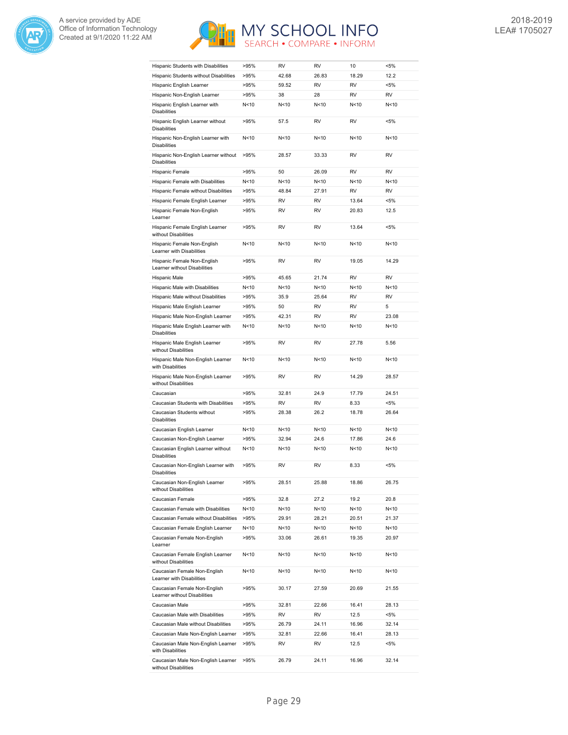



| Hispanic Students with Disabilities                                          | >95%            | RV          | <b>RV</b> | 10              | $< 5\%$   |
|------------------------------------------------------------------------------|-----------------|-------------|-----------|-----------------|-----------|
| Hispanic Students without Disabilities                                       | >95%            | 42.68       | 26.83     | 18.29           | 12.2      |
| Hispanic English Learner                                                     | >95%            | 59.52       | <b>RV</b> | <b>RV</b>       | $< 5\%$   |
| Hispanic Non-English Learner                                                 | >95%            | 38          | 28        | <b>RV</b>       | RV        |
| Hispanic English Learner with<br><b>Disabilities</b>                         | N<10            | N<10        | N < 10    | N <sub>10</sub> | N<10      |
| Hispanic English Learner without<br><b>Disabilities</b>                      | >95%            | 57.5        | RV        | RV              | $< 5\%$   |
| Hispanic Non-English Learner with<br><b>Disabilities</b>                     | N<10            | N < 10      | N < 10    | N < 10          | N<10      |
| Hispanic Non-English Learner without<br><b>Disabilities</b>                  | >95%            | 28.57       | 33.33     | RV              | <b>RV</b> |
| Hispanic Female                                                              | >95%            | 50          | 26.09     | RV              | <b>RV</b> |
| Hispanic Female with Disabilities                                            | N<10            | N<10        | N < 10    | N < 10          | N<10      |
| Hispanic Female without Disabilities                                         | >95%            | 48.84       | 27.91     | <b>RV</b>       | <b>RV</b> |
| Hispanic Female English Learner                                              | >95%            | RV          | RV        | 13.64           | $< 5\%$   |
| Hispanic Female Non-English<br>Learner                                       | >95%            | RV          | RV        | 20.83           | 12.5      |
| Hispanic Female English Learner<br>without Disabilities                      | >95%            | <b>RV</b>   | <b>RV</b> | 13.64           | $< 5\%$   |
| Hispanic Female Non-English<br>Learner with Disabilities                     | N<10            | N<10        | N < 10    | N < 10          | N<10      |
| Hispanic Female Non-English<br>Learner without Disabilities                  | >95%            | RV          | <b>RV</b> | 19.05           | 14.29     |
| <b>Hispanic Male</b>                                                         | >95%            | 45.65       | 21.74     | RV              | <b>RV</b> |
| Hispanic Male with Disabilities                                              | N <sub>10</sub> | N < 10      | N < 10    | N<10            | N<10      |
| Hispanic Male without Disabilities                                           | >95%            | 35.9        | 25.64     | RV              | <b>RV</b> |
|                                                                              |                 |             | <b>RV</b> | RV              | 5         |
| Hispanic Male English Learner                                                | >95%            | 50<br>42.31 | <b>RV</b> | <b>RV</b>       | 23.08     |
| Hispanic Male Non-English Learner<br>Hispanic Male English Learner with      | >95%<br>N<10    | N<10        | N < 10    | N<10            | N<10      |
| <b>Disabilities</b><br>Hispanic Male English Learner<br>without Disabilities | >95%            | RV          | RV        | 27.78           | 5.56      |
| Hispanic Male Non-English Learner<br>with Disabilities                       | N<10            | N < 10      | N < 10    | N < 10          | N<10      |
| Hispanic Male Non-English Learner<br>without Disabilities                    | >95%            | RV          | <b>RV</b> | 14.29           | 28.57     |
| Caucasian                                                                    | >95%            | 32.81       | 24.9      | 17.79           | 24.51     |
| Caucasian Students with Disabilities                                         | >95%            | RV          | <b>RV</b> | 8.33            | $< 5\%$   |
| Caucasian Students without                                                   | >95%            | 28.38       | 26.2      | 18.78           | 26.64     |
| <b>Disabilities</b>                                                          |                 |             |           |                 |           |
| Caucasian English Learner                                                    | N<10            | N < 10      | N < 10    | N < 10          | N<10      |
| Caucasian Non-English Learner                                                | >95%            | 32.94       | 24.6      | 17.86           | 24.6      |
| Caucasian English Learner without<br><b>Disabilities</b>                     | N <sub>10</sub> | N<10        | N < 10    | N<10            | N<10      |
| Caucasian Non-English Learner with<br>Disabilities                           | >95%            | RV          | <b>RV</b> | 8.33            | <5%       |
| Caucasian Non-English Learner<br>without Disabilities                        | >95%            | 28.51       | 25.88     | 18.86           | 26.75     |
| Caucasian Female                                                             | >95%            | 32.8        | 27.2      | 19.2            | 20.8      |
| Caucasian Female with Disabilities                                           | N<10            | N<10        | N<10      | N<10            | N<10      |
| Caucasian Female without Disabilities                                        | >95%            | 29.91       | 28.21     | 20.51           | 21.37     |
| Caucasian Female English Learner                                             | N<10            | N<10        | N<10      | N<10            | N<10      |
| Caucasian Female Non-English<br>Learner                                      | >95%            | 33.06       | 26.61     | 19.35           | 20.97     |
| Caucasian Female English Learner<br>without Disabilities                     | N<10            | N<10        | N<10      | N<10            | N<10      |
| Caucasian Female Non-English<br>Learner with Disabilities                    | N<10            | N<10        | N<10      | N <sub>10</sub> | N<10      |
| Caucasian Female Non-English<br>Learner without Disabilities                 | >95%            | 30.17       | 27.59     | 20.69           | 21.55     |
| Caucasian Male                                                               | >95%            | 32.81       | 22.66     | 16.41           | 28.13     |
| Caucasian Male with Disabilities                                             | >95%            | RV          | RV        | 12.5            | $< 5\%$   |
| Caucasian Male without Disabilities                                          | >95%            | 26.79       | 24.11     | 16.96           | 32.14     |
| Caucasian Male Non-English Learner                                           | >95%            | 32.81       | 22.66     | 16.41           | 28.13     |
| Caucasian Male Non-English Learner<br>with Disabilities                      | >95%            | RV          | RV        | 12.5            | <5%       |
| Caucasian Male Non-English Learner<br>without Disabilities                   | >95%            | 26.79       | 24.11     | 16.96           | 32.14     |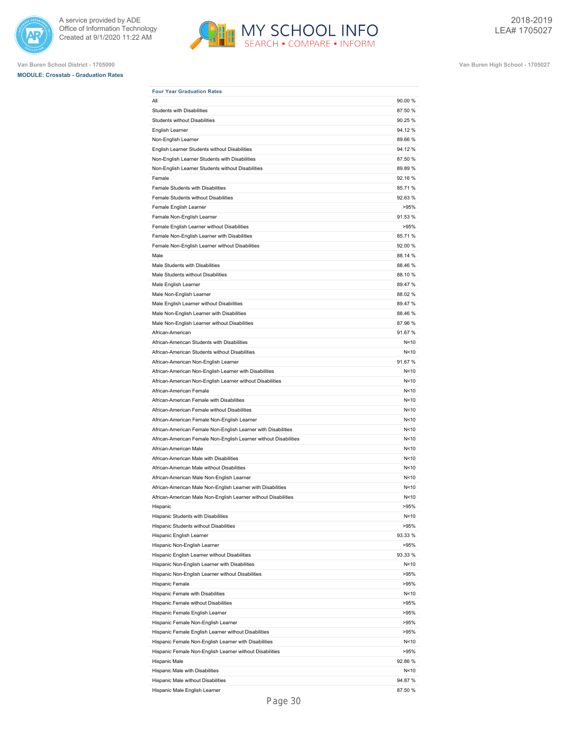



**MODULE: Crosstab - Graduation Rates**



| <b>Four Year Graduation Rates</b>                                |         |
|------------------------------------------------------------------|---------|
| All                                                              | 90.00 % |
| <b>Students with Disabilities</b>                                | 87.50 % |
| Students without Disabilities                                    | 90.25 % |
| English Learner                                                  | 94.12%  |
| Non-English Learner                                              | 89.66 % |
| English Learner Students without Disabilities                    | 94.12%  |
| Non-English Learner Students with Disabilities                   | 87.50 % |
| Non-English Learner Students without Disabilities                | 89.89%  |
| Female                                                           | 92.16 % |
| Female Students with Disabilities                                | 85.71 % |
| Female Students without Disabilities                             | 92.63%  |
| Female English Learner                                           | >95%    |
| Female Non-English Learner                                       | 91.53 % |
| Female English Learner without Disabilities                      | >95%    |
| Female Non-English Learner with Disabilities                     | 85.71 % |
| Female Non-English Learner without Disabilities                  | 92.00 % |
| Male                                                             | 88.14 % |
| Male Students with Disabilities                                  | 88.46 % |
| Male Students without Disabilities                               | 88.10%  |
| Male English Learner                                             | 89.47 % |
| Male Non-English Learner                                         | 88.02 % |
| Male English Learner without Disabilities                        | 89.47 % |
| Male Non-English Learner with Disabilities                       | 88.46 % |
| Male Non-English Learner without Disabilities                    | 87.96 % |
| African-American                                                 | 91.67%  |
| African-American Students with Disabilities                      | N<10    |
| African-American Students without Disabilities                   | N<10    |
| African-American Non-English Learner                             | 91.67%  |
| African-American Non-English Learner with Disabilities           | N < 10  |
| African-American Non-English Learner without Disabilities        | N<10    |
| African-American Female                                          | N<10    |
| African-American Female with Disabilities                        | N<10    |
| African-American Female without Disabilities                     | N<10    |
| African-American Female Non-English Learner                      | N<10    |
| African-American Female Non-English Learner with Disabilities    | N < 10  |
| African-American Female Non-English Learner without Disabilities | N < 10  |
| African-American Male                                            | N<10    |
| African-American Male with Disabilities                          | N<10    |
| African-American Male without Disabilities                       | N < 10  |
| African-American Male Non-English Learner                        | N < 10  |
| African-American Male Non-English Learner with Disabilities      | N < 10  |
| African-American Male Non-English Learner without Disabilities   | N<10    |
| Hispanic                                                         | >95%    |
| Hispanic Students with Disabilities                              | N<10    |
| Hispanic Students without Disabilities                           | >95%    |
| Hispanic English Learner                                         | 93.33 % |
| Hispanic Non-English Learner                                     | >95%    |
| Hispanic English Learner without Disabilities                    | 93.33 % |
| Hispanic Non-English Learner with Disabilities                   | N<10    |
| Hispanic Non-English Learner without Disabilities                | >95%    |
| Hispanic Female                                                  | >95%    |
| Hispanic Female with Disabilities                                | N<10    |
| Hispanic Female without Disabilities                             | >95%    |
| Hispanic Female English Learner                                  | >95%    |
| Hispanic Female Non-English Learner                              | >95%    |
| Hispanic Female English Learner without Disabilities             | >95%    |
| Hispanic Female Non-English Learner with Disabilities            | N<10    |
| Hispanic Female Non-English Learner without Disabilities         | >95%    |
| Hispanic Male                                                    | 92.86 % |
| Hispanic Male with Disabilities                                  | N<10    |
| Hispanic Male without Disabilities                               | 94.87 % |
|                                                                  |         |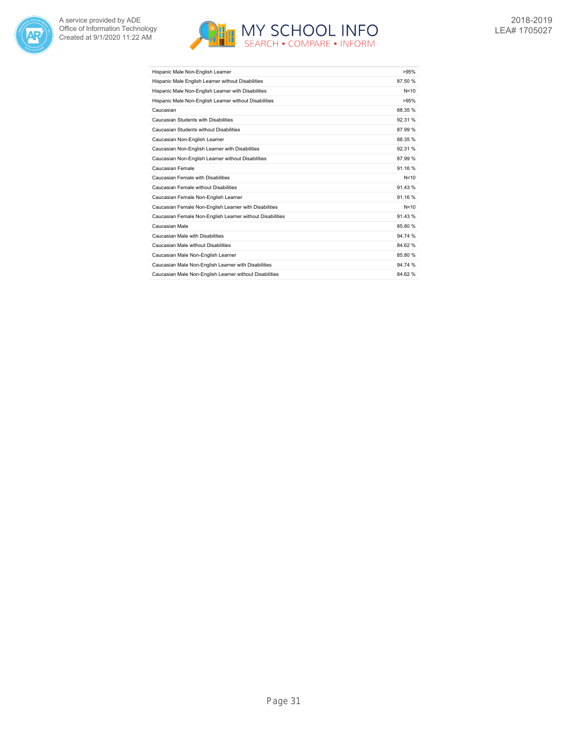



| Hispanic Male Non-English Learner                         | >95%    |
|-----------------------------------------------------------|---------|
| Hispanic Male English Learner without Disabilities        | 87.50 % |
| Hispanic Male Non-English Learner with Disabilities       | N<10    |
| Hispanic Male Non-English Learner without Disabilities    | >95%    |
| Caucasian                                                 | 88.35 % |
| Caucasian Students with Disabilities                      | 92.31 % |
| Caucasian Students without Disabilities                   | 87.99%  |
| Caucasian Non-English Learner                             | 88.35 % |
| Caucasian Non-English Learner with Disabilities           | 92.31 % |
| Caucasian Non-English Learner without Disabilities        | 87.99%  |
| Caucasian Female                                          | 91.16%  |
| Caucasian Female with Disabilities                        | N<10    |
| Caucasian Female without Disabilities                     | 91.43%  |
| Caucasian Female Non-English Learner                      | 91.16%  |
| Caucasian Female Non-English Learner with Disabilities    | N<10    |
| Caucasian Female Non-English Learner without Disabilities | 91.43%  |
| Caucasian Male                                            | 85.80 % |
| Caucasian Male with Disabilities                          | 94.74 % |
| Caucasian Male without Disabilities                       | 84.62%  |
| Caucasian Male Non-English Learner                        | 85.80 % |
| Caucasian Male Non-English Learner with Disabilities      | 94.74 % |
| Caucasian Male Non-English Learner without Disabilities   | 84.62%  |
|                                                           |         |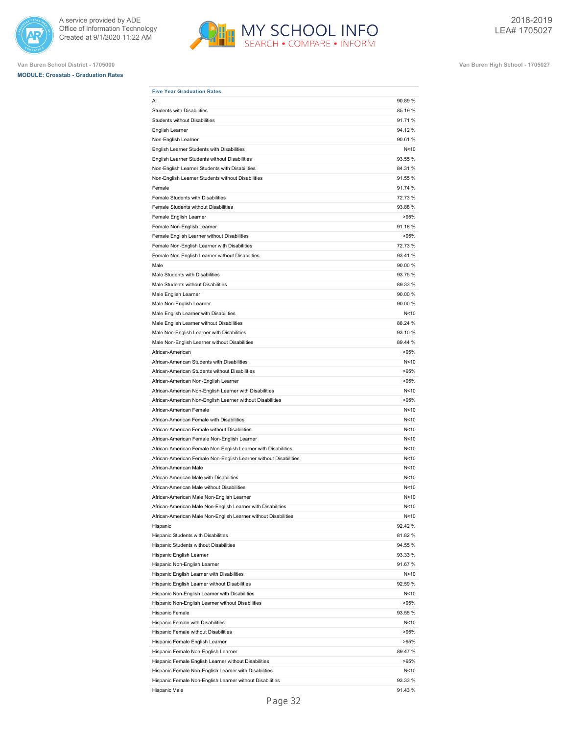



**Van Buren School District - 1705000 Van Buren High School - 1705027**

**MODULE: Crosstab - Graduation Rates**

| <b>Five Year Graduation Rates</b><br>All                         | 90.89 % |
|------------------------------------------------------------------|---------|
| <b>Students with Disabilities</b>                                | 85.19 % |
| <b>Students without Disabilities</b>                             | 91.71%  |
| English Learner                                                  | 94.12%  |
| Non-English Learner                                              | 90.61%  |
| English Learner Students with Disabilities                       | N<10    |
| English Learner Students without Disabilities                    | 93.55 % |
| Non-English Learner Students with Disabilities                   | 84.31 % |
| Non-English Learner Students without Disabilities                | 91.55 % |
| Female                                                           | 91.74 % |
| Female Students with Disabilities                                | 72.73 % |
| Female Students without Disabilities                             | 93.88 % |
| Female English Learner                                           | >95%    |
| Female Non-English Learner                                       | 91.18 % |
| Female English Learner without Disabilities                      | >95%    |
| Female Non-English Learner with Disabilities                     | 72.73 % |
| Female Non-English Learner without Disabilities                  | 93.41 % |
| Male                                                             | 90.00 % |
| Male Students with Disabilities                                  | 93.75 % |
| Male Students without Disabilities                               | 89.33 % |
|                                                                  |         |
| Male English Learner                                             | 90.00 % |
| Male Non-English Learner                                         | 90.00 % |
| Male English Learner with Disabilities                           | N < 10  |
| Male English Learner without Disabilities                        | 88.24 % |
| Male Non-English Learner with Disabilities                       | 93.10 % |
| Male Non-English Learner without Disabilities                    | 89.44 % |
| African-American                                                 | >95%    |
| African-American Students with Disabilities                      | N<10    |
| African-American Students without Disabilities                   | >95%    |
| African-American Non-English Learner                             | >95%    |
| African-American Non-English Learner with Disabilities           | N < 10  |
| African-American Non-English Learner without Disabilities        | >95%    |
| African-American Female                                          | N<10    |
| African-American Female with Disabilities                        | N < 10  |
| African-American Female without Disabilities                     | N < 10  |
| African-American Female Non-English Learner                      | N<10    |
| African-American Female Non-English Learner with Disabilities    | N<10    |
| African-American Female Non-English Learner without Disabilities | N<10    |
| African-American Male                                            | N<10    |
| African-American Male with Disabilities                          | N<10    |
| African-American Male without Disabilities                       | N<10    |
| African-American Male Non-English Learner                        | N<10    |
| African-American Male Non-English Learner with Disabilities      | N<10    |
| African-American Male Non-English Learner without Disabilities   | N<10    |
| Hispanic                                                         | 92.42 % |
| Hispanic Students with Disabilities                              | 81.82%  |
| Hispanic Students without Disabilities                           | 94.55 % |
| Hispanic English Learner                                         | 93.33 % |
| Hispanic Non-English Learner                                     | 91.67 % |
| Hispanic English Learner with Disabilities                       | N<10    |
| Hispanic English Learner without Disabilities                    | 92.59 % |
| Hispanic Non-English Learner with Disabilities                   | N<10    |
| Hispanic Non-English Learner without Disabilities                | >95%    |
| Hispanic Female                                                  | 93.55 % |
| Hispanic Female with Disabilities                                | N<10    |
| Hispanic Female without Disabilities                             | >95%    |
| Hispanic Female English Learner                                  | >95%    |
| Hispanic Female Non-English Learner                              | 89.47 % |
| Hispanic Female English Learner without Disabilities             | >95%    |
| Hispanic Female Non-English Learner with Disabilities            | N<10    |
| Hispanic Female Non-English Learner without Disabilities         | 93.33 % |
| Hispanic Male                                                    | 91.43%  |
|                                                                  |         |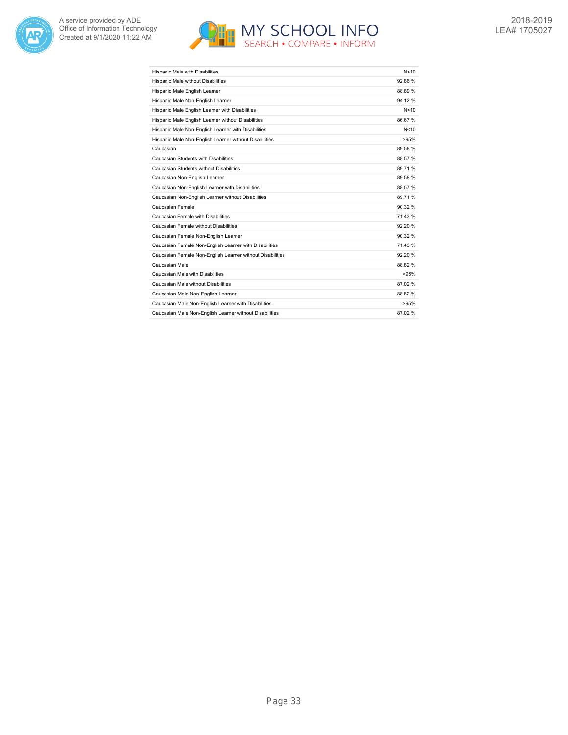



| Hispanic Male with Disabilities                           | N < 10  |
|-----------------------------------------------------------|---------|
| Hispanic Male without Disabilities                        | 92.86 % |
| Hispanic Male English Learner                             | 88.89 % |
| Hispanic Male Non-English Learner                         | 94.12 % |
| Hispanic Male English Learner with Disabilities           | N<10    |
| Hispanic Male English Learner without Disabilities        | 86.67 % |
| Hispanic Male Non-English Learner with Disabilities       | N<10    |
| Hispanic Male Non-English Learner without Disabilities    | >95%    |
| Caucasian                                                 | 89.58 % |
| Caucasian Students with Disabilities                      | 88.57 % |
| Caucasian Students without Disabilities                   | 89.71 % |
| Caucasian Non-English Learner                             | 89.58 % |
| Caucasian Non-English Learner with Disabilities           | 88.57 % |
| Caucasian Non-English Learner without Disabilities        | 89.71 % |
| Caucasian Female                                          | 90.32 % |
| Caucasian Female with Disabilities                        | 71.43 % |
| Caucasian Female without Disabilities                     | 92.20%  |
| Caucasian Female Non-English Learner                      | 90.32 % |
| Caucasian Female Non-English Learner with Disabilities    | 71.43 % |
| Caucasian Female Non-English Learner without Disabilities | 92.20%  |
| Caucasian Male                                            | 88.82 % |
| Caucasian Male with Disabilities                          | >95%    |
| Caucasian Male without Disabilities                       | 87.02 % |
| Caucasian Male Non-English Learner                        | 88.82 % |
| Caucasian Male Non-English Learner with Disabilities      | >95%    |
| Caucasian Male Non-English Learner without Disabilities   | 87.02%  |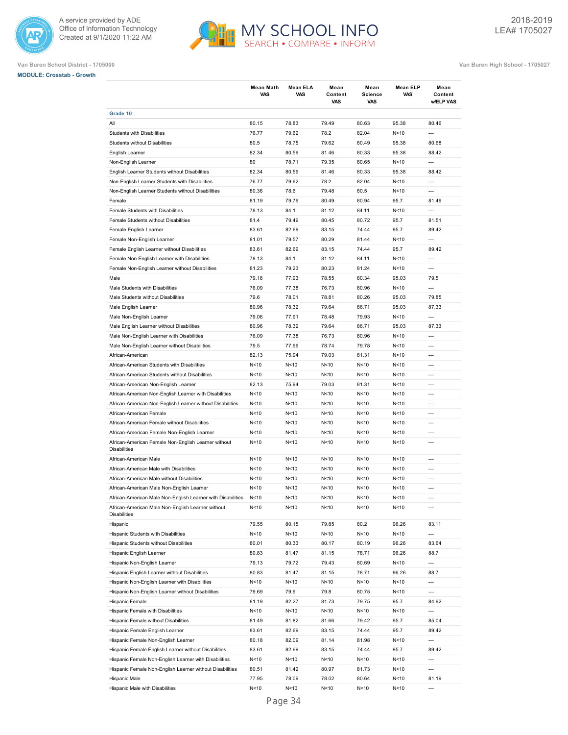



|                                                                            | <b>Mean Math</b><br><b>VAS</b> | Mean ELA<br>VAS | Mean<br>Content<br>VAS | Mean<br>Science<br><b>VAS</b> | Mean ELP<br>VAS | Mean<br>Content<br>w/ELP VAS |
|----------------------------------------------------------------------------|--------------------------------|-----------------|------------------------|-------------------------------|-----------------|------------------------------|
| Grade 10                                                                   |                                |                 |                        |                               |                 |                              |
| All                                                                        | 80.15                          | 78.83           | 79.49                  | 80.63                         | 95.38           | 80.46                        |
| Students with Disabilities                                                 | 76.77                          | 79.62           | 78.2                   | 82.04                         | N<10            | $\overline{a}$               |
| Students without Disabilities                                              | 80.5                           | 78.75           | 79.62                  | 80.49                         | 95.38           | 80.68                        |
| English Learner                                                            | 82.34                          | 80.59           | 81.46                  | 80.33                         | 95.38           | 88.42                        |
| Non-English Learner                                                        | 80                             | 78.71           | 79.35                  | 80.65                         | N < 10          | $\overline{a}$               |
| English Learner Students without Disabilities                              | 82.34                          | 80.59           | 81.46                  | 80.33                         | 95.38           | 88.42                        |
| Non-English Learner Students with Disabilities                             | 76.77                          | 79.62           | 78.2                   | 82.04                         | N <sub>10</sub> | ---                          |
| Non-English Learner Students without Disabilities                          | 80.36                          | 78.6            | 79.48                  | 80.5                          | N < 10          | $\overline{a}$               |
| Female                                                                     | 81.19                          | 79.79           | 80.49                  | 80.94                         | 95.7            | 81.49                        |
| Female Students with Disabilities                                          | 78.13                          | 84.1            | 81.12                  | 84.11                         | N<10            | $\overline{a}$               |
| Female Students without Disabilities                                       | 81.4                           | 79.49           | 80.45                  | 80.72                         | 95.7            | 81.51                        |
| Female English Learner                                                     | 83.61                          | 82.69           | 83.15                  | 74.44                         | 95.7            | 89.42                        |
| Female Non-English Learner                                                 | 81.01                          | 79.57           | 80.29                  | 81.44                         | N<10            | ---                          |
| Female English Learner without Disabilities                                | 83.61                          | 82.69           | 83.15                  | 74.44                         | 95.7            | 89.42                        |
| Female Non-English Learner with Disabilities                               | 78.13                          | 84.1            | 81.12                  | 84.11                         | N < 10          | ---                          |
| Female Non-English Learner without Disabilities                            | 81.23                          | 79.23           | 80.23                  | 81.24                         | N<10            | ---                          |
| Male                                                                       | 79.18                          | 77.93           | 78.55                  | 80.34                         | 95.03           | 79.5                         |
| Male Students with Disabilities                                            | 76.09                          | 77.38           | 76.73                  | 80.96                         | N<10            | ---                          |
| Male Students without Disabilities                                         | 79.6                           | 78.01           | 78.81                  | 80.26                         | 95.03           | 79.85                        |
| Male English Learner                                                       | 80.96                          | 78.32           | 79.64                  | 86.71                         | 95.03           | 87.33                        |
| Male Non-English Learner                                                   | 79.06                          | 77.91           | 78.48                  | 79.93                         | N <sub>10</sub> | $\overline{a}$               |
| Male English Learner without Disabilities                                  | 80.96                          | 78.32           | 79.64                  | 86.71                         | 95.03           | 87.33                        |
| Male Non-English Learner with Disabilities                                 | 76.09                          | 77.38           | 76.73                  | 80.96                         | N < 10          | $---$                        |
| Male Non-English Learner without Disabilities                              | 79.5                           | 77.99           | 78.74                  | 79.78                         | N<10            | ---                          |
| African-American                                                           | 82.13                          | 75.94           | 79.03                  | 81.31                         | N<10            | ---                          |
| African-American Students with Disabilities                                | N<10                           | N < 10          | N <sub>10</sub>        | N<10                          | N<10            | $\overline{a}$               |
| African-American Students without Disabilities                             | N<10                           | N < 10          | N < 10                 | N<10                          | N < 10          | $\overline{a}$               |
| African-American Non-English Learner                                       | 82.13                          | 75.94           | 79.03                  | 81.31                         | N<10            | $\overline{a}$               |
| African-American Non-English Learner with Disabilities                     | N<10                           | N < 10          | N < 10                 | N<10                          | N<10            | ---                          |
| African-American Non-English Learner without Disabilities                  | N<10                           | N <sub>10</sub> | N < 10                 | N<10                          | N < 10          | ---                          |
| African-American Female                                                    | N<10                           | N <sub>10</sub> | N < 10                 | N<10                          | N<10            | ---                          |
| African-American Female without Disabilities                               | N<10                           | N < 10          | N < 10                 | N <sub>10</sub>               | N < 10          | ---                          |
| African-American Female Non-English Learner                                | N<10                           | N<10            | N<10                   | N<10                          | N<10            | ---                          |
| African-American Female Non-English Learner without<br><b>Disabilities</b> | N<10                           | N<10            | N<10                   | N<10                          | N<10            | $\overline{a}$               |
| African-American Male                                                      | N<10                           | N<10            | N < 10                 | N<10                          | N < 10          | $\overline{a}$               |
| African-American Male with Disabilities                                    | N<10                           | N<10            | N<10                   | N<10                          | N<10            | ---                          |
| African-American Male without Disabilities                                 | N<10                           | N<10            | N<10                   | N<10                          | N<10            | ---                          |
| African-American Male Non-English Learner                                  | N<10                           | N<10            | N<10                   | N<10                          | N<10            | ---                          |
| African-American Male Non-English Learner with Disabilities                | N<10                           | N<10            | N<10                   | N<10                          | N<10            | ---                          |
| African-American Male Non-English Learner without<br><b>Disabilities</b>   | N<10                           | N<10            | N <sub>10</sub>        | N <sub>10</sub>               | N <sub>10</sub> | ---                          |
| Hispanic                                                                   | 79.55                          | 80.15           | 79.85                  | 80.2                          | 96.26           | 83.11                        |
| Hispanic Students with Disabilities                                        | N <sub>10</sub>                | N <sub>10</sub> | N<10                   | N<10                          | N < 10          | ---                          |
| Hispanic Students without Disabilities                                     | 80.01                          | 80.33           | 80.17                  | 80.19                         | 96.26           | 83.64                        |
| Hispanic English Learner                                                   | 80.83                          | 81.47           | 81.15                  | 78.71                         | 96.26           | 88.7                         |
| Hispanic Non-English Learner                                               | 79.13                          | 79.72           | 79.43                  | 80.69                         | N < 10          | ---                          |
| Hispanic English Learner without Disabilities                              | 80.83                          | 81.47           | 81.15                  | 78.71                         | 96.26           | 88.7                         |
| Hispanic Non-English Learner with Disabilities                             | N <sub>10</sub>                | N<10            | N <sub>10</sub>        | N<10                          | N < 10          | ---                          |
| Hispanic Non-English Learner without Disabilities                          | 79.69                          | 79.9            | 79.8                   | 80.75                         | N < 10          | $\overline{a}$               |
| Hispanic Female                                                            | 81.19                          | 82.27           | 81.73                  | 79.75                         | 95.7            | 84.92                        |
| Hispanic Female with Disabilities                                          | N<10                           | N<10            | N < 10                 | N<10                          | N <sub>10</sub> | ---                          |
| Hispanic Female without Disabilities                                       | 81.49                          | 81.82           | 81.66                  | 79.42                         | 95.7            | 85.04                        |
| Hispanic Female English Learner                                            | 83.61                          | 82.69           | 83.15                  | 74.44                         | 95.7            | 89.42                        |
| Hispanic Female Non-English Learner                                        | 80.18                          | 82.09           | 81.14                  | 81.98                         | N <sub>10</sub> | ---                          |
| Hispanic Female English Learner without Disabilities                       | 83.61                          | 82.69           | 83.15                  | 74.44                         | 95.7            | 89.42                        |
| Hispanic Female Non-English Learner with Disabilities                      | N<10                           | N<10            | N<10                   | N <sub>10</sub>               | N<10            | ---                          |
| Hispanic Female Non-English Learner without Disabilities                   | 80.51                          | 81.42           | 80.97                  | 81.73                         | N <sub>10</sub> | ---                          |
| Hispanic Male                                                              | 77.95                          | 78.09           | 78.02                  | 80.64                         | N < 10          | 81.19                        |
| Hispanic Male with Disabilities                                            | N <sub>10</sub>                | N <sub>10</sub> | N <sub>10</sub>        | N<10                          | N < 10          | ---                          |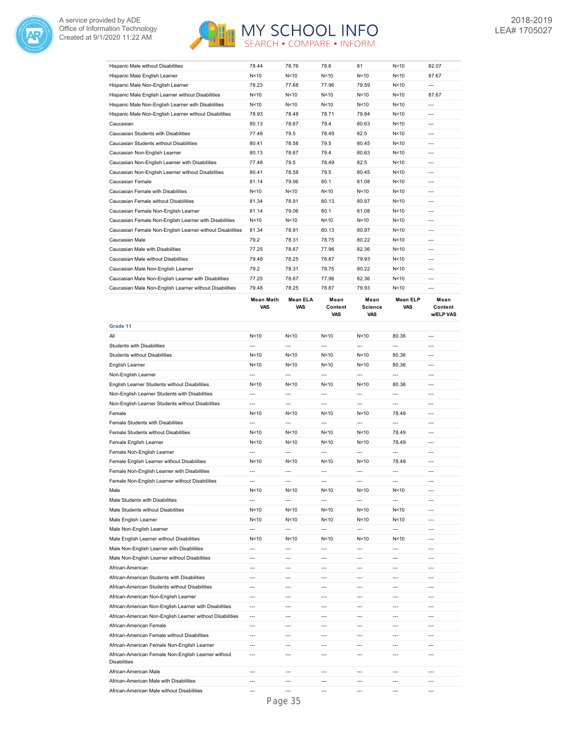



| Hispanic Male without Disabilities                        | 78.44           | 78.76           | 78.6            | 81    | N <sub>10</sub> | 82.07   |
|-----------------------------------------------------------|-----------------|-----------------|-----------------|-------|-----------------|---------|
| Hispanic Male English Learner                             | N<10            | N <sub>10</sub> | N<10            | N<10  | N<10            | 87.67   |
| Hispanic Male Non-English Learner                         | 78.23           | 77.68           | 77.96           | 79.59 | N <sub>10</sub> | $---$   |
| Hispanic Male English Learner without Disabilities        | N<10            | N < 10          | N<10            | N<10  | N <sub>10</sub> | 87.67   |
| Hispanic Male Non-English Learner with Disabilities       | N <sub>10</sub> | N <sub>10</sub> | N<10            | N<10  | N<10            | $---$   |
| Hispanic Male Non-English Learner without Disabilities    | 78.93           | 78.48           | 78.71           | 79.84 | N <sub>10</sub> | $---$   |
| Caucasian                                                 | 80.13           | 78.67           | 79.4            | 80.63 | N < 10          | $---$   |
| Caucasian Students with Disabilities                      | 77.48           | 79.5            | 78.49           | 82.5  | N <sub>10</sub> | $---$   |
| Caucasian Students without Disabilities                   | 80.41           | 78.58           | 79.5            | 80.45 | N<10            | $---$   |
| Caucasian Non-English Learner                             | 80.13           | 78.67           | 79.4            | 80.63 | N <sub>10</sub> | $---$   |
| Caucasian Non-English Learner with Disabilities           | 77.48           | 79.5            | 78.49           | 82.5  | N<10            | $---$   |
| Caucasian Non-English Learner without Disabilities        | 80.41           | 78.58           | 79.5            | 80.45 | N<10            | $---$   |
| Caucasian Female                                          | 81.14           | 79.06           | 80.1            | 81.08 | N<10            | $---$   |
| Caucasian Female with Disabilities                        | N<10            | N <sub>10</sub> | N <sub>10</sub> | N<10  | N<10            | $---$   |
| Caucasian Female without Disabilities                     | 81.34           | 78.91           | 80.13           | 80.97 | N<10            | $---$   |
| Caucasian Female Non-English Learner                      | 81.14           | 79.06           | 80.1            | 81.08 | N<10            | $---$   |
| Caucasian Female Non-English Learner with Disabilities    | N<10            | N<10            | N<10            | N<10  | N<10            | $---$   |
| Caucasian Female Non-English Learner without Disabilities | 81.34           | 78.91           | 80.13           | 80.97 | N < 10          | $---$   |
| Caucasian Male                                            | 79.2            | 78.31           | 78.75           | 80.22 | N <sub>10</sub> | $- - -$ |
| Caucasian Male with Disabilities                          | 77.25           | 78.67           | 77.96           | 82.36 | N <sub>10</sub> | $---$   |
| Caucasian Male without Disabilities                       | 79.48           | 78.25           | 78.87           | 79.93 | N <sub>10</sub> | $---$   |
| Caucasian Male Non-English Learner                        | 79.2            | 78.31           | 78.75           | 80.22 | N <sub>10</sub> | $---$   |
| Caucasian Male Non-English Learner with Disabilities      | 77.25           | 78.67           | 77.96           | 82.36 | N < 10          | $---$   |
| Caucasian Male Non-English Learner without Disabilities   | 79.48           | 78.25           | 78.87           | 79.93 | N <sub>10</sub> | $---$   |

|                                                                            | <b>Mean Math</b><br><b>VAS</b> | <b>Mean ELA</b><br>VAS | Mean<br>Content<br><b>VAS</b> | Mean<br><b>Science</b><br><b>VAS</b> | <b>Mean ELP</b><br><b>VAS</b> | Mean<br>Content<br><b>w/ELP VAS</b> |
|----------------------------------------------------------------------------|--------------------------------|------------------------|-------------------------------|--------------------------------------|-------------------------------|-------------------------------------|
| Grade 11                                                                   |                                |                        |                               |                                      |                               |                                     |
| All                                                                        | N <sub>10</sub>                | N <sub>10</sub>        | N <sub>10</sub>               | N <sub>10</sub>                      | 80.36                         | $---$                               |
| Students with Disabilities                                                 | ---                            | $\overline{a}$         | $\overline{a}$                | $\overline{a}$                       | ---                           | $\overline{a}$                      |
| <b>Students without Disabilities</b>                                       | N<10                           | N<10                   | N<10                          | N<10                                 | 80.36                         | $\overline{a}$                      |
| English Learner                                                            | N<10                           | N < 10                 | N<10                          | N<10                                 | 80.36                         | $\overline{a}$                      |
| Non-English Learner                                                        | ---                            | $\overline{a}$         | $\overline{a}$                | ---                                  | $\overline{a}$                | $\overline{a}$                      |
| English Learner Students without Disabilities                              | N <sub>10</sub>                | N <sub>10</sub>        | N <sub>10</sub>               | N <sub>10</sub>                      | 80.36                         | $\overline{a}$                      |
| Non-English Learner Students with Disabilities                             | $\overline{a}$                 | $\overline{a}$         | $\overline{a}$                | $\overline{a}$                       | $\overline{a}$                | $---$                               |
| Non-English Learner Students without Disabilities                          | $\overline{a}$                 | $\overline{a}$         | $\overline{a}$                | $\overline{a}$                       | $\overline{a}$                | $\overline{a}$                      |
| Female                                                                     | N<10                           | N<10                   | N < 10                        | N<10                                 | 78.49                         | $\overline{a}$                      |
| Female Students with Disabilities                                          | $\overline{a}$                 | $\overline{a}$         | $\overline{a}$                | $\overline{a}$                       | $\overline{a}$                | $\overline{a}$                      |
| Female Students without Disabilities                                       | N <sub>10</sub>                | N <sub>10</sub>        | N <sub>10</sub>               | N <sub>10</sub>                      | 78.49                         | $\overline{a}$                      |
| Female English Learner                                                     | N<10                           | N <sub>10</sub>        | N<10                          | N<10                                 | 78.49                         | $---$                               |
| Female Non-English Learner                                                 | $\overline{a}$                 | $\overline{a}$         | $\overline{a}$                | $\overline{a}$                       | $\overline{a}$                | $\overline{a}$                      |
| Female English Learner without Disabilities                                | N<10                           | N<10                   | N < 10                        | N<10                                 | 78.49                         | $\overline{a}$                      |
| Female Non-English Learner with Disabilities                               | ---                            | ---                    | ---                           | ---                                  | ---                           | ---                                 |
| Female Non-English Learner without Disabilities                            | ---                            | $\overline{a}$         | $\overline{a}$                | ---                                  | ---                           | ---                                 |
| Male                                                                       | N <sub>10</sub>                | N <sub>10</sub>        | N <sub>10</sub>               | N <sub>10</sub>                      | N <sub>10</sub>               | $---$                               |
| Male Students with Disabilities                                            | $\overline{a}$                 | $\overline{a}$         | $\overline{a}$                | $\overline{a}$                       | $\overline{a}$                | $\overline{a}$                      |
| Male Students without Disabilities                                         | N<10                           | N <sub>10</sub>        | N<10                          | N<10                                 | N < 10                        | $\overline{a}$                      |
| Male English Learner                                                       | N<10                           | N<10                   | N<10                          | N<10                                 | N <sub>10</sub>               | $\overline{a}$                      |
| Male Non-English Learner                                                   | $\overline{a}$                 | $\overline{a}$         | $\overline{a}$                | $\overline{a}$                       | $\overline{a}$                | $\overline{a}$                      |
| Male English Learner without Disabilities                                  | N <sub>10</sub>                | N <sub>10</sub>        | N <sub>10</sub>               | N <sub>10</sub>                      | N <sub>10</sub>               | $\overline{a}$                      |
| Male Non-English Learner with Disabilities                                 | $\overline{a}$                 | $\overline{a}$         | $---$                         | $\overline{a}$                       | $\overline{a}$                | $\overline{a}$                      |
| Male Non-English Learner without Disabilities                              | ---                            | ---                    | ---                           | ---                                  | ---                           | ---                                 |
| African-American                                                           | $\overline{a}$                 | ---                    | $\overline{a}$                | ---                                  | $\overline{a}$                | $\overline{a}$                      |
| African-American Students with Disabilities                                | $\overline{a}$                 | $---$                  | $\overline{a}$                | $\overline{a}$                       | $\overline{a}$                | $---$                               |
| African-American Students without Disabilities                             | $\overline{a}$                 | $---$                  | $---$                         | $\overline{a}$                       | $\overline{a}$                | $---$                               |
| African-American Non-English Learner                                       | $\overline{a}$                 | $\overline{a}$         | $---$                         | $\overline{a}$                       | $\overline{a}$                | $\overline{a}$                      |
| African-American Non-English Learner with Disabilities                     | ---                            | $\overline{a}$         | ---                           | ---                                  | $\overline{a}$                | $\overline{a}$                      |
| African-American Non-English Learner without Disabilities                  | ---                            | ---                    | $\overline{a}$                | ---                                  | $\overline{a}$                | $\overline{a}$                      |
| African-American Female                                                    | $\overline{a}$                 | ---                    | ---                           | ---                                  | $\overline{a}$                | $\overline{a}$                      |
| African-American Female without Disabilities                               | $\overline{a}$                 | ---                    | $\overline{a}$                | $\overline{a}$                       | $\overline{a}$                | $---$                               |
| African-American Female Non-English Learner                                | $\overline{a}$                 | $\overline{a}$         | $\overline{a}$                | $\overline{a}$                       | $\overline{a}$                | $\overline{a}$                      |
| African-American Female Non-English Learner without<br><b>Disabilities</b> | $\overline{a}$                 | ---                    | ---                           | ---                                  | ---                           | ---                                 |
| African-American Male                                                      | $\overline{a}$                 | ---                    | $\overline{a}$                | $\overline{a}$                       | $\overline{a}$                | $---$                               |
| African-American Male with Disabilities                                    | ---                            | $\overline{a}$         | ---                           | ---                                  | ---                           | ---                                 |
| African-American Male without Disabilities                                 | $\overline{a}$                 | $\overline{a}$         | $\overline{a}$                | $\overline{a}$                       | $\overline{a}$                | $\overline{a}$                      |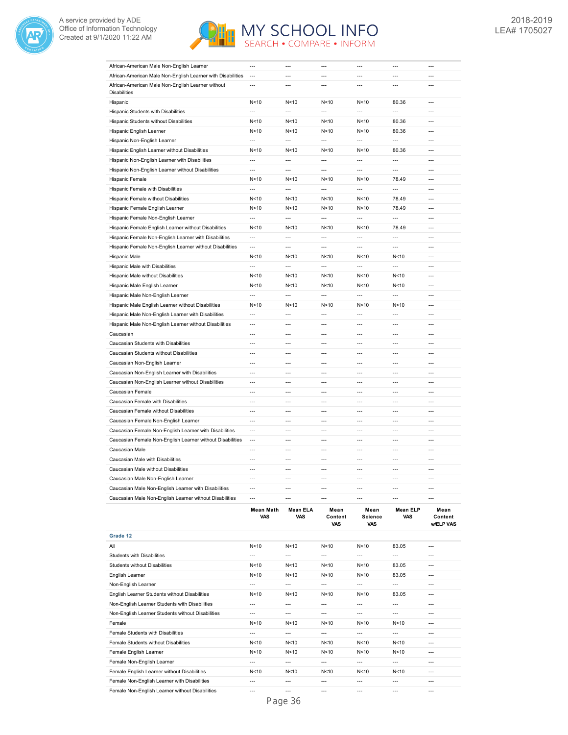



| African-American Male Non-English Learner                                |                          |                          |                          |                 |                          |                |
|--------------------------------------------------------------------------|--------------------------|--------------------------|--------------------------|-----------------|--------------------------|----------------|
| African-American Male Non-English Learner with Disabilities              | $\overline{a}$           | $---$                    | $\overline{a}$           | $\overline{a}$  | $\overline{a}$           | ---            |
| African-American Male Non-English Learner without<br><b>Disabilities</b> | $\overline{a}$           | $\overline{a}$           | $\overline{a}$           | $\overline{a}$  | $\overline{a}$           | $\overline{a}$ |
| Hispanic                                                                 | N <sub>10</sub>          | N <sub>10</sub>          | N <sub>10</sub>          | N <sub>10</sub> | 80.36                    | $\overline{a}$ |
| Hispanic Students with Disabilities                                      | $\overline{a}$           | $\overline{a}$           | $\overline{a}$           | $\overline{a}$  | $\overline{a}$           | ---            |
| Hispanic Students without Disabilities                                   | N<10                     | N<10                     | N < 10                   | N<10            | 80.36                    | ---            |
| Hispanic English Learner                                                 | N<10                     | N<10                     | N<10                     | N<10            | 80.36                    | ---            |
| Hispanic Non-English Learner                                             | $\overline{a}$           | $\overline{a}$           | $\overline{a}$           | $\overline{a}$  | $\overline{\phantom{a}}$ | $\overline{a}$ |
| Hispanic English Learner without Disabilities                            | N<10                     | N<10                     | N < 10                   | N<10            | 80.36                    | ---            |
| Hispanic Non-English Learner with Disabilities                           | $\overline{a}$           | $\overline{a}$           | $\overline{a}$           | $\overline{a}$  | $\overline{a}$           | ---            |
| Hispanic Non-English Learner without Disabilities                        | $\overline{a}$           | $\overline{a}$           | $\overline{a}$           | $\overline{a}$  | $\overline{a}$           | ---            |
| Hispanic Female                                                          | N<10                     | N <sub>10</sub>          | N <sub>10</sub>          | N <sub>10</sub> | 78.49                    | $\overline{a}$ |
| Hispanic Female with Disabilities                                        | $\overline{a}$           | $\overline{a}$           | $\overline{a}$           | $\overline{a}$  | $\overline{a}$           | $\overline{a}$ |
| Hispanic Female without Disabilities                                     | N<10                     | N<10                     | N<10                     | N<10            | 78.49                    | $\overline{a}$ |
| Hispanic Female English Learner                                          | N<10                     | N<10                     | N<10                     | N<10            | 78.49                    | $\overline{a}$ |
| Hispanic Female Non-English Learner                                      | $\overline{a}$           | ---                      | $\overline{a}$           | ---             | ---                      | ---            |
| Hispanic Female English Learner without Disabilities                     | N <sub>10</sub>          | N <sub>10</sub>          | N <sub>10</sub>          | N <sub>10</sub> | 78.49                    | ---            |
| Hispanic Female Non-English Learner with Disabilities                    | $\overline{a}$           | $\overline{a}$           | $\overline{a}$           | $\overline{a}$  | $\overline{a}$           | ---            |
| Hispanic Female Non-English Learner without Disabilities                 | $\overline{a}$           | $\overline{a}$           | $\overline{a}$           | $\overline{a}$  | $\overline{a}$           | ---            |
| Hispanic Male                                                            | N<10                     | N <sub>10</sub>          | N<10                     | N < 10          | N < 10                   | ---            |
| Hispanic Male with Disabilities                                          | $\overline{\phantom{a}}$ | $\overline{\phantom{a}}$ | $\overline{a}$           | ---             | $\overline{\phantom{a}}$ | ---            |
| Hispanic Male without Disabilities                                       | N<10                     | N<10                     | N<10                     | N<10            | N<10                     | $---$          |
| Hispanic Male English Learner                                            | N<10                     | N<10                     | N < 10                   | N<10            | N < 10                   | ---            |
| Hispanic Male Non-English Learner                                        | $\overline{a}$           | $\overline{a}$           | $\overline{a}$           | $\overline{a}$  | $\overline{a}$           | $\overline{a}$ |
| Hispanic Male English Learner without Disabilities                       | N<10                     | N<10                     | N<10                     | N<10            | N < 10                   | $\overline{a}$ |
| Hispanic Male Non-English Learner with Disabilities                      | $\overline{a}$           | $\overline{a}$           | $\overline{a}$           | $\overline{a}$  | $\overline{a}$           | ---            |
| Hispanic Male Non-English Learner without Disabilities                   | $\overline{a}$           | $\overline{a}$           | $\overline{a}$           | $\overline{a}$  | $\overline{a}$           | $\overline{a}$ |
| Caucasian                                                                | $\overline{a}$           | $\overline{a}$           | $\overline{a}$           | $\overline{a}$  | $\overline{a}$           | $\overline{a}$ |
| Caucasian Students with Disabilities                                     | $\overline{a}$           | $\overline{a}$           | $\overline{a}$           | $\overline{a}$  | $\overline{a}$           | $\overline{a}$ |
| Caucasian Students without Disabilities                                  | ---                      | $\overline{a}$           | $\overline{a}$           | $\overline{a}$  | $\overline{\phantom{a}}$ | ---            |
| Caucasian Non-English Learner                                            | ---                      | ---                      | ---                      | $\overline{a}$  | $\overline{a}$           | ---            |
| Caucasian Non-English Learner with Disabilities                          | $\overline{a}$           | $\overline{a}$           | $---$                    | $\overline{a}$  | $\overline{a}$           | $\overline{a}$ |
| Caucasian Non-English Learner without Disabilities                       | $\overline{a}$           | $\overline{a}$           | $\overline{a}$           | $\overline{a}$  | $\overline{a}$           | ---            |
| Caucasian Female                                                         | $\overline{a}$           | $---$                    | $\overline{a}$           | $\overline{a}$  | $\overline{a}$           | ---            |
| Caucasian Female with Disabilities                                       | ---                      | ---                      | ---                      | ---             | $\overline{\phantom{a}}$ | ---            |
| Caucasian Female without Disabilities                                    | ---                      | ---                      | $\overline{\phantom{a}}$ | ---             | $\overline{a}$           | ---            |
| Caucasian Female Non-English Learner                                     | $\overline{a}$           | $\overline{a}$           | $\overline{a}$           | $\overline{a}$  | $\overline{a}$           | $\overline{a}$ |
| Caucasian Female Non-English Learner with Disabilities                   | $\overline{a}$           | $\overline{a}$           | $\overline{a}$           | $\overline{a}$  | $\overline{a}$           | ---            |
| Caucasian Female Non-English Learner without Disabilities                | $\overline{a}$           | $\overline{a}$           | $\overline{a}$           | $\overline{a}$  | $\overline{a}$           | $\overline{a}$ |
| Caucasian Male                                                           | $\overline{a}$           | $\overline{a}$           | $\overline{a}$           | $\overline{a}$  | $\overline{a}$           | ---            |
| Caucasian Male with Disabilities                                         | $\overline{a}$           | $\overline{a}$           | $\overline{a}$           | $\overline{a}$  | $\overline{a}$           | ---            |
| Caucasian Male without Disabilities                                      | $\overline{a}$           | $\overline{a}$           | $\overline{a}$           | $\overline{a}$  | $\overline{a}$           | $\overline{a}$ |
| Caucasian Male Non-English Learner                                       | $\overline{a}$           | $---$                    | $---$                    | $\overline{a}$  | $\overline{a}$           | $\overline{a}$ |
| Caucasian Male Non-English Learner with Disabilities                     | $\overline{a}$           | ---                      | $\overline{a}$           | $\overline{a}$  | $\overline{a}$           | $\overline{a}$ |
| Caucasian Male Non-English Learner without Disabilities                  | ---                      | $\overline{a}$           | $\overline{a}$           | ---             | ---                      | ---            |
|                                                                          |                          | E1.                      |                          |                 | EL D                     |                |

|                                                   | Mean Math<br>VAS | Mean ELA<br><b>VAS</b> | Mean<br>Content<br><b>VAS</b> | Mean<br><b>Science</b><br><b>VAS</b> | <b>Mean ELP</b><br><b>VAS</b> | Mean<br>Content<br><b>WELP VAS</b> |
|---------------------------------------------------|------------------|------------------------|-------------------------------|--------------------------------------|-------------------------------|------------------------------------|
| Grade 12                                          |                  |                        |                               |                                      |                               |                                    |
| All                                               | N <sub>10</sub>  | N <sub>10</sub>        | N<10                          | N <sub>10</sub>                      | 83.05                         | $---$                              |
| <b>Students with Disabilities</b>                 | $---$            | $---$                  | $---$                         | $---$                                | $---$                         | $---$                              |
| <b>Students without Disabilities</b>              | N < 10           | N<10                   | N < 10                        | N<10                                 | 83.05                         | $---$                              |
| English Learner                                   | N < 10           | N<10                   | N < 10                        | N < 10                               | 83.05                         | $---$                              |
| Non-English Learner                               | $---$            | $---$                  | $---$                         | $---$                                | $- - -$                       | $---$                              |
| English Learner Students without Disabilities     | N < 10           | N<10                   | N < 10                        | N<10                                 | 83.05                         | $---$                              |
| Non-English Learner Students with Disabilities    | $---$            | $---$                  | $- - -$                       | $- - -$                              | $- - -$                       | $---$                              |
| Non-English Learner Students without Disabilities | $---$            | $---$                  | $---$                         | $---$                                | $---$                         | $---$                              |
| Female                                            | N<10             | N < 10                 | N < 10                        | N<10                                 | N < 10                        | $---$                              |
| Female Students with Disabilities                 | $---$            | ---                    | $- - -$                       | $- - -$                              | $- - -$                       | $- - -$                            |
| Female Students without Disabilities              | N < 10           | N<10                   | N < 10                        | N < 10                               | N < 10                        | $---$                              |
| Female English Learner                            | N < 10           | N<10                   | N < 10                        | N < 10                               | N < 10                        | $---$                              |
| Female Non-English Learner                        | $---$            | $---$                  | $---$                         | $---$                                | $---$                         | $---$                              |
| Female English Learner without Disabilities       | N < 10           | N <sub>10</sub>        | N < 10                        | N<10                                 | N < 10                        | $---$                              |
| Female Non-English Learner with Disabilities      | $---$            | $---$                  | $---$                         | $---$                                | ---                           | $---$                              |
| Female Non-English Learner without Disabilities   | $- - -$          | ---                    | $- - -$                       | $- - -$                              | $- - -$                       | $- - -$                            |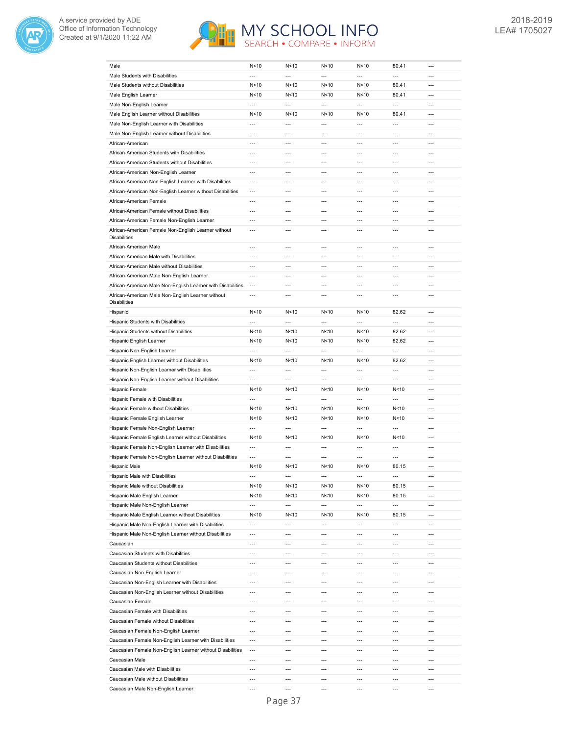



| Male                                                                     | N<10                     | N<10                     | N < 10                   | N<10                     | 80.41          | $---$                    |
|--------------------------------------------------------------------------|--------------------------|--------------------------|--------------------------|--------------------------|----------------|--------------------------|
| Male Students with Disabilities                                          | $\overline{a}$           | $\overline{a}$           | $\overline{a}$           | $\overline{a}$           | $\overline{a}$ | $\overline{a}$           |
| Male Students without Disabilities                                       | N<10                     | N<10                     | N<10                     | N<10                     | 80.41          | $---$                    |
|                                                                          |                          |                          |                          |                          |                |                          |
| Male English Learner                                                     | N<10                     | N < 10                   | N<10                     | N<10                     | 80.41          | $---$                    |
| Male Non-English Learner                                                 | $\overline{a}$           | $\overline{a}$           | $\overline{a}$           | $\overline{a}$           | $\overline{a}$ | $---$                    |
| Male English Learner without Disabilities                                | N<10                     | N<10                     | N < 10                   | N<10                     | 80.41          | $---$                    |
| Male Non-English Learner with Disabilities                               | $\overline{a}$           | $\overline{a}$           | $\overline{a}$           | $\overline{a}$           | $\overline{a}$ | $\overline{a}$           |
| Male Non-English Learner without Disabilities                            | $\overline{a}$           | $\overline{a}$           | $\overline{a}$           | $\overline{a}$           | $\overline{a}$ | $---$                    |
|                                                                          |                          |                          |                          |                          |                |                          |
| African-American                                                         | $\overline{a}$           | $\overline{a}$           | ---                      | ---                      | $\overline{a}$ | $\overline{a}$           |
| African-American Students with Disabilities                              | $\overline{a}$           | $\overline{a}$           | ---                      | $\overline{a}$           | $\overline{a}$ | $\overline{a}$           |
| African-American Students without Disabilities                           | $\overline{a}$           | $\overline{a}$           | $\overline{a}$           | $\overline{a}$           | $\overline{a}$ | $\overline{a}$           |
| African-American Non-English Learner                                     | ---                      | ---                      | ---                      | ---                      | $\overline{a}$ | ---                      |
| African-American Non-English Learner with Disabilities                   | $\overline{\phantom{a}}$ | ---                      | ---                      | $\overline{a}$           | $\overline{a}$ | ---                      |
|                                                                          |                          |                          |                          |                          |                |                          |
| African-American Non-English Learner without Disabilities                | ---                      | ---                      | ---                      | ---                      | $\overline{a}$ | ---                      |
| African-American Female                                                  | ---                      | $\overline{a}$           | $\overline{a}$           | ---                      | ---            | $\overline{a}$           |
| African-American Female without Disabilities                             | $\overline{a}$           | $\overline{a}$           | $\overline{a}$           | $\overline{a}$           | $\overline{a}$ | $\overline{a}$           |
| African-American Female Non-English Learner                              | $\overline{a}$           | $\overline{a}$           | $\overline{a}$           | $\overline{a}$           | $\overline{a}$ | ---                      |
| African-American Female Non-English Learner without                      | $\overline{a}$           | $\overline{a}$           | $\overline{a}$           | $\overline{a}$           | $\overline{a}$ | $\overline{a}$           |
| <b>Disabilities</b>                                                      |                          |                          |                          |                          |                |                          |
| African-American Male                                                    | $\overline{a}$           | $\overline{a}$           | $\overline{a}$           | $\overline{a}$           | $\overline{a}$ | $\overline{a}$           |
| African-American Male with Disabilities                                  | $\overline{a}$           | $\overline{a}$           | $\overline{a}$           | $\overline{a}$           | $\overline{a}$ | $\overline{a}$           |
| African-American Male without Disabilities                               | $---$                    | $---$                    | $---$                    | $\overline{a}$           | $---$          | $---$                    |
| African-American Male Non-English Learner                                | $\overline{a}$           | ---                      | ---                      | $---$                    | $---$          | $---$                    |
| African-American Male Non-English Learner with Disabilities              | $---$                    | $---$                    | $---$                    | $\overline{a}$           | $\overline{a}$ | $---$                    |
|                                                                          |                          |                          |                          |                          |                |                          |
| African-American Male Non-English Learner without<br><b>Disabilities</b> | $\overline{a}$           | $---$                    | ---                      | $\overline{a}$           | $\overline{a}$ | $---$                    |
| Hispanic                                                                 | N<10                     | N <sub>10</sub>          | N < 10                   | N<10                     | 82.62          | $---$                    |
| Hispanic Students with Disabilities                                      | $\overline{a}$           | $\overline{a}$           | $\overline{a}$           | $\overline{a}$           | $\overline{a}$ | $---$                    |
| Hispanic Students without Disabilities                                   | N<10                     | N<10                     | N < 10                   | N<10                     | 82.62          | $---$                    |
| Hispanic English Learner                                                 | N <sub>10</sub>          | N<10                     | N<10                     | N<10                     | 82.62          | $\overline{a}$           |
|                                                                          |                          |                          |                          |                          |                |                          |
| Hispanic Non-English Learner                                             | $\overline{a}$           | $\overline{a}$           | $\overline{a}$           | $\overline{a}$           | $\overline{a}$ | $\overline{a}$           |
| Hispanic English Learner without Disabilities                            | N <sub>10</sub>          | N<10                     | N<10                     | N<10                     | 82.62          | $\overline{a}$           |
| Hispanic Non-English Learner with Disabilities                           | $\overline{a}$           | $\overline{a}$           | $\overline{a}$           | $\overline{a}$           | $\overline{a}$ | $\overline{a}$           |
| Hispanic Non-English Learner without Disabilities                        | $\overline{\phantom{a}}$ | $\overline{a}$           | ---                      | $\overline{a}$           | $\overline{a}$ | $\overline{a}$           |
| Hispanic Female                                                          | N<10                     | N<10                     | N < 10                   | N<10                     | N<10           | ---                      |
| Hispanic Female with Disabilities                                        | $\overline{\phantom{a}}$ | ---                      | ---                      | ---                      | ---            | ---                      |
|                                                                          |                          |                          |                          |                          |                |                          |
| Hispanic Female without Disabilities                                     | N<10                     | N<10                     | N < 10                   | N<10                     | N < 10         | ---                      |
| Hispanic Female English Learner                                          | N<10                     | N<10                     | N<10                     | N<10                     | N<10           | $\overline{a}$           |
| Hispanic Female Non-English Learner                                      | $\overline{a}$           | $\overline{a}$           | $\overline{a}$           | $\overline{a}$           | $\overline{a}$ | $\overline{a}$           |
| Hispanic Female English Learner without Disabilities                     | N<10                     | N<10                     | N<10                     | N<10                     | N<10           | $\overline{a}$           |
| Hispanic Female Non-English Learner with Disabilities                    | $\overline{a}$           | $\overline{a}$           | $\overline{a}$           | $\overline{a}$           | $\overline{a}$ | $\overline{a}$           |
|                                                                          |                          |                          |                          |                          |                |                          |
| Hispanic Female Non-English Learner without Disabilities                 | ---                      | $\overline{a}$           | ---                      | $\overline{a}$           | $\overline{a}$ | ---                      |
| Hispanic Male                                                            | N<10                     | N<10                     | N<10                     | N<10                     | 80.15          | $\overline{a}$           |
| Hispanic Male with Disabilities                                          | ---                      | $\overline{\phantom{a}}$ | ---                      | ---                      | ---            | ---                      |
| Hispanic Male without Disabilities                                       | N<10                     | N<10                     | N<10                     | N<10                     | 80.15          | $---$                    |
| Hispanic Male English Learner                                            | N < 10                   | N < 10                   | N <sub>10</sub>          | N < 10                   | 80.15          | ---                      |
| Hispanic Male Non-English Learner                                        | ---                      | ---                      | ---                      | ---                      | ---            | ---                      |
| Hispanic Male English Learner without Disabilities                       |                          |                          |                          |                          |                |                          |
|                                                                          | N < 10                   | N < 10                   | N <sub>10</sub>          | N < 10                   | 80.15          | ---                      |
| Hispanic Male Non-English Learner with Disabilities                      | $\overline{a}$           | $\overline{a}$           | $\overline{a}$           | $\overline{a}$           | $\overline{a}$ | ---                      |
| Hispanic Male Non-English Learner without Disabilities                   | ---                      | ---                      | ---                      | $\overline{\phantom{a}}$ | ---            | ---                      |
| Caucasian                                                                | $---$                    | ---                      | ---                      | $\overline{\phantom{a}}$ | $---$          | $\overline{\phantom{a}}$ |
| Caucasian Students with Disabilities                                     | ---                      | ---                      | ---                      | $\overline{a}$           | $\overline{a}$ | $\overline{a}$           |
| Caucasian Students without Disabilities                                  | ---                      | $\overline{\phantom{a}}$ | $\overline{\phantom{a}}$ | $\overline{\phantom{a}}$ | $---$          | $\overline{\phantom{a}}$ |
| Caucasian Non-English Learner                                            | ---                      | ---                      | ---                      | $\overline{a}$           | ---            | ---                      |
|                                                                          |                          |                          |                          |                          |                |                          |
| Caucasian Non-English Learner with Disabilities                          | ---                      | ---                      | ---                      | ---                      | ---            | ---                      |
| Caucasian Non-English Learner without Disabilities                       | ---                      | $\overline{a}$           | ---                      | $\overline{a}$           | ---            | ---                      |
| Caucasian Female                                                         | ---                      | $\overline{\phantom{a}}$ | ---                      | ---                      | ---            | $\overline{\phantom{a}}$ |
| Caucasian Female with Disabilities                                       | $\overline{a}$           | $---$                    | $---$                    | $---$                    | ---            | $---$                    |
| Caucasian Female without Disabilities                                    | ---                      | ---                      | ---                      | ---                      | ---            | ---                      |
| Caucasian Female Non-English Learner                                     | $---$                    | $---$                    | $---$                    | $---$                    | $---$          | $---$                    |
| Caucasian Female Non-English Learner with Disabilities                   | ---                      | ---                      | ---                      | ---                      | ---            | ---                      |
|                                                                          |                          |                          |                          |                          |                |                          |
| Caucasian Female Non-English Learner without Disabilities                | ---                      | ---                      | ---                      | ---                      | ---            | ---                      |
| Caucasian Male                                                           | ---                      | ---                      | ---                      | $\overline{a}$           | ---            | ---                      |
| Caucasian Male with Disabilities                                         | ---                      | ---                      | ---                      | ---                      | ---            | ---                      |
| Caucasian Male without Disabilities                                      | ---                      | ---                      | ---                      | ---                      | $\overline{a}$ | $\overline{a}$           |
| Caucasian Male Non-English Learner                                       | ---                      | ---                      | ---                      | ---                      | ---            | ---                      |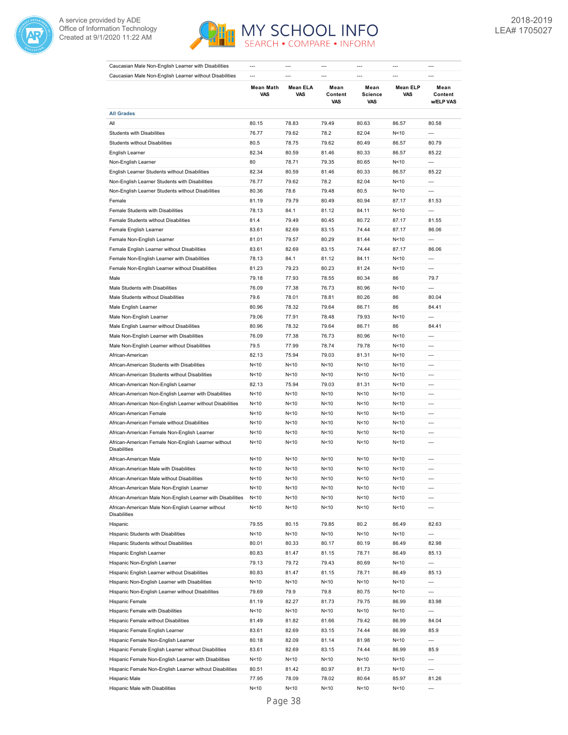



| Caucasian Male Non-English Learner with Disabilities                       | $---$                   |                 |                               | $---$                         | ---                    | ---                          |
|----------------------------------------------------------------------------|-------------------------|-----------------|-------------------------------|-------------------------------|------------------------|------------------------------|
| Caucasian Male Non-English Learner without Disabilities                    |                         | $-$ --          | $-$ --                        | $\overline{a}$                |                        | $-$ --                       |
|                                                                            | <b>Mean Math</b><br>VAS | Mean ELA<br>VAS | Mean<br>Content<br><b>VAS</b> | Mean<br>Science<br><b>VAS</b> | <b>Mean ELP</b><br>VAS | Mean<br>Content<br>w/ELP VAS |
| <b>All Grades</b>                                                          |                         |                 |                               |                               |                        |                              |
| All                                                                        | 80.15                   | 78.83           | 79.49                         | 80.63                         | 86.57                  | 80.58                        |
| Students with Disabilities                                                 | 76.77                   | 79.62           | 78.2                          | 82.04                         | N<10                   | $\overline{a}$               |
| <b>Students without Disabilities</b>                                       | 80.5                    | 78.75           | 79.62                         | 80.49                         | 86.57                  | 80.79                        |
| English Learner                                                            | 82.34                   | 80.59           | 81.46                         | 80.33                         | 86.57                  | 85.22                        |
| Non-English Learner                                                        | 80                      | 78.71           | 79.35                         | 80.65                         | N<10                   | $\overline{a}$               |
| English Learner Students without Disabilities                              | 82.34                   | 80.59           | 81.46                         | 80.33                         | 86.57                  | 85.22                        |
| Non-English Learner Students with Disabilities                             | 76.77                   | 79.62           | 78.2                          | 82.04                         | N < 10                 | ---                          |
| Non-English Learner Students without Disabilities                          | 80.36                   | 78.6            | 79.48                         | 80.5                          | N<10                   | $\overline{a}$               |
| Female                                                                     | 81.19                   | 79.79           | 80.49                         | 80.94                         | 87.17                  | 81.53                        |
| Female Students with Disabilities                                          | 78.13                   | 84.1            | 81.12                         | 84.11                         | N<10                   | ---                          |
| Female Students without Disabilities                                       | 81.4                    | 79.49           | 80.45                         | 80.72                         | 87.17                  | 81.55                        |
| Female English Learner                                                     | 83.61                   | 82.69           | 83.15                         | 74.44                         | 87.17                  | 86.06                        |
| Female Non-English Learner                                                 | 81.01                   | 79.57           | 80.29                         | 81.44                         | N < 10                 | ---                          |
|                                                                            |                         | 82.69           | 83.15                         | 74.44                         | 87.17                  | 86.06                        |
| Female English Learner without Disabilities                                | 83.61                   |                 |                               |                               |                        |                              |
| Female Non-English Learner with Disabilities                               | 78.13                   | 84.1            | 81.12                         | 84.11                         | N < 10                 | ---                          |
| Female Non-English Learner without Disabilities                            | 81.23                   | 79.23           | 80.23                         | 81.24                         | N < 10                 | ---                          |
| Male                                                                       | 79.18                   | 77.93           | 78.55                         | 80.34                         | 86                     | 79.7                         |
| Male Students with Disabilities                                            | 76.09                   | 77.38           | 76.73                         | 80.96                         | N<10                   | $\overline{\phantom{a}}$     |
| Male Students without Disabilities                                         | 79.6                    | 78.01           | 78.81                         | 80.26                         | 86                     | 80.04                        |
| Male English Learner                                                       | 80.96                   | 78.32           | 79.64                         | 86.71                         | 86                     | 84.41                        |
| Male Non-English Learner                                                   | 79.06                   | 77.91           | 78.48                         | 79.93                         | N<10                   | $\overline{a}$               |
| Male English Learner without Disabilities                                  | 80.96                   | 78.32           | 79.64                         | 86.71                         | 86                     | 84.41                        |
| Male Non-English Learner with Disabilities                                 | 76.09                   | 77.38           | 76.73                         | 80.96                         | N<10                   | $\overline{a}$               |
| Male Non-English Learner without Disabilities                              | 79.5                    | 77.99           | 78.74                         | 79.78                         | N<10                   | ---                          |
| African-American                                                           | 82.13                   | 75.94           | 79.03                         | 81.31                         | N<10                   | $\overline{a}$               |
| African-American Students with Disabilities                                | N<10                    | N < 10          | N < 10                        | N<10                          | N<10                   | $\overline{a}$               |
| African-American Students without Disabilities                             | N<10                    | N < 10          | N < 10                        | N<10                          | N<10                   | ---                          |
| African-American Non-English Learner                                       | 82.13                   | 75.94           | 79.03                         | 81.31                         | N<10                   | $\overline{a}$               |
| African-American Non-English Learner with Disabilities                     | N<10                    | N<10            | N<10                          | N<10                          | N < 10                 | ---                          |
| African-American Non-English Learner without Disabilities                  | N <sub>10</sub>         | N<10            | N<10                          | N<10                          | N < 10                 | ---                          |
| African-American Female                                                    | N<10                    | N<10            | N<10                          | N<10                          | N < 10                 | ---                          |
| African-American Female without Disabilities                               | N<10                    | N < 10          | N<10                          | N<10                          | N < 10                 | ---                          |
| African-American Female Non-English Learner                                | N < 10                  | N < 10          | N<10                          | N<10                          | N<10                   | ---                          |
| African-American Female Non-English Learner without<br><b>Disabilities</b> | N < 10                  | N < 10          | N<10                          | N < 10                        | N<10                   | ---                          |
| African-American Male                                                      | N<10                    | N < 10          | N < 10                        | N<10                          | N < 10                 | $\overline{a}$               |
| African-American Male with Disabilities                                    | N<10                    | N < 10          | N<10                          | N<10                          | N < 10                 | ---                          |
| African-American Male without Disabilities                                 | N<10                    | N<10            | N<10                          | N<10                          | N<10                   | ---                          |
| African-American Male Non-English Learner                                  | N < 10                  | N < 10          | N <sub>10</sub>               | N < 10                        | N<10                   | $\overline{\phantom{a}}$     |
| African-American Male Non-English Learner with Disabilities                | N < 10                  | N < 10          | N<10                          | N<10                          | N <sub>10</sub>        | ---                          |
| African-American Male Non-English Learner without<br>Disabilities          | N<10                    | N <sub>10</sub> | N<10                          | N<10                          | N <sub>10</sub>        | ---                          |
| Hispanic                                                                   | 79.55                   | 80.15           | 79.85                         | 80.2                          | 86.49                  | 82.63                        |
| Hispanic Students with Disabilities                                        | N<10                    | N<10            | N<10                          | N<10                          | N<10                   | ---                          |
| Hispanic Students without Disabilities                                     | 80.01                   | 80.33           | 80.17                         | 80.19                         | 86.49                  | 82.98                        |
| Hispanic English Learner                                                   | 80.83                   | 81.47           | 81.15                         | 78.71                         | 86.49                  | 85.13                        |
| Hispanic Non-English Learner                                               | 79.13                   | 79.72           | 79.43                         | 80.69                         | N<10                   | ---                          |
| Hispanic English Learner without Disabilities                              | 80.83                   | 81.47           | 81.15                         | 78.71                         | 86.49                  | 85.13                        |
| Hispanic Non-English Learner with Disabilities                             | N<10                    | N <sub>10</sub> | N<10                          | N<10                          | N<10                   | $\overline{\phantom{a}}$     |
| Hispanic Non-English Learner without Disabilities                          | 79.69                   | 79.9            | 79.8                          | 80.75                         | N <sub>10</sub>        | ---                          |
| Hispanic Female                                                            | 81.19                   | 82.27           | 81.73                         | 79.75                         | 86.99                  | 83.98                        |
| Hispanic Female with Disabilities                                          | N<10                    | N<10            | N<10                          | N<10                          | N<10                   | ---                          |
| Hispanic Female without Disabilities                                       | 81.49                   | 81.82           | 81.66                         | 79.42                         | 86.99                  | 84.04                        |
| Hispanic Female English Learner                                            | 83.61                   | 82.69           | 83.15                         | 74.44                         | 86.99                  | 85.9                         |
| Hispanic Female Non-English Learner                                        | 80.18                   | 82.09           | 81.14                         | 81.98                         | N<10                   | ---                          |
| Hispanic Female English Learner without Disabilities                       | 83.61                   | 82.69           |                               | 74.44                         | 86.99                  |                              |
|                                                                            |                         |                 | 83.15                         |                               |                        | 85.9                         |
| Hispanic Female Non-English Learner with Disabilities                      | N<10                    | N<10            | N<10                          | N<10                          | N<10                   | ---                          |
| Hispanic Female Non-English Learner without Disabilities                   | 80.51                   | 81.42           | 80.97                         | 81.73                         | N<10                   | ---                          |
| Hispanic Male                                                              | 77.95                   | 78.09           | 78.02                         | 80.64                         | 85.97                  | 81.26                        |
| Hispanic Male with Disabilities                                            | N<10                    | N <sub>10</sub> | N<10                          | N<10                          | N<10                   | ---                          |